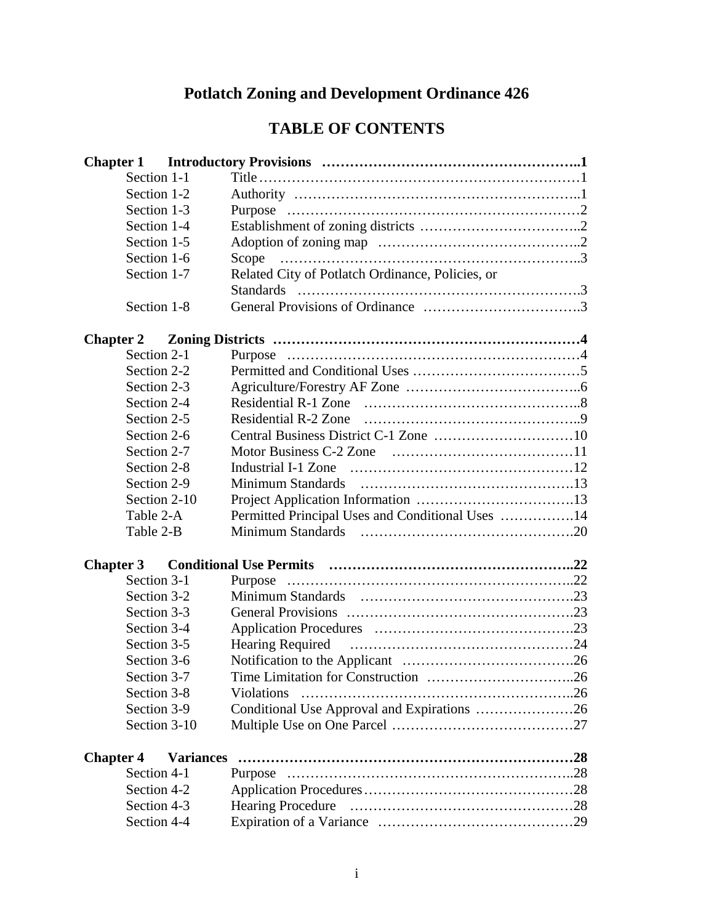# **Potlatch Zoning and Development Ordinance 426**

# **TABLE OF CONTENTS**

| Section 1-1      |                  |                                                  |  |
|------------------|------------------|--------------------------------------------------|--|
| Section 1-2      |                  |                                                  |  |
| Section 1-3      |                  |                                                  |  |
| Section 1-4      |                  |                                                  |  |
| Section 1-5      |                  |                                                  |  |
| Section 1-6      |                  | Scope                                            |  |
| Section 1-7      |                  | Related City of Potlatch Ordinance, Policies, or |  |
|                  |                  |                                                  |  |
| Section 1-8      |                  |                                                  |  |
|                  |                  |                                                  |  |
| Section 2-1      |                  |                                                  |  |
| Section 2-2      |                  |                                                  |  |
| Section 2-3      |                  |                                                  |  |
| Section 2-4      |                  |                                                  |  |
| Section 2-5      |                  |                                                  |  |
| Section 2-6      |                  |                                                  |  |
| Section 2-7      |                  |                                                  |  |
| Section 2-8      |                  |                                                  |  |
| Section 2-9      |                  |                                                  |  |
| Section 2-10     |                  |                                                  |  |
| Table 2-A        |                  | Permitted Principal Uses and Conditional Uses 14 |  |
| Table 2-B        |                  |                                                  |  |
|                  |                  |                                                  |  |
| Section 3-1      |                  | Purpose                                          |  |
| Section 3-2      |                  |                                                  |  |
| Section 3-3      |                  |                                                  |  |
| Section 3-4      |                  |                                                  |  |
| Section 3-5      |                  |                                                  |  |
| Section 3-6      |                  |                                                  |  |
| Section 3-7      |                  |                                                  |  |
| Section 3-8      |                  | <b>Violations</b>                                |  |
| Section 3-9      |                  | Conditional Use Approval and Expirations 26      |  |
| Section 3-10     |                  |                                                  |  |
| <b>Chapter 4</b> | <b>Variances</b> |                                                  |  |
| Section 4-1      |                  |                                                  |  |
| Section 4-2      |                  |                                                  |  |
| Section 4-3      |                  |                                                  |  |
| Section 4-4      |                  |                                                  |  |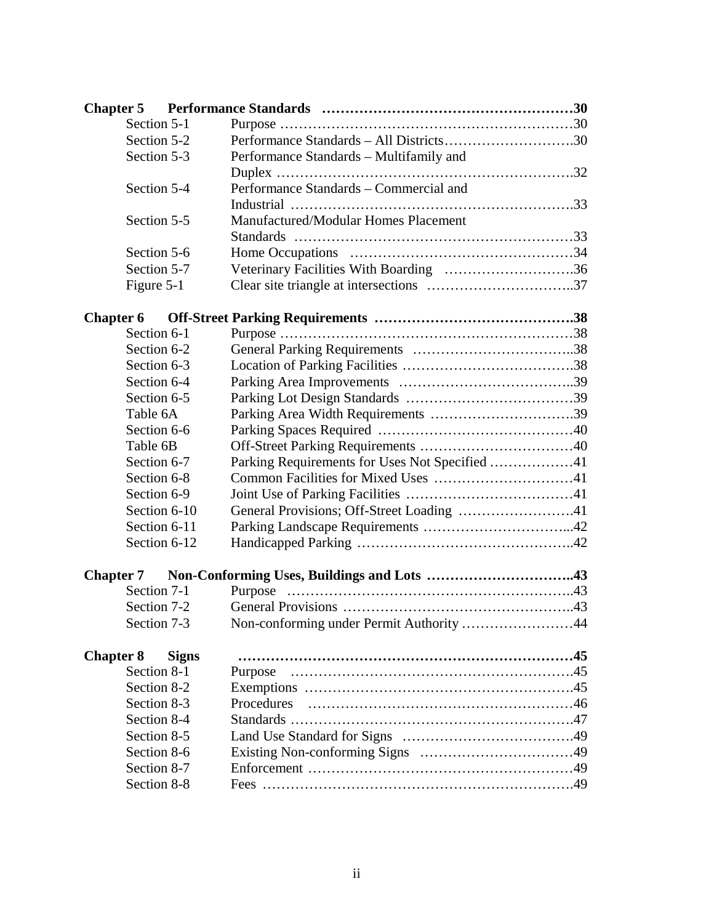| Section 5-1      |              |                                                |  |
|------------------|--------------|------------------------------------------------|--|
| Section 5-2      |              |                                                |  |
| Section 5-3      |              | Performance Standards – Multifamily and        |  |
|                  |              |                                                |  |
| Section 5-4      |              | Performance Standards - Commercial and         |  |
|                  |              |                                                |  |
| Section 5-5      |              | Manufactured/Modular Homes Placement           |  |
|                  |              |                                                |  |
| Section 5-6      |              |                                                |  |
| Section 5-7      |              | Veterinary Facilities With Boarding 36         |  |
| Figure 5-1       |              |                                                |  |
| <b>Chapter 6</b> |              |                                                |  |
| Section 6-1      |              |                                                |  |
| Section 6-2      |              |                                                |  |
| Section 6-3      |              |                                                |  |
| Section 6-4      |              |                                                |  |
| Section 6-5      |              |                                                |  |
| Table 6A         |              |                                                |  |
| Section 6-6      |              |                                                |  |
| Table 6B         |              |                                                |  |
| Section 6-7      |              | Parking Requirements for Uses Not Specified 41 |  |
| Section 6-8      |              |                                                |  |
| Section 6-9      |              |                                                |  |
| Section 6-10     |              | General Provisions; Off-Street Loading 41      |  |
| Section 6-11     |              |                                                |  |
| Section 6-12     |              |                                                |  |
|                  |              |                                                |  |
| Section 7-1      |              |                                                |  |
| Section 7-2      |              |                                                |  |
| Section 7-3      |              | Non-conforming under Permit Authority 44       |  |
| <b>Chapter 8</b> | <b>Signs</b> |                                                |  |
| Section 8-1      |              |                                                |  |
| Section 8-2      |              |                                                |  |
| Section 8-3      |              | Procedures                                     |  |
| Section 8-4      |              |                                                |  |
| Section 8-5      |              |                                                |  |
| Section 8-6      |              |                                                |  |
| Section 8-7      |              |                                                |  |
| Section 8-8      |              |                                                |  |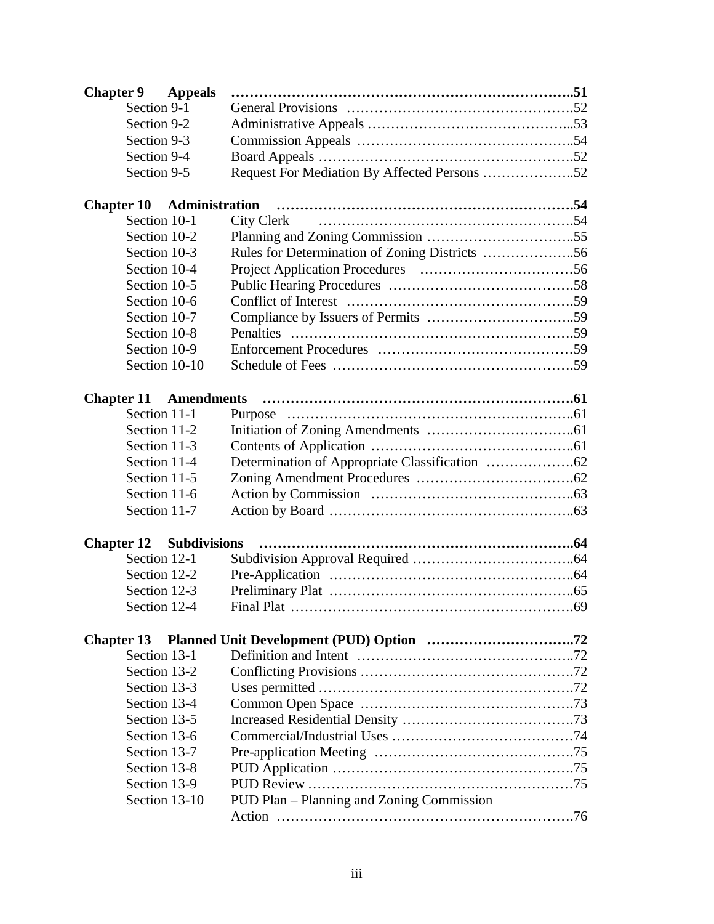| <b>Chapter 9</b> Appeals       |                |                                              |  |
|--------------------------------|----------------|----------------------------------------------|--|
| Section 9-1                    |                |                                              |  |
| Section 9-2                    |                |                                              |  |
| Section 9-3                    |                |                                              |  |
| Section 9-4                    |                |                                              |  |
| Section 9-5                    |                | Request For Mediation By Affected Persons 52 |  |
|                                |                |                                              |  |
| <b>Chapter 10</b>              | Administration |                                              |  |
| Section 10-1                   |                | City Clerk                                   |  |
| Section 10-2                   |                |                                              |  |
| Section 10-3                   |                |                                              |  |
| Section 10-4                   |                |                                              |  |
| Section 10-5                   |                |                                              |  |
| Section 10-6                   |                |                                              |  |
| Section 10-7                   |                |                                              |  |
| Section 10-8                   |                |                                              |  |
| Section 10-9                   |                |                                              |  |
|                                | Section 10-10  |                                              |  |
|                                |                |                                              |  |
| <b>Chapter 11 Amendments</b>   |                |                                              |  |
| Section 11-1                   |                |                                              |  |
| Section 11-2                   |                |                                              |  |
| Section 11-3                   |                |                                              |  |
| Section 11-4                   |                |                                              |  |
| Section 11-5                   |                |                                              |  |
| Section 11-6                   |                |                                              |  |
| Section 11-7                   |                |                                              |  |
|                                |                |                                              |  |
| <b>Chapter 12</b> Subdivisions |                |                                              |  |
| Section 12-1                   |                |                                              |  |
| Section 12-2                   |                |                                              |  |
| Section 12-3                   |                |                                              |  |
| Section 12-4                   |                |                                              |  |
|                                |                |                                              |  |
| <b>Chapter 13</b>              |                |                                              |  |
| Section 13-1                   |                |                                              |  |
| Section 13-2                   |                |                                              |  |
| Section 13-3                   |                |                                              |  |
| Section 13-4                   |                |                                              |  |
| Section 13-5                   |                |                                              |  |
| Section 13-6                   |                |                                              |  |
| Section 13-7                   |                |                                              |  |
| Section 13-8                   |                |                                              |  |
| Section 13-9                   |                |                                              |  |
|                                | Section 13-10  | PUD Plan – Planning and Zoning Commission    |  |
|                                |                |                                              |  |
|                                |                |                                              |  |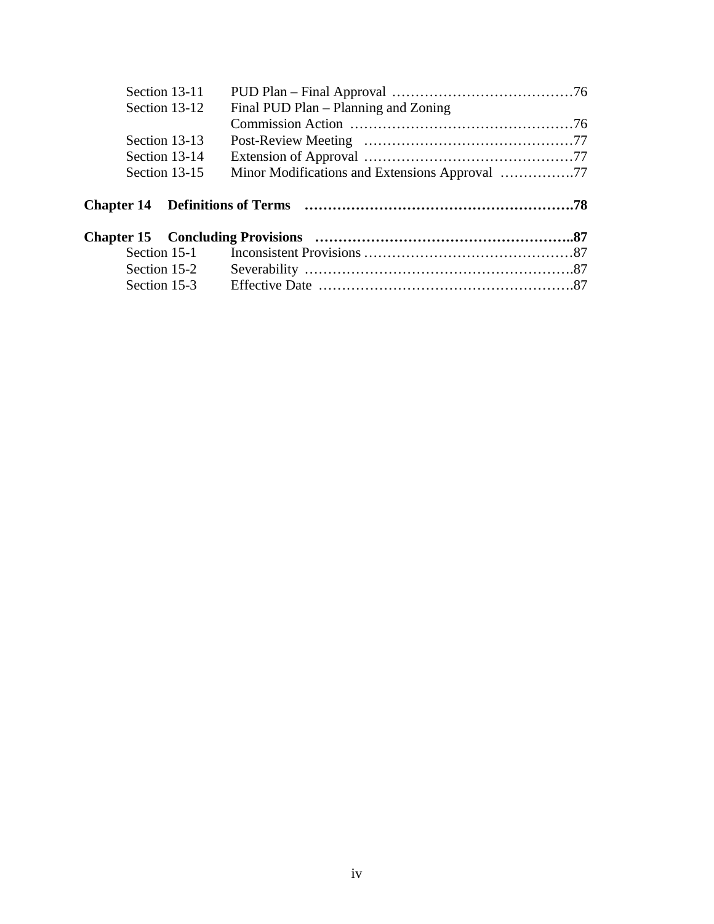| Section 13-11  |                                      |  |
|----------------|--------------------------------------|--|
| Section 13-12  | Final PUD Plan – Planning and Zoning |  |
|                |                                      |  |
| Section 13-13  |                                      |  |
| Section 13-14  |                                      |  |
| Section 13-15  |                                      |  |
|                |                                      |  |
|                |                                      |  |
|                |                                      |  |
|                |                                      |  |
|                |                                      |  |
| Section $15-1$ |                                      |  |
| Section 15-2   |                                      |  |
| Section 15-3   |                                      |  |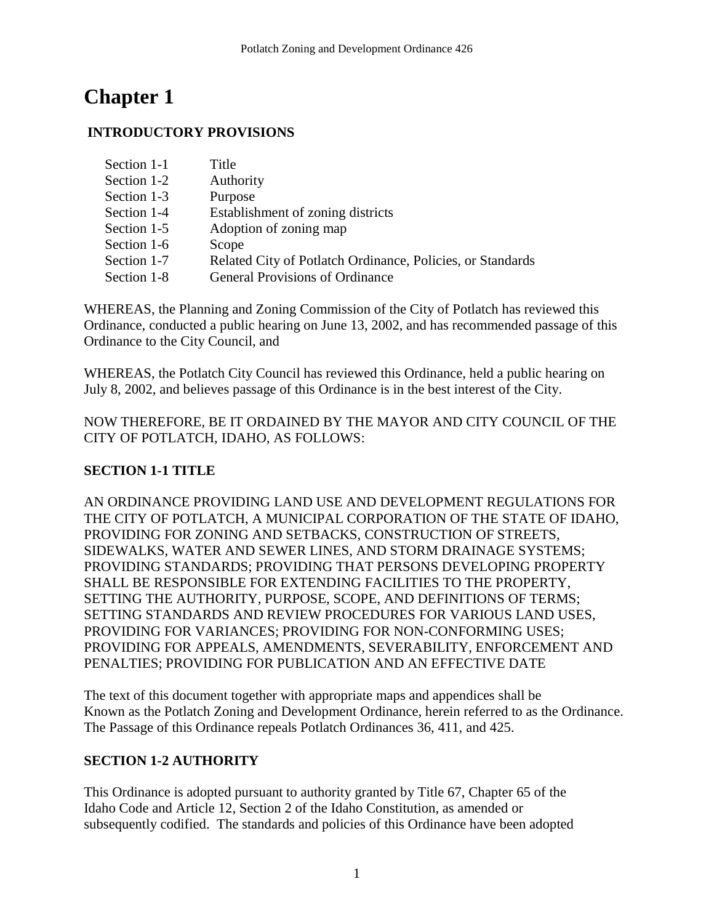# **Chapter 1**

## **INTRODUCTORY PROVISIONS**

| Section 1-1 | Title                                                      |
|-------------|------------------------------------------------------------|
| Section 1-2 | Authority                                                  |
| Section 1-3 | Purpose                                                    |
| Section 1-4 | Establishment of zoning districts                          |
| Section 1-5 | Adoption of zoning map                                     |
| Section 1-6 | Scope                                                      |
| Section 1-7 | Related City of Potlatch Ordinance, Policies, or Standards |
| Section 1-8 | <b>General Provisions of Ordinance</b>                     |

WHEREAS, the Planning and Zoning Commission of the City of Potlatch has reviewed this Ordinance, conducted a public hearing on June 13, 2002, and has recommended passage of this Ordinance to the City Council, and

WHEREAS, the Potlatch City Council has reviewed this Ordinance, held a public hearing on July 8, 2002, and believes passage of this Ordinance is in the best interest of the City.

NOW THEREFORE, BE IT ORDAINED BY THE MAYOR AND CITY COUNCIL OF THE CITY OF POTLATCH, IDAHO, AS FOLLOWS:

## **SECTION 1-1 TITLE**

AN ORDINANCE PROVIDING LAND USE AND DEVELOPMENT REGULATIONS FOR THE CITY OF POTLATCH, A MUNICIPAL CORPORATION OF THE STATE OF IDAHO, PROVIDING FOR ZONING AND SETBACKS, CONSTRUCTION OF STREETS, SIDEWALKS, WATER AND SEWER LINES, AND STORM DRAINAGE SYSTEMS; PROVIDING STANDARDS; PROVIDING THAT PERSONS DEVELOPING PROPERTY SHALL BE RESPONSIBLE FOR EXTENDING FACILITIES TO THE PROPERTY, SETTING THE AUTHORITY, PURPOSE, SCOPE, AND DEFINITIONS OF TERMS; SETTING STANDARDS AND REVIEW PROCEDURES FOR VARIOUS LAND USES, PROVIDING FOR VARIANCES; PROVIDING FOR NON-CONFORMING USES; PROVIDING FOR APPEALS, AMENDMENTS, SEVERABILITY, ENFORCEMENT AND PENALTIES; PROVIDING FOR PUBLICATION AND AN EFFECTIVE DATE

The text of this document together with appropriate maps and appendices shall be Known as the Potlatch Zoning and Development Ordinance, herein referred to as the Ordinance. The Passage of this Ordinance repeals Potlatch Ordinances 36, 411, and 425.

## **SECTION 1-2 AUTHORITY**

This Ordinance is adopted pursuant to authority granted by Title 67, Chapter 65 of the Idaho Code and Article 12, Section 2 of the Idaho Constitution, as amended or subsequently codified. The standards and policies of this Ordinance have been adopted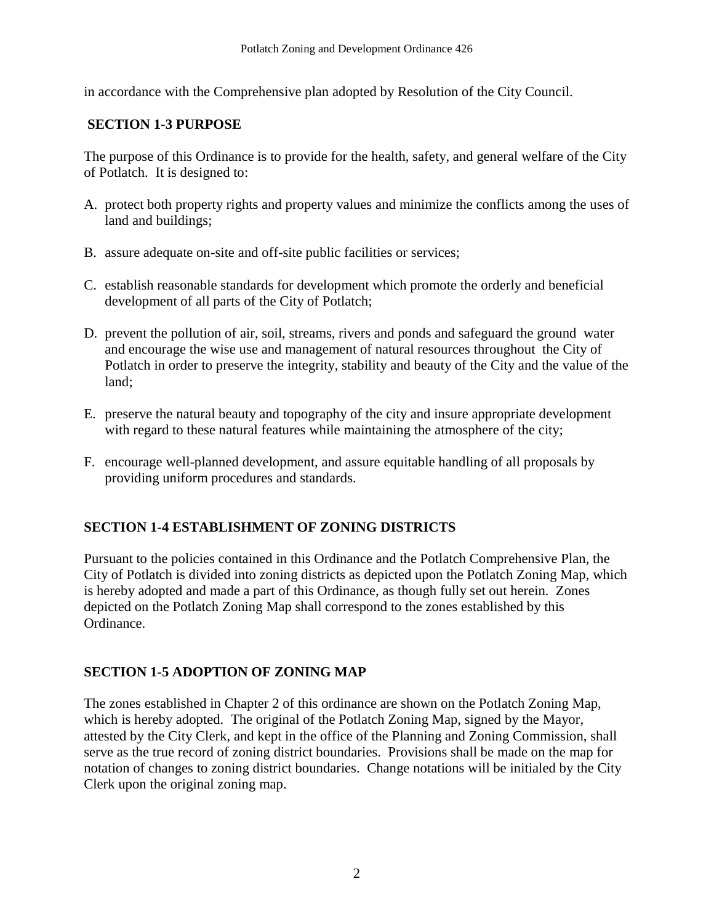in accordance with the Comprehensive plan adopted by Resolution of the City Council.

## **SECTION 1-3 PURPOSE**

The purpose of this Ordinance is to provide for the health, safety, and general welfare of the City of Potlatch. It is designed to:

- A. protect both property rights and property values and minimize the conflicts among the uses of land and buildings;
- B. assure adequate on-site and off-site public facilities or services;
- C. establish reasonable standards for development which promote the orderly and beneficial development of all parts of the City of Potlatch;
- D. prevent the pollution of air, soil, streams, rivers and ponds and safeguard the ground water and encourage the wise use and management of natural resources throughout the City of Potlatch in order to preserve the integrity, stability and beauty of the City and the value of the land;
- E. preserve the natural beauty and topography of the city and insure appropriate development with regard to these natural features while maintaining the atmosphere of the city;
- F. encourage well-planned development, and assure equitable handling of all proposals by providing uniform procedures and standards.

## **SECTION 1-4 ESTABLISHMENT OF ZONING DISTRICTS**

Pursuant to the policies contained in this Ordinance and the Potlatch Comprehensive Plan, the City of Potlatch is divided into zoning districts as depicted upon the Potlatch Zoning Map, which is hereby adopted and made a part of this Ordinance, as though fully set out herein. Zones depicted on the Potlatch Zoning Map shall correspond to the zones established by this Ordinance.

## **SECTION 1-5 ADOPTION OF ZONING MAP**

The zones established in Chapter 2 of this ordinance are shown on the Potlatch Zoning Map, which is hereby adopted. The original of the Potlatch Zoning Map, signed by the Mayor, attested by the City Clerk, and kept in the office of the Planning and Zoning Commission, shall serve as the true record of zoning district boundaries. Provisions shall be made on the map for notation of changes to zoning district boundaries. Change notations will be initialed by the City Clerk upon the original zoning map.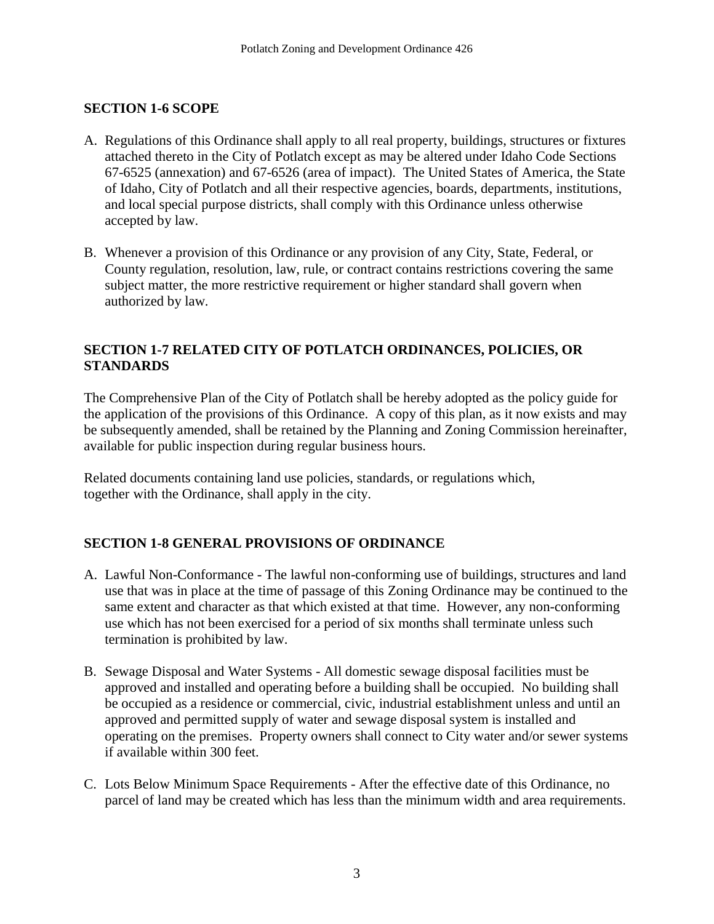### **SECTION 1-6 SCOPE**

- A. Regulations of this Ordinance shall apply to all real property, buildings, structures or fixtures attached thereto in the City of Potlatch except as may be altered under Idaho Code Sections 67-6525 (annexation) and 67-6526 (area of impact). The United States of America, the State of Idaho, City of Potlatch and all their respective agencies, boards, departments, institutions, and local special purpose districts, shall comply with this Ordinance unless otherwise accepted by law.
- B. Whenever a provision of this Ordinance or any provision of any City, State, Federal, or County regulation, resolution, law, rule, or contract contains restrictions covering the same subject matter, the more restrictive requirement or higher standard shall govern when authorized by law.

## **SECTION 1-7 RELATED CITY OF POTLATCH ORDINANCES, POLICIES, OR STANDARDS**

The Comprehensive Plan of the City of Potlatch shall be hereby adopted as the policy guide for the application of the provisions of this Ordinance. A copy of this plan, as it now exists and may be subsequently amended, shall be retained by the Planning and Zoning Commission hereinafter, available for public inspection during regular business hours.

Related documents containing land use policies, standards, or regulations which, together with the Ordinance, shall apply in the city.

## **SECTION 1-8 GENERAL PROVISIONS OF ORDINANCE**

- A. Lawful Non-Conformance The lawful non-conforming use of buildings, structures and land use that was in place at the time of passage of this Zoning Ordinance may be continued to the same extent and character as that which existed at that time. However, any non-conforming use which has not been exercised for a period of six months shall terminate unless such termination is prohibited by law.
- B. Sewage Disposal and Water Systems All domestic sewage disposal facilities must be approved and installed and operating before a building shall be occupied. No building shall be occupied as a residence or commercial, civic, industrial establishment unless and until an approved and permitted supply of water and sewage disposal system is installed and operating on the premises. Property owners shall connect to City water and/or sewer systems if available within 300 feet.
- C. Lots Below Minimum Space Requirements After the effective date of this Ordinance, no parcel of land may be created which has less than the minimum width and area requirements.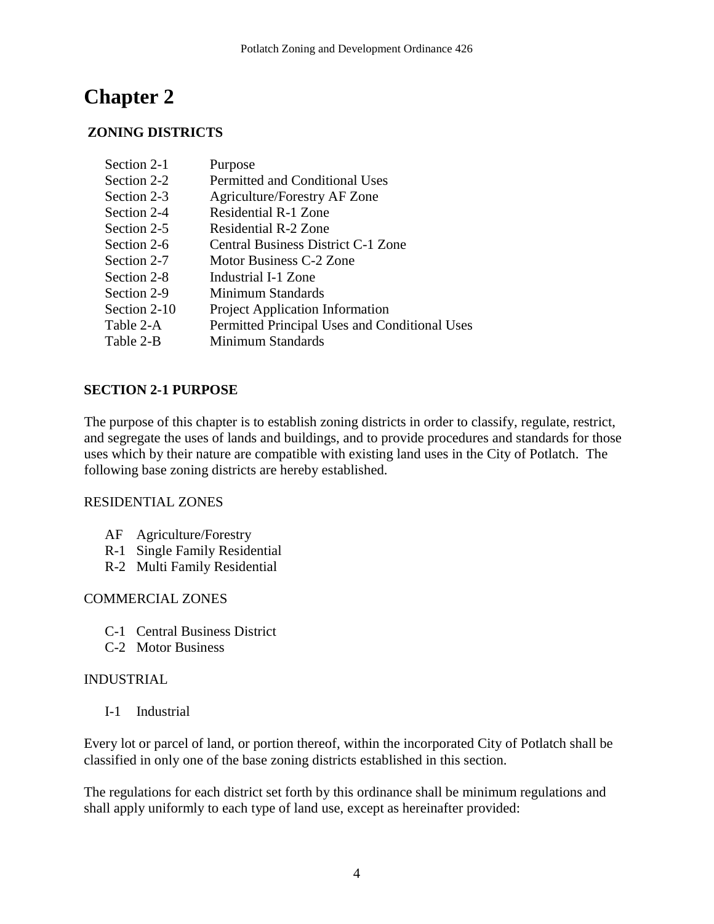# **Chapter 2**

## **ZONING DISTRICTS**

| Section 2-1  | Purpose                                       |
|--------------|-----------------------------------------------|
| Section 2-2  | <b>Permitted and Conditional Uses</b>         |
| Section 2-3  | Agriculture/Forestry AF Zone                  |
| Section 2-4  | <b>Residential R-1 Zone</b>                   |
| Section 2-5  | Residential R-2 Zone                          |
| Section 2-6  | Central Business District C-1 Zone            |
| Section 2-7  | Motor Business C-2 Zone                       |
| Section 2-8  | Industrial I-1 Zone                           |
| Section 2-9  | Minimum Standards                             |
| Section 2-10 | <b>Project Application Information</b>        |
| Table 2-A    | Permitted Principal Uses and Conditional Uses |
| Table 2-B    | Minimum Standards                             |

## **SECTION 2-1 PURPOSE**

The purpose of this chapter is to establish zoning districts in order to classify, regulate, restrict, and segregate the uses of lands and buildings, and to provide procedures and standards for those uses which by their nature are compatible with existing land uses in the City of Potlatch. The following base zoning districts are hereby established.

### RESIDENTIAL ZONES

- AF Agriculture/Forestry
- R-1 Single Family Residential
- R-2 Multi Family Residential

### COMMERCIAL ZONES

- C-1 Central Business District
- C-2 Motor Business

### INDUSTRIAL

I-1 Industrial

Every lot or parcel of land, or portion thereof, within the incorporated City of Potlatch shall be classified in only one of the base zoning districts established in this section.

The regulations for each district set forth by this ordinance shall be minimum regulations and shall apply uniformly to each type of land use, except as hereinafter provided: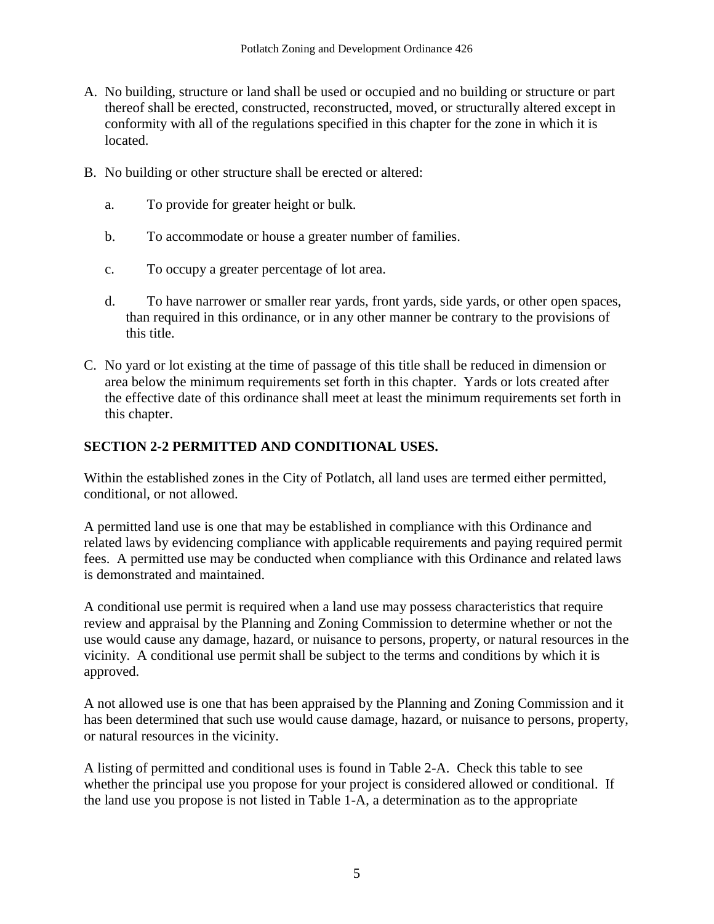- A. No building, structure or land shall be used or occupied and no building or structure or part thereof shall be erected, constructed, reconstructed, moved, or structurally altered except in conformity with all of the regulations specified in this chapter for the zone in which it is located.
- B. No building or other structure shall be erected or altered:
	- a. To provide for greater height or bulk.
	- b. To accommodate or house a greater number of families.
	- c. To occupy a greater percentage of lot area.
	- d. To have narrower or smaller rear yards, front yards, side yards, or other open spaces, than required in this ordinance, or in any other manner be contrary to the provisions of this title.
- C. No yard or lot existing at the time of passage of this title shall be reduced in dimension or area below the minimum requirements set forth in this chapter. Yards or lots created after the effective date of this ordinance shall meet at least the minimum requirements set forth in this chapter.

## **SECTION 2-2 PERMITTED AND CONDITIONAL USES.**

Within the established zones in the City of Potlatch, all land uses are termed either permitted, conditional, or not allowed.

A permitted land use is one that may be established in compliance with this Ordinance and related laws by evidencing compliance with applicable requirements and paying required permit fees. A permitted use may be conducted when compliance with this Ordinance and related laws is demonstrated and maintained.

A conditional use permit is required when a land use may possess characteristics that require review and appraisal by the Planning and Zoning Commission to determine whether or not the use would cause any damage, hazard, or nuisance to persons, property, or natural resources in the vicinity. A conditional use permit shall be subject to the terms and conditions by which it is approved.

A not allowed use is one that has been appraised by the Planning and Zoning Commission and it has been determined that such use would cause damage, hazard, or nuisance to persons, property, or natural resources in the vicinity.

A listing of permitted and conditional uses is found in Table 2-A. Check this table to see whether the principal use you propose for your project is considered allowed or conditional. If the land use you propose is not listed in Table 1-A, a determination as to the appropriate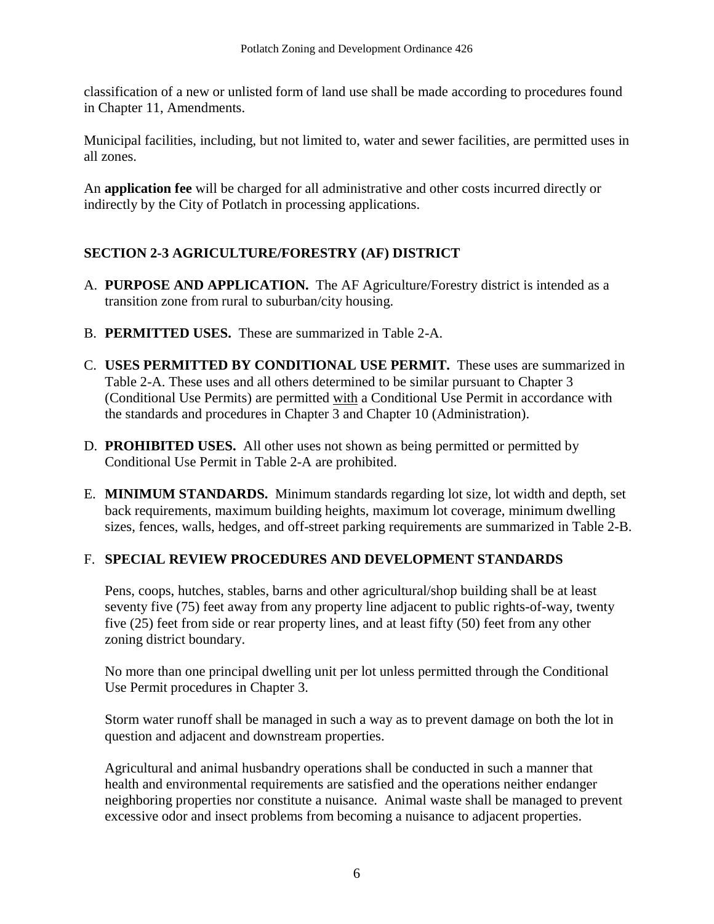classification of a new or unlisted form of land use shall be made according to procedures found in Chapter 11, Amendments.

Municipal facilities, including, but not limited to, water and sewer facilities, are permitted uses in all zones.

An **application fee** will be charged for all administrative and other costs incurred directly or indirectly by the City of Potlatch in processing applications.

## **SECTION 2-3 AGRICULTURE/FORESTRY (AF) DISTRICT**

- A. **PURPOSE AND APPLICATION.** The AF Agriculture/Forestry district is intended as a transition zone from rural to suburban/city housing.
- B. **PERMITTED USES.** These are summarized in Table 2-A.
- C. **USES PERMITTED BY CONDITIONAL USE PERMIT.** These uses are summarized in Table 2-A. These uses and all others determined to be similar pursuant to Chapter 3 (Conditional Use Permits) are permitted with a Conditional Use Permit in accordance with the standards and procedures in Chapter 3 and Chapter 10 (Administration).
- D. **PROHIBITED USES.** All other uses not shown as being permitted or permitted by Conditional Use Permit in Table 2-A are prohibited.
- E. **MINIMUM STANDARDS.** Minimum standards regarding lot size, lot width and depth, set back requirements, maximum building heights, maximum lot coverage, minimum dwelling sizes, fences, walls, hedges, and off-street parking requirements are summarized in Table 2-B.

## F. **SPECIAL REVIEW PROCEDURES AND DEVELOPMENT STANDARDS**

Pens, coops, hutches, stables, barns and other agricultural/shop building shall be at least seventy five (75) feet away from any property line adjacent to public rights-of-way, twenty five (25) feet from side or rear property lines, and at least fifty (50) feet from any other zoning district boundary.

No more than one principal dwelling unit per lot unless permitted through the Conditional Use Permit procedures in Chapter 3.

Storm water runoff shall be managed in such a way as to prevent damage on both the lot in question and adjacent and downstream properties.

Agricultural and animal husbandry operations shall be conducted in such a manner that health and environmental requirements are satisfied and the operations neither endanger neighboring properties nor constitute a nuisance. Animal waste shall be managed to prevent excessive odor and insect problems from becoming a nuisance to adjacent properties.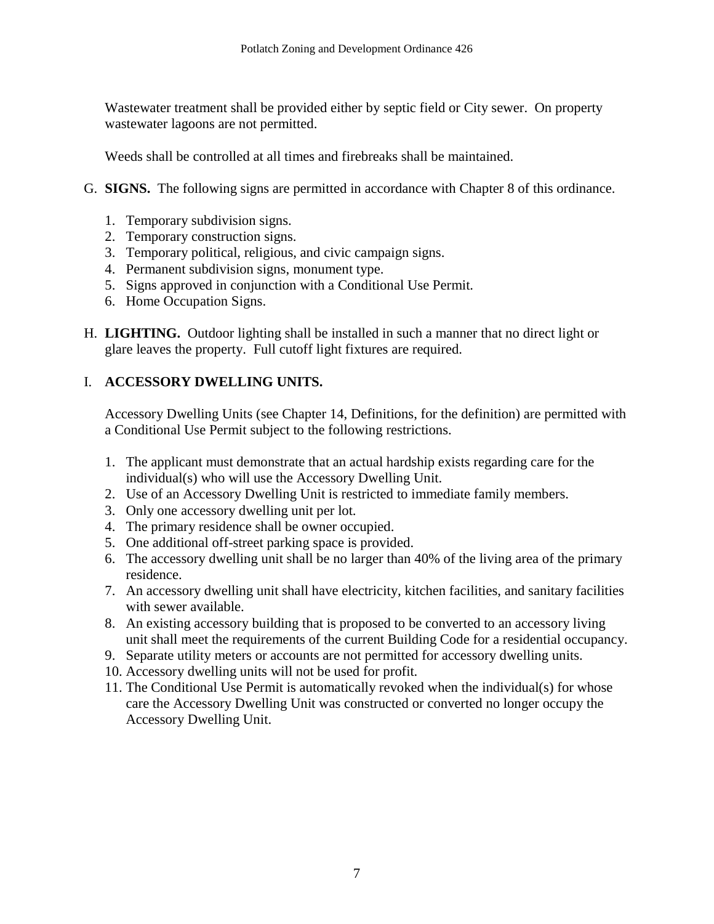Wastewater treatment shall be provided either by septic field or City sewer. On property wastewater lagoons are not permitted.

Weeds shall be controlled at all times and firebreaks shall be maintained.

- G. **SIGNS.** The following signs are permitted in accordance with Chapter 8 of this ordinance.
	- 1. Temporary subdivision signs.
	- 2. Temporary construction signs.
	- 3. Temporary political, religious, and civic campaign signs.
	- 4. Permanent subdivision signs, monument type.
	- 5. Signs approved in conjunction with a Conditional Use Permit.
	- 6. Home Occupation Signs.
- H. **LIGHTING.** Outdoor lighting shall be installed in such a manner that no direct light or glare leaves the property. Full cutoff light fixtures are required.

## I. **ACCESSORY DWELLING UNITS.**

Accessory Dwelling Units (see Chapter 14, Definitions, for the definition) are permitted with a Conditional Use Permit subject to the following restrictions.

- 1. The applicant must demonstrate that an actual hardship exists regarding care for the individual(s) who will use the Accessory Dwelling Unit.
- 2. Use of an Accessory Dwelling Unit is restricted to immediate family members.
- 3. Only one accessory dwelling unit per lot.
- 4. The primary residence shall be owner occupied.
- 5. One additional off-street parking space is provided.
- 6. The accessory dwelling unit shall be no larger than 40% of the living area of the primary residence.
- 7. An accessory dwelling unit shall have electricity, kitchen facilities, and sanitary facilities with sewer available.
- 8. An existing accessory building that is proposed to be converted to an accessory living unit shall meet the requirements of the current Building Code for a residential occupancy.
- 9. Separate utility meters or accounts are not permitted for accessory dwelling units.
- 10. Accessory dwelling units will not be used for profit.
- 11. The Conditional Use Permit is automatically revoked when the individual(s) for whose care the Accessory Dwelling Unit was constructed or converted no longer occupy the Accessory Dwelling Unit.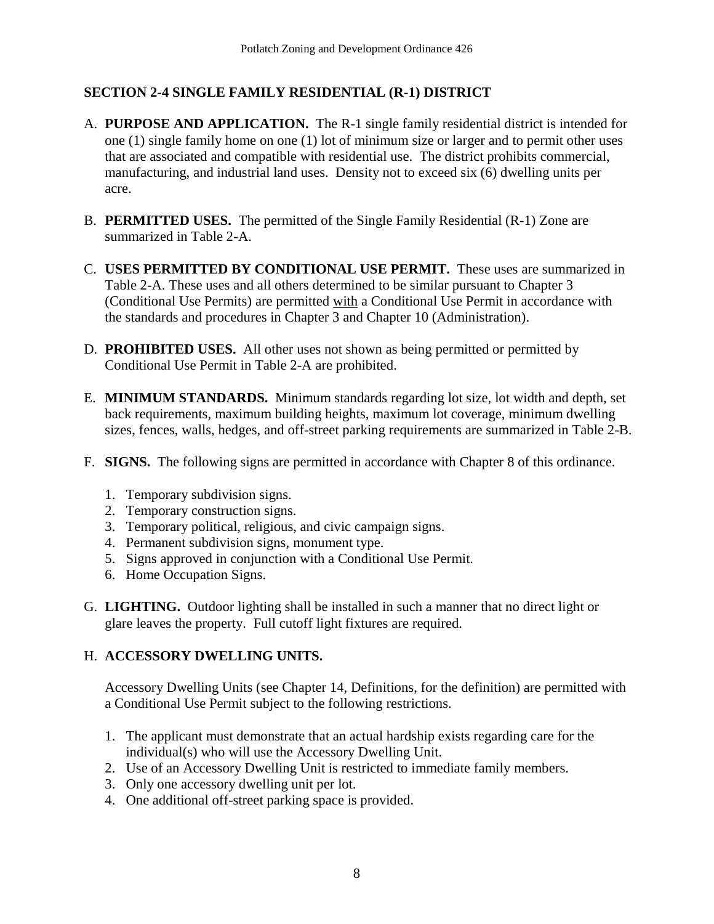## **SECTION 2-4 SINGLE FAMILY RESIDENTIAL (R-1) DISTRICT**

- A. **PURPOSE AND APPLICATION.** The R-1 single family residential district is intended for one (1) single family home on one (1) lot of minimum size or larger and to permit other uses that are associated and compatible with residential use. The district prohibits commercial, manufacturing, and industrial land uses. Density not to exceed six (6) dwelling units per acre.
- B. **PERMITTED USES.** The permitted of the Single Family Residential (R-1) Zone are summarized in Table 2-A.
- C. **USES PERMITTED BY CONDITIONAL USE PERMIT.** These uses are summarized in Table 2-A. These uses and all others determined to be similar pursuant to Chapter 3 (Conditional Use Permits) are permitted with a Conditional Use Permit in accordance with the standards and procedures in Chapter 3 and Chapter 10 (Administration).
- D. **PROHIBITED USES.** All other uses not shown as being permitted or permitted by Conditional Use Permit in Table 2-A are prohibited.
- E. **MINIMUM STANDARDS.** Minimum standards regarding lot size, lot width and depth, set back requirements, maximum building heights, maximum lot coverage, minimum dwelling sizes, fences, walls, hedges, and off-street parking requirements are summarized in Table 2-B.
- F. **SIGNS.** The following signs are permitted in accordance with Chapter 8 of this ordinance.
	- 1. Temporary subdivision signs.
	- 2. Temporary construction signs.
	- 3. Temporary political, religious, and civic campaign signs.
	- 4. Permanent subdivision signs, monument type.
	- 5. Signs approved in conjunction with a Conditional Use Permit.
	- 6. Home Occupation Signs.
- G. **LIGHTING.** Outdoor lighting shall be installed in such a manner that no direct light or glare leaves the property. Full cutoff light fixtures are required.

## H. **ACCESSORY DWELLING UNITS.**

Accessory Dwelling Units (see Chapter 14, Definitions, for the definition) are permitted with a Conditional Use Permit subject to the following restrictions.

- 1. The applicant must demonstrate that an actual hardship exists regarding care for the individual(s) who will use the Accessory Dwelling Unit.
- 2. Use of an Accessory Dwelling Unit is restricted to immediate family members.
- 3. Only one accessory dwelling unit per lot.
- 4. One additional off-street parking space is provided.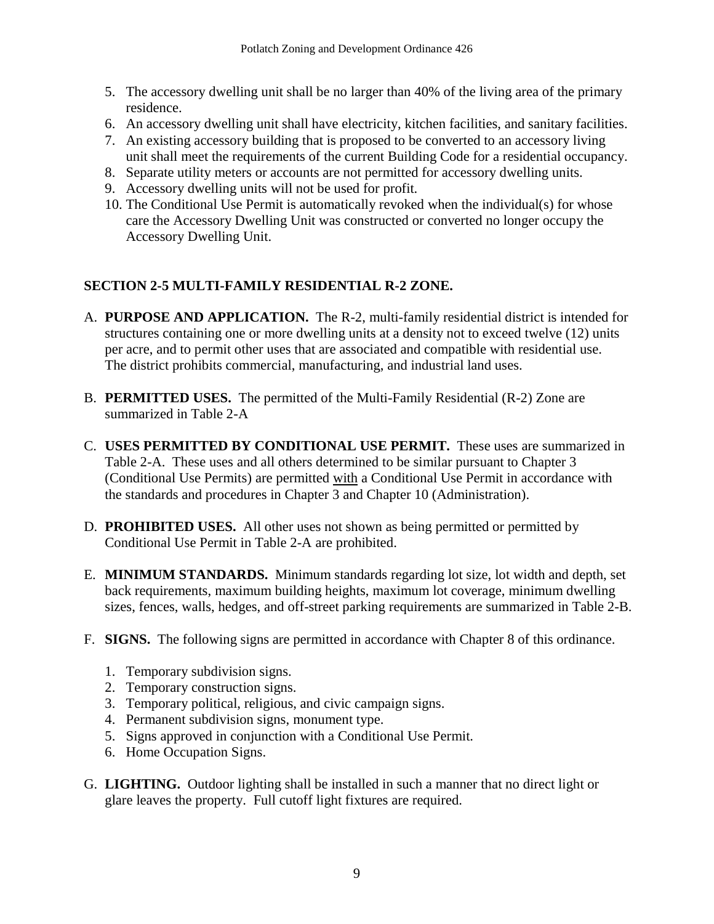- 5. The accessory dwelling unit shall be no larger than 40% of the living area of the primary residence.
- 6. An accessory dwelling unit shall have electricity, kitchen facilities, and sanitary facilities.
- 7. An existing accessory building that is proposed to be converted to an accessory living unit shall meet the requirements of the current Building Code for a residential occupancy.
- 8. Separate utility meters or accounts are not permitted for accessory dwelling units.
- 9. Accessory dwelling units will not be used for profit.
- 10. The Conditional Use Permit is automatically revoked when the individual(s) for whose care the Accessory Dwelling Unit was constructed or converted no longer occupy the Accessory Dwelling Unit.

## **SECTION 2-5 MULTI-FAMILY RESIDENTIAL R-2 ZONE.**

- A. **PURPOSE AND APPLICATION.** The R-2, multi-family residential district is intended for structures containing one or more dwelling units at a density not to exceed twelve (12) units per acre, and to permit other uses that are associated and compatible with residential use. The district prohibits commercial, manufacturing, and industrial land uses.
- B. **PERMITTED USES.** The permitted of the Multi-Family Residential (R-2) Zone are summarized in Table 2-A
- C. **USES PERMITTED BY CONDITIONAL USE PERMIT.** These uses are summarized in Table 2-A. These uses and all others determined to be similar pursuant to Chapter 3 (Conditional Use Permits) are permitted with a Conditional Use Permit in accordance with the standards and procedures in Chapter 3 and Chapter 10 (Administration).
- D. **PROHIBITED USES.** All other uses not shown as being permitted or permitted by Conditional Use Permit in Table 2-A are prohibited.
- E. **MINIMUM STANDARDS.** Minimum standards regarding lot size, lot width and depth, set back requirements, maximum building heights, maximum lot coverage, minimum dwelling sizes, fences, walls, hedges, and off-street parking requirements are summarized in Table 2-B.
- F. **SIGNS.** The following signs are permitted in accordance with Chapter 8 of this ordinance.
	- 1. Temporary subdivision signs.
	- 2. Temporary construction signs.
	- 3. Temporary political, religious, and civic campaign signs.
	- 4. Permanent subdivision signs, monument type.
	- 5. Signs approved in conjunction with a Conditional Use Permit.
	- 6. Home Occupation Signs.
- G. **LIGHTING.** Outdoor lighting shall be installed in such a manner that no direct light or glare leaves the property. Full cutoff light fixtures are required.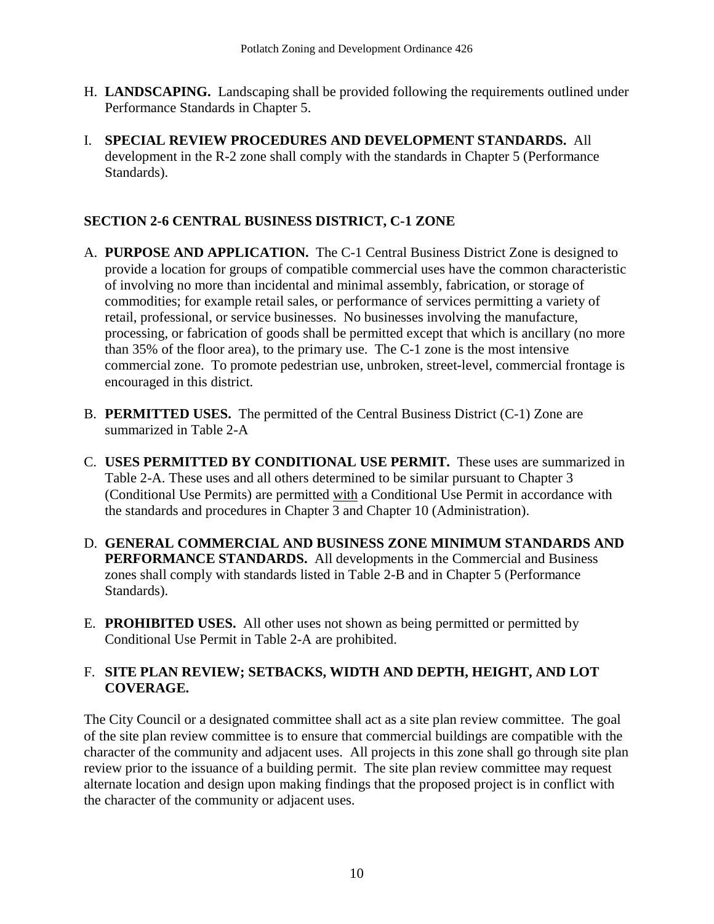- H. **LANDSCAPING.** Landscaping shall be provided following the requirements outlined under Performance Standards in Chapter 5.
- I. **SPECIAL REVIEW PROCEDURES AND DEVELOPMENT STANDARDS.** All development in the R-2 zone shall comply with the standards in Chapter 5 (Performance Standards).

## **SECTION 2-6 CENTRAL BUSINESS DISTRICT, C-1 ZONE**

- A. **PURPOSE AND APPLICATION.** The C-1 Central Business District Zone is designed to provide a location for groups of compatible commercial uses have the common characteristic of involving no more than incidental and minimal assembly, fabrication, or storage of commodities; for example retail sales, or performance of services permitting a variety of retail, professional, or service businesses. No businesses involving the manufacture, processing, or fabrication of goods shall be permitted except that which is ancillary (no more than 35% of the floor area), to the primary use. The C-1 zone is the most intensive commercial zone. To promote pedestrian use, unbroken, street-level, commercial frontage is encouraged in this district.
- B. **PERMITTED USES.** The permitted of the Central Business District (C-1) Zone are summarized in Table 2-A
- C. **USES PERMITTED BY CONDITIONAL USE PERMIT.** These uses are summarized in Table 2-A. These uses and all others determined to be similar pursuant to Chapter 3 (Conditional Use Permits) are permitted with a Conditional Use Permit in accordance with the standards and procedures in Chapter 3 and Chapter 10 (Administration).
- D. **GENERAL COMMERCIAL AND BUSINESS ZONE MINIMUM STANDARDS AND PERFORMANCE STANDARDS.** All developments in the Commercial and Business zones shall comply with standards listed in Table 2-B and in Chapter 5 (Performance Standards).
- E. **PROHIBITED USES.** All other uses not shown as being permitted or permitted by Conditional Use Permit in Table 2-A are prohibited.

## F. **SITE PLAN REVIEW; SETBACKS, WIDTH AND DEPTH, HEIGHT, AND LOT COVERAGE.**

The City Council or a designated committee shall act as a site plan review committee. The goal of the site plan review committee is to ensure that commercial buildings are compatible with the character of the community and adjacent uses. All projects in this zone shall go through site plan review prior to the issuance of a building permit. The site plan review committee may request alternate location and design upon making findings that the proposed project is in conflict with the character of the community or adjacent uses.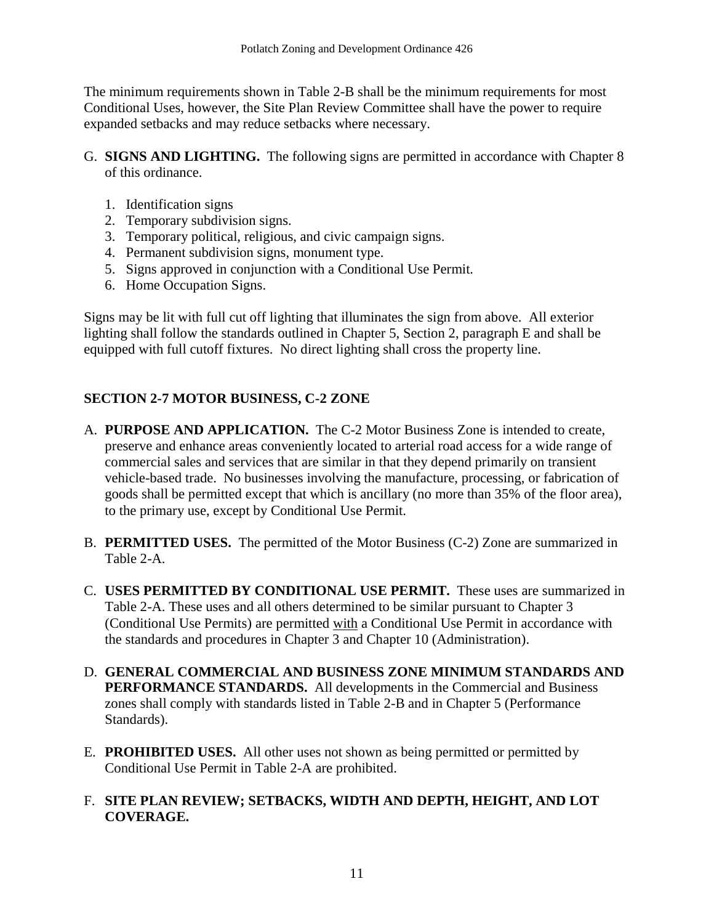The minimum requirements shown in Table 2-B shall be the minimum requirements for most Conditional Uses, however, the Site Plan Review Committee shall have the power to require expanded setbacks and may reduce setbacks where necessary.

- G. **SIGNS AND LIGHTING.** The following signs are permitted in accordance with Chapter 8 of this ordinance.
	- 1. Identification signs
	- 2. Temporary subdivision signs.
	- 3. Temporary political, religious, and civic campaign signs.
	- 4. Permanent subdivision signs, monument type.
	- 5. Signs approved in conjunction with a Conditional Use Permit.
	- 6. Home Occupation Signs.

Signs may be lit with full cut off lighting that illuminates the sign from above. All exterior lighting shall follow the standards outlined in Chapter 5, Section 2, paragraph E and shall be equipped with full cutoff fixtures. No direct lighting shall cross the property line.

## **SECTION 2-7 MOTOR BUSINESS, C-2 ZONE**

- A. **PURPOSE AND APPLICATION.** The C-2 Motor Business Zone is intended to create, preserve and enhance areas conveniently located to arterial road access for a wide range of commercial sales and services that are similar in that they depend primarily on transient vehicle-based trade. No businesses involving the manufacture, processing, or fabrication of goods shall be permitted except that which is ancillary (no more than 35% of the floor area), to the primary use, except by Conditional Use Permit.
- B. **PERMITTED USES.** The permitted of the Motor Business (C-2) Zone are summarized in Table 2-A.
- C. **USES PERMITTED BY CONDITIONAL USE PERMIT.** These uses are summarized in Table 2-A. These uses and all others determined to be similar pursuant to Chapter 3 (Conditional Use Permits) are permitted with a Conditional Use Permit in accordance with the standards and procedures in Chapter 3 and Chapter 10 (Administration).
- D. **GENERAL COMMERCIAL AND BUSINESS ZONE MINIMUM STANDARDS AND PERFORMANCE STANDARDS.** All developments in the Commercial and Business zones shall comply with standards listed in Table 2-B and in Chapter 5 (Performance Standards).
- E. **PROHIBITED USES.** All other uses not shown as being permitted or permitted by Conditional Use Permit in Table 2-A are prohibited.

## F. **SITE PLAN REVIEW; SETBACKS, WIDTH AND DEPTH, HEIGHT, AND LOT COVERAGE.**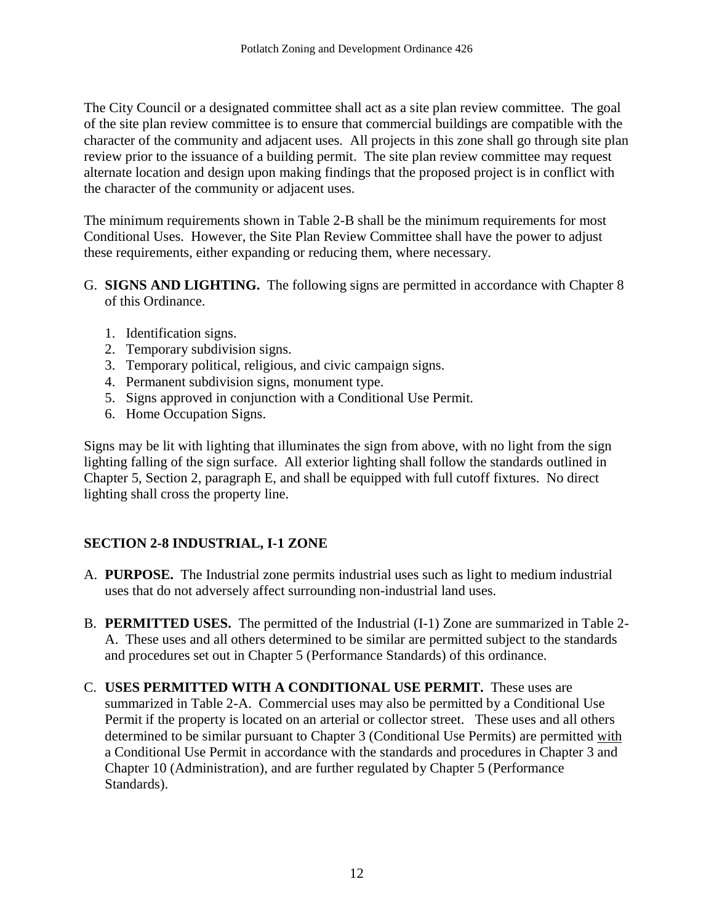The City Council or a designated committee shall act as a site plan review committee. The goal of the site plan review committee is to ensure that commercial buildings are compatible with the character of the community and adjacent uses. All projects in this zone shall go through site plan review prior to the issuance of a building permit. The site plan review committee may request alternate location and design upon making findings that the proposed project is in conflict with the character of the community or adjacent uses.

The minimum requirements shown in Table 2-B shall be the minimum requirements for most Conditional Uses. However, the Site Plan Review Committee shall have the power to adjust these requirements, either expanding or reducing them, where necessary.

- G. **SIGNS AND LIGHTING.** The following signs are permitted in accordance with Chapter 8 of this Ordinance.
	- 1. Identification signs.
	- 2. Temporary subdivision signs.
	- 3. Temporary political, religious, and civic campaign signs.
	- 4. Permanent subdivision signs, monument type.
	- 5. Signs approved in conjunction with a Conditional Use Permit.
	- 6. Home Occupation Signs.

Signs may be lit with lighting that illuminates the sign from above, with no light from the sign lighting falling of the sign surface. All exterior lighting shall follow the standards outlined in Chapter 5, Section 2, paragraph E, and shall be equipped with full cutoff fixtures. No direct lighting shall cross the property line.

## **SECTION 2-8 INDUSTRIAL, I-1 ZONE**

- A. **PURPOSE.** The Industrial zone permits industrial uses such as light to medium industrial uses that do not adversely affect surrounding non-industrial land uses.
- B. **PERMITTED USES.** The permitted of the Industrial (I-1) Zone are summarized in Table 2- A. These uses and all others determined to be similar are permitted subject to the standards and procedures set out in Chapter 5 (Performance Standards) of this ordinance.
- C. **USES PERMITTED WITH A CONDITIONAL USE PERMIT.** These uses are summarized in Table 2-A. Commercial uses may also be permitted by a Conditional Use Permit if the property is located on an arterial or collector street. These uses and all others determined to be similar pursuant to Chapter 3 (Conditional Use Permits) are permitted with a Conditional Use Permit in accordance with the standards and procedures in Chapter 3 and Chapter 10 (Administration), and are further regulated by Chapter 5 (Performance Standards).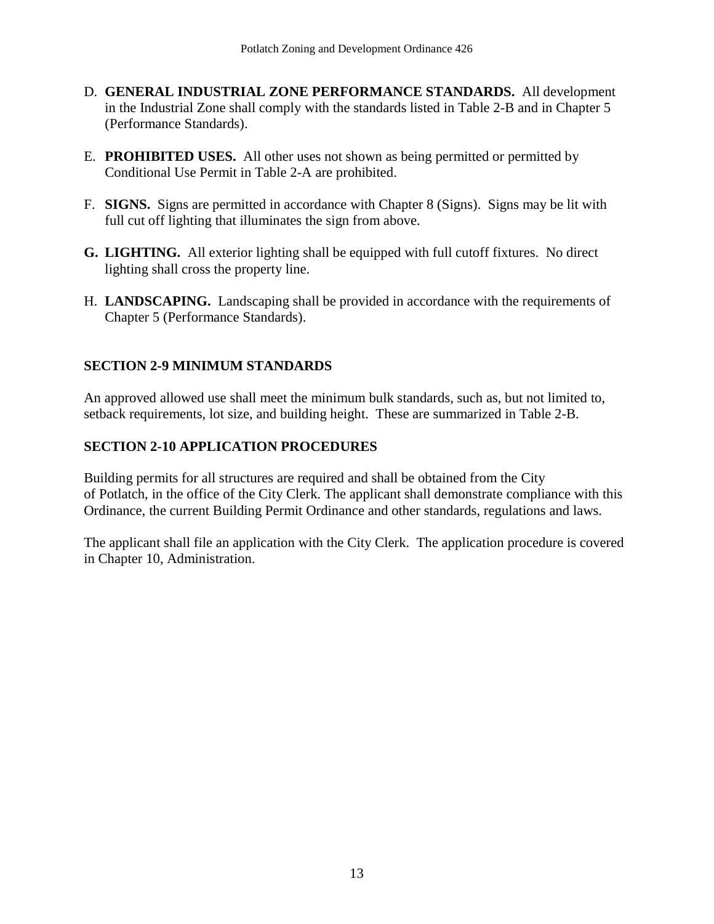- D. **GENERAL INDUSTRIAL ZONE PERFORMANCE STANDARDS.** All development in the Industrial Zone shall comply with the standards listed in Table 2-B and in Chapter 5 (Performance Standards).
- E. **PROHIBITED USES.** All other uses not shown as being permitted or permitted by Conditional Use Permit in Table 2-A are prohibited.
- F. **SIGNS.** Signs are permitted in accordance with Chapter 8 (Signs). Signs may be lit with full cut off lighting that illuminates the sign from above.
- **G. LIGHTING.** All exterior lighting shall be equipped with full cutoff fixtures. No direct lighting shall cross the property line.
- H. **LANDSCAPING.** Landscaping shall be provided in accordance with the requirements of Chapter 5 (Performance Standards).

## **SECTION 2-9 MINIMUM STANDARDS**

An approved allowed use shall meet the minimum bulk standards, such as, but not limited to, setback requirements, lot size, and building height. These are summarized in Table 2-B.

## **SECTION 2-10 APPLICATION PROCEDURES**

Building permits for all structures are required and shall be obtained from the City of Potlatch, in the office of the City Clerk. The applicant shall demonstrate compliance with this Ordinance, the current Building Permit Ordinance and other standards, regulations and laws.

The applicant shall file an application with the City Clerk. The application procedure is covered in Chapter 10, Administration.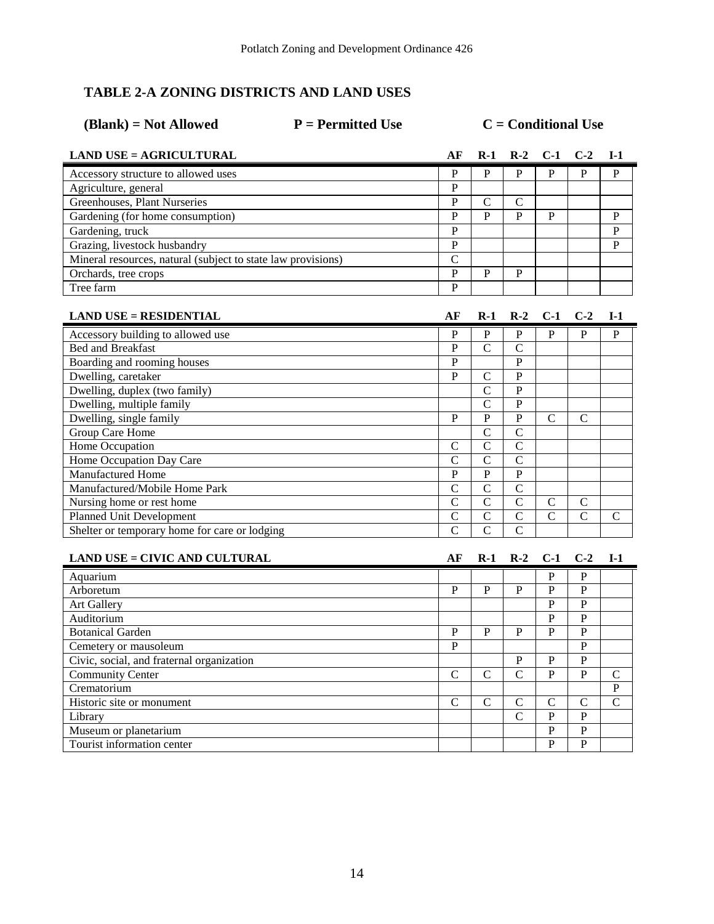## **TABLE 2-A ZONING DISTRICTS AND LAND USES**

| $(Blank) = Not$ Allowed                                      | $P = Permitted Use$ | $C =$ Conditional Use |                |                |                |                |  |
|--------------------------------------------------------------|---------------------|-----------------------|----------------|----------------|----------------|----------------|--|
| <b>LAND USE = AGRICULTURAL</b>                               | АF                  | $R-1$                 | $R-2$          | $C-1$          | $C-2$          | $I-1$          |  |
| Accessory structure to allowed uses                          | P                   | P                     | P              | P              | P              | P              |  |
| Agriculture, general                                         | $\overline{P}$      |                       |                |                |                |                |  |
| <b>Greenhouses</b> , Plant Nurseries                         | $\overline{P}$      | C                     | $\mathbf C$    |                |                |                |  |
| Gardening (for home consumption)                             | $\mathbf{P}$        | $\mathbf{P}$          | P              | $\, {\bf P}$   |                | P              |  |
| Gardening, truck                                             | $\mathbf P$         |                       |                |                |                | P              |  |
| Grazing, livestock husbandry                                 | $\overline{P}$      |                       |                |                |                | P              |  |
| Mineral resources, natural (subject to state law provisions) | $\mathcal{C}$       |                       |                |                |                |                |  |
| Orchards, tree crops                                         | $\overline{P}$      | P                     | P              |                |                |                |  |
| Tree farm                                                    | $\overline{P}$      |                       |                |                |                |                |  |
|                                                              |                     |                       |                |                |                |                |  |
| $LAND USE = RESIDENTIAL$                                     | АF                  | $R-1$                 | $R-2$          | $C-1$          | $C-2$          | $I-1$          |  |
| Accessory building to allowed use                            | P                   | P                     | P              | P              | P              | P              |  |
| <b>Bed and Breakfast</b>                                     | $\overline{P}$      | $\mathcal{C}$         | $\mathcal{C}$  |                |                |                |  |
| Boarding and rooming houses                                  | $\overline{P}$      |                       | $\mathbf{P}$   |                |                |                |  |
| Dwelling, caretaker                                          | P                   | C                     | $\mathbf{P}$   |                |                |                |  |
| Dwelling, duplex (two family)                                |                     | $\mathcal{C}$         | $\mathbf{P}$   |                |                |                |  |
| Dwelling, multiple family                                    |                     | $\mathcal{C}$         | $\mathbf P$    |                |                |                |  |
| Dwelling, single family                                      | $\mathbf{P}$        | ${\bf P}$             | $\mathbf P$    | C              | $\mathcal{C}$  |                |  |
| Group Care Home                                              |                     | $\overline{C}$        | $\overline{C}$ |                |                |                |  |
| Home Occupation                                              | $\mathbf C$         | $\overline{C}$        | $\mathcal{C}$  |                |                |                |  |
| Home Occupation Day Care                                     | $\mathbf C$         | $\mathcal{C}$         | $\overline{C}$ |                |                |                |  |
| Manufactured Home                                            | $\mathbf P$         | $\mathbf{P}$          | $\mathbf P$    |                |                |                |  |
| Manufactured/Mobile Home Park                                | $\overline{C}$      | $\overline{C}$        | $\overline{C}$ |                |                |                |  |
| Nursing home or rest home                                    | $\mathbf C$         | $\overline{C}$        | $\mathbf C$    | $\mathbf C$    | $\mathbf C$    |                |  |
| <b>Planned Unit Development</b>                              | $\overline{C}$      | $\overline{C}$        | $\overline{C}$ | $\overline{C}$ | $\overline{C}$ | $\mathsf{C}$   |  |
| Shelter or temporary home for care or lodging                | $\overline{C}$      | $\overline{C}$        | $\mathcal{C}$  |                |                |                |  |
|                                                              |                     |                       |                |                |                |                |  |
| <b>LAND USE = CIVIC AND CULTURAL</b>                         | AF                  | $R-1$                 | $R-2$          | $C-1$          | $C-2$          | $I-1$          |  |
| Aquarium                                                     |                     |                       |                | P              | P              |                |  |
| Arboretum                                                    | $\mathbf{P}$        | P                     | $\mathbf{P}$   | $\mathbf{p}$   | $\mathbf{P}$   |                |  |
| Art Gallery                                                  |                     |                       |                | $\mathbf{P}$   | $\mathbf{P}$   |                |  |
| Auditorium                                                   |                     |                       |                | $\mathbf{P}$   | $\mathbf{P}$   |                |  |
| <b>Botanical Garden</b>                                      | P                   | P                     | P              | P              | P              |                |  |
| Cemetery or mausoleum                                        | $\mathbf{P}$        |                       |                |                | $\mathbf{P}$   |                |  |
| Civic, social, and fraternal organization                    |                     |                       | P              | P              | P              |                |  |
| <b>Community Center</b>                                      | C                   | $\mathcal{C}$         | $\mathcal{C}$  | P              | P              | C              |  |
| Crematorium                                                  |                     |                       |                |                |                | P              |  |
| Historic site or monument                                    | $\overline{C}$      | $\overline{C}$        | $\overline{C}$ | $\overline{C}$ | $\overline{C}$ | $\overline{C}$ |  |

Library C P P Museum or planetarium<br>
Tourist information center<br>
P P P P

Tourist information center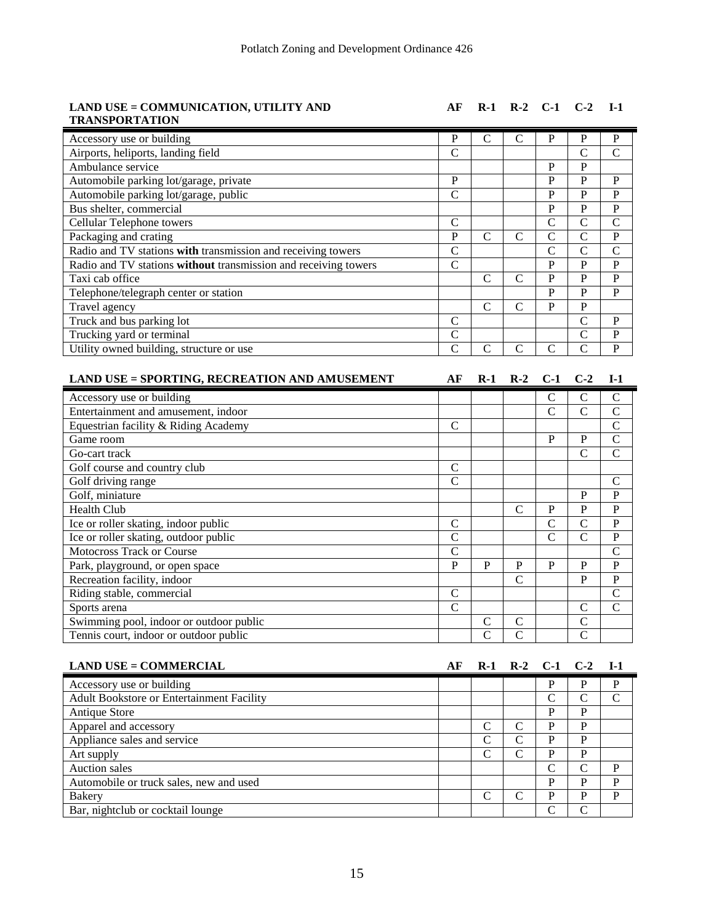#### **LAND USE = COMMUNICATION, UTILITY AND TRANSPORTATION**

**AF R-1 R-2 C-1 C-2 I-1**

| P | C | C | P            | P             | P             |
|---|---|---|--------------|---------------|---------------|
| C |   |   |              | C             | $\mathcal{C}$ |
|   |   |   | P            | P             |               |
| P |   |   | P            | P             | P             |
| C |   |   | P            | P             | P             |
|   |   |   | P            | P             | P             |
| C |   |   | $\mathsf{C}$ | C             | $\mathcal{C}$ |
| P | C | C | $\mathsf{C}$ | $\mathcal{C}$ | P             |
| C |   |   | C            | C             | $\mathcal{C}$ |
| C |   |   | P            | P             | P             |
|   | C | C | P            | P             | P             |
|   |   |   | P            | P             | P             |
|   | C |   | P            | P             |               |
| C |   |   |              | C             | P             |
| C |   |   |              | C             | P             |
|   |   | ┌ |              | C             | P             |
|   |   |   |              |               |               |

| <b>LAND USE = SPORTING, RECREATION AND AMUSEMENT</b> | AF | $R-1$ | $R-2$         | $C-1$         | $C-2$         | $I-1$         |
|------------------------------------------------------|----|-------|---------------|---------------|---------------|---------------|
| Accessory use or building                            |    |       |               | C             | C             | C             |
| Entertainment and amusement, indoor                  |    |       |               | $\mathcal{C}$ | Ċ             | $\mathsf{C}$  |
| Equestrian facility & Riding Academy                 | C  |       |               |               |               | C             |
| Game room                                            |    |       |               | P             | P             | $\mathcal{C}$ |
| Go-cart track                                        |    |       |               |               | $\mathcal{C}$ | C             |
| Golf course and country club                         | C  |       |               |               |               |               |
| Golf driving range                                   | C  |       |               |               |               | C             |
| Golf, miniature                                      |    |       |               |               | P             | P             |
| <b>Health Club</b>                                   |    |       | C             | P             | P             | P             |
| Ice or roller skating, indoor public                 | C  |       |               | C             | $\mathbf C$   | P             |
| Ice or roller skating, outdoor public                | C  |       |               | $\mathcal{C}$ | $\mathbf C$   | P             |
| <b>Motocross Track or Course</b>                     | C  |       |               |               |               | C             |
| Park, playground, or open space                      | P  | P     | P             | P             | P             | P             |
| Recreation facility, indoor                          |    |       | C             |               | P             | $\mathbf P$   |
| Riding stable, commercial                            | C  |       |               |               |               | C             |
| Sports arena                                         | C  |       |               |               | $\mathcal{C}$ | C             |
| Swimming pool, indoor or outdoor public              |    | C     | C             |               | C             |               |
| Tennis court, indoor or outdoor public               |    |       | $\mathcal{C}$ |               | $\mathbf C$   |               |

| <b>LAND USE = COMMERCIAL</b>                     | АF | $R-1$ $R-2$ $C-1$ $C-2$ |   |           | <b>I</b> -1 |
|--------------------------------------------------|----|-------------------------|---|-----------|-------------|
| Accessory use or building                        |    |                         | D | P         | P           |
| <b>Adult Bookstore or Entertainment Facility</b> |    |                         | ⊂ |           | C           |
| Antique Store                                    |    |                         | D | P         |             |
| Apparel and accessory                            |    |                         | D | P         |             |
| Appliance sales and service                      |    |                         | D | P         |             |
| Art supply                                       |    |                         | D | P         |             |
| <b>Auction</b> sales                             |    |                         | ⊂ | C         | P           |
| Automobile or truck sales, new and used          |    |                         | D | P         | P           |
| <b>Bakery</b>                                    |    |                         | D | P         | P           |
| Bar, nightclub or cocktail lounge                |    |                         |   | $\subset$ |             |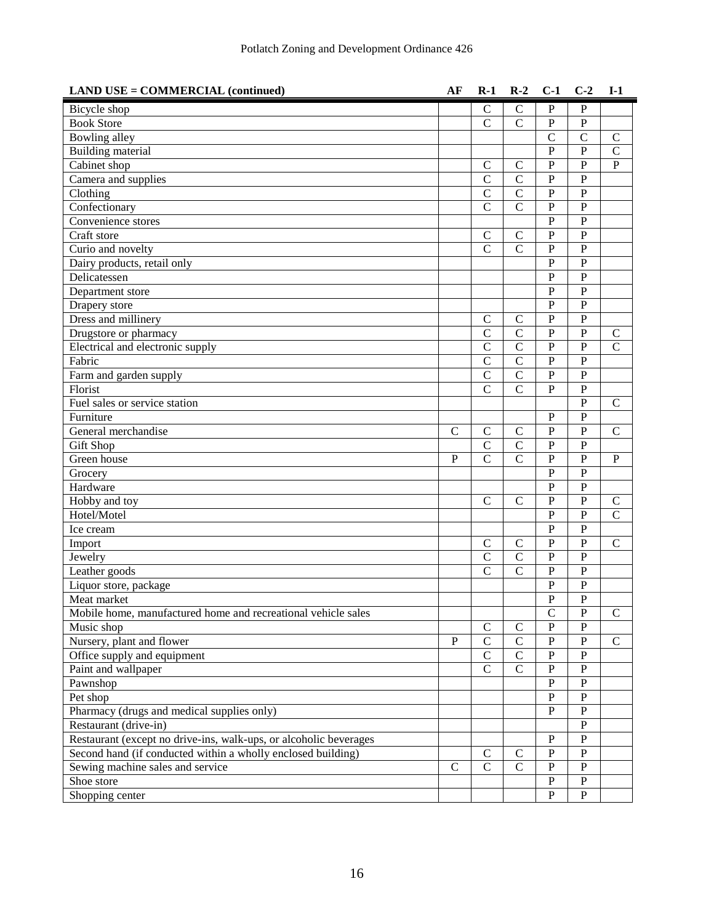| <b>LAND USE = COMMERCIAL (continued)</b>                          | AF            | $R-1$          | $R-2$         | $C-1$          | $C-2$          | $I-1$         |
|-------------------------------------------------------------------|---------------|----------------|---------------|----------------|----------------|---------------|
| Bicycle shop                                                      |               | $\mathcal{C}$  | $\mathcal{C}$ | P              | $\mathbf{P}$   |               |
| <b>Book Store</b>                                                 |               | $\mathcal{C}$  | $\mathcal{C}$ | $\mathbf{P}$   | $\mathbf{P}$   |               |
| Bowling alley                                                     |               |                |               | $\mathbf C$    | $\mathcal{C}$  | $\mathbf C$   |
| <b>Building material</b>                                          |               |                |               | $\overline{P}$ | $\mathbf P$    | $\mathsf{C}$  |
| Cabinet shop                                                      |               | $\mathsf{C}$   | $\mathsf{C}$  | $\overline{P}$ | $\overline{P}$ | $\mathbf{P}$  |
| Camera and supplies                                               |               | $\mathcal{C}$  | $\mathcal{C}$ | $\overline{P}$ | $\overline{P}$ |               |
| Clothing                                                          |               | $\mathsf{C}$   | $\mathbf C$   | $\overline{P}$ | $\mathbf{P}$   |               |
| Confectionary                                                     |               | $\overline{C}$ | $\mathcal{C}$ | $\mathbf{P}$   | ${\bf P}$      |               |
| Convenience stores                                                |               |                |               | $\overline{P}$ | $\mathbf P$    |               |
| Craft store                                                       |               | $\mathcal{C}$  | $\mathcal{C}$ | $\overline{P}$ | $\overline{P}$ |               |
| Curio and novelty                                                 |               | $\mathcal{C}$  | $\mathcal{C}$ | $\overline{P}$ | $\overline{P}$ |               |
| Dairy products, retail only                                       |               |                |               | $\mathbf{P}$   | $\mathbf{P}$   |               |
| Delicatessen                                                      |               |                |               | P              | $\mathbf{P}$   |               |
| Department store                                                  |               |                |               | P              | $\mathbf P$    |               |
| Drapery store                                                     |               |                |               | $\mathbf{P}$   | $\overline{P}$ |               |
| Dress and millinery                                               |               | $\mathcal{C}$  | $\mathcal{C}$ | $\overline{P}$ | $\overline{P}$ |               |
| Drugstore or pharmacy                                             |               | $\mathsf{C}$   | $\mathsf{C}$  | $\overline{P}$ | $\mathbf{P}$   | $\mathsf{C}$  |
| Electrical and electronic supply                                  |               | $\mathcal{C}$  | $\mathcal{C}$ | $\overline{P}$ | $\overline{P}$ | $\mathcal{C}$ |
| Fabric                                                            |               | $\mathcal{C}$  | $\mathbf C$   | $\overline{P}$ | $\mathbf P$    |               |
| Farm and garden supply                                            |               | $\mathcal{C}$  | $\mathbf C$   | $\overline{P}$ | $\overline{P}$ |               |
| Florist                                                           |               | $\mathcal{C}$  | $\mathcal{C}$ | $\mathbf{P}$   | $\overline{P}$ |               |
| Fuel sales or service station                                     |               |                |               |                | $\overline{P}$ | $\mathsf{C}$  |
| Furniture                                                         |               |                |               | $\mathbf{P}$   | $\overline{P}$ |               |
| General merchandise                                               | $\mathcal{C}$ | $\mathsf{C}$   | $\mathsf{C}$  | $\mathbf P$    | ${\bf P}$      | $\mathsf{C}$  |
| <b>Gift Shop</b>                                                  |               | $\mathcal{C}$  | $\mathbf C$   | $\overline{P}$ | $\overline{P}$ |               |
| Green house                                                       | $\mathbf{P}$  | $\mathcal{C}$  | $\mathcal{C}$ | $\overline{P}$ | $\overline{P}$ | $\mathbf{P}$  |
| Grocery                                                           |               |                |               | $\mathbf{P}$   | $\overline{P}$ |               |
| Hardware                                                          |               |                |               | P              | $\mathbf{P}$   |               |
| Hobby and toy                                                     |               | $\mathcal{C}$  | $\mathcal{C}$ | $\overline{P}$ | $\mathbf P$    | $\mathsf{C}$  |
| Hotel/Motel                                                       |               |                |               | $\overline{P}$ | $\overline{P}$ | $\mathsf{C}$  |
| Ice cream                                                         |               |                |               | $\overline{P}$ | $\overline{P}$ |               |
| Import                                                            |               | $\mathcal{C}$  | $\mathcal{C}$ | P              | $\mathbf{P}$   | $\mathsf{C}$  |
| Jewelry                                                           |               | $\mathsf{C}$   | $\mathsf{C}$  | $\mathbf{P}$   | $\overline{P}$ |               |
| Leather goods                                                     |               | $\mathcal{C}$  | $\mathcal{C}$ | $\mathbf P$    | $\mathbf P$    |               |
| Liquor store, package                                             |               |                |               | $\mathbf P$    | $\mathbf P$    |               |
| Meat market                                                       |               |                |               | $\overline{P}$ | $\overline{P}$ |               |
| Mobile home, manufactured home and recreational vehicle sales     |               |                |               | $\mathbf C$    | ${\bf P}$      | $\mathsf{C}$  |
| Music shop                                                        |               | $\mathcal{C}$  | $\mathsf{C}$  | $\overline{P}$ | $\overline{P}$ |               |
| Nursery, plant and flower                                         | $\mathbf P$   | $\mathcal{C}$  | $\mathbf C$   | $\, {\bf P}$   | ${\bf P}$      | $\mathsf{C}$  |
| Office supply and equipment                                       |               | $\mathcal{C}$  | $\mathsf{C}$  | $\mathbf P$    | ${\bf P}$      |               |
| Paint and wallpaper                                               |               | $\mathcal{C}$  | $\mathbf C$   | $\overline{P}$ | $\overline{P}$ |               |
| Pawnshop                                                          |               |                |               | $\mathbf P$    | ${\bf P}$      |               |
| Pet shop                                                          |               |                |               | $\mathbf P$    | ${\bf P}$      |               |
| Pharmacy (drugs and medical supplies only)                        |               |                |               | $\mathbf P$    | ${\bf P}$      |               |
| Restaurant (drive-in)                                             |               |                |               |                | ${\bf P}$      |               |
| Restaurant (except no drive-ins, walk-ups, or alcoholic beverages |               |                |               | $\mathbf{P}$   | ${\bf P}$      |               |
| Second hand (if conducted within a wholly enclosed building)      |               | $\mathsf{C}$   | $\mathsf{C}$  | $\mathbf P$    | ${\bf P}$      |               |
| Sewing machine sales and service                                  | $\mathcal{C}$ | $\mathcal{C}$  | $\mathbf C$   | $\mathbf P$    | ${\bf P}$      |               |
| Shoe store                                                        |               |                |               | ${\bf P}$      | ${\bf P}$      |               |
| Shopping center                                                   |               |                |               | $\overline{P}$ | $\mathbf{P}$   |               |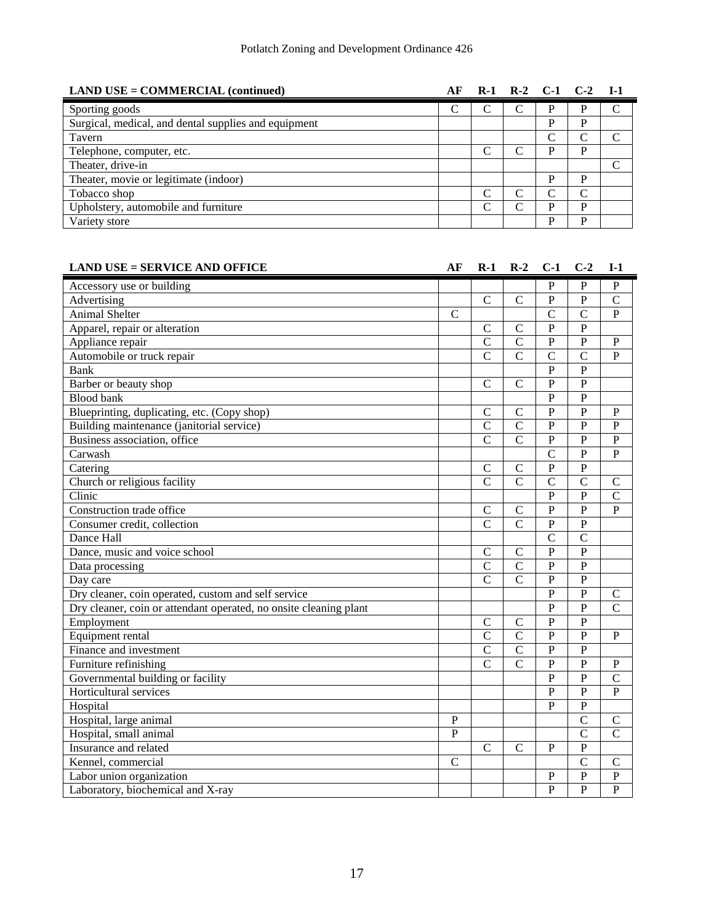| $LAND \text{ USE} = \text{COMMERCLAL}$ (continued)   | АF |  | R-1 R-2 C-1 C-2 I-1 |   |                             |
|------------------------------------------------------|----|--|---------------------|---|-----------------------------|
| Sporting goods                                       | C  |  | D                   | D | $\mathcal{C}$               |
| Surgical, medical, and dental supplies and equipment |    |  | D                   | D |                             |
| Tavern                                               |    |  |                     |   | C                           |
| Telephone, computer, etc.                            |    |  | D                   | D |                             |
| Theater, drive-in                                    |    |  |                     |   | $\mathcal{C}_{\mathcal{C}}$ |
| Theater, movie or legitimate (indoor)                |    |  | D                   | D |                             |
| Tobacco shop                                         |    |  |                     |   |                             |
| Upholstery, automobile and furniture                 |    |  |                     | D |                             |
| Variety store                                        |    |  | D                   | D |                             |

| <b>LAND USE = SERVICE AND OFFICE</b>                              | AF           | $R-1$          | $R-2$          | $C-1$          | $C-2$          | $I-1$          |
|-------------------------------------------------------------------|--------------|----------------|----------------|----------------|----------------|----------------|
| Accessory use or building                                         |              |                |                | $\mathbf{P}$   | $\mathbf{P}$   | P              |
| Advertising                                                       |              | $\mathbf C$    | $\mathbf C$    | $\overline{P}$ | $\overline{P}$ | $\overline{C}$ |
| Animal Shelter                                                    | $\mathsf{C}$ |                |                | $\mathcal{C}$  | $\mathcal{C}$  | $\mathbf{P}$   |
| Apparel, repair or alteration                                     |              | C              | $\mathcal{C}$  | $\mathbf{P}$   | $\mathbf{P}$   |                |
| Appliance repair                                                  |              | $\mathcal{C}$  | $\mathbf C$    | $\mathbf{P}$   | $\mathbf{P}$   | P              |
| Automobile or truck repair                                        |              | $\mathcal{C}$  | $\mathcal{C}$  | $\overline{C}$ | $\mathcal{C}$  | $\mathbf{P}$   |
| <b>Bank</b>                                                       |              |                |                | P              | $\mathbf{P}$   |                |
| Barber or beauty shop                                             |              | $\mathcal{C}$  | $\mathsf{C}$   | $\mathbf{P}$   | $\overline{P}$ |                |
| <b>Blood bank</b>                                                 |              |                |                | $\mathbf{P}$   | $\overline{P}$ |                |
| Blueprinting, duplicating, etc. (Copy shop)                       |              | $\mathcal{C}$  | $\mathbf C$    | $\mathbf{P}$   | $\overline{P}$ | $\mathbf{P}$   |
| Building maintenance (janitorial service)                         |              | $\mathcal{C}$  | $\mathsf{C}$   | $\mathbf{P}$   | $\overline{P}$ | $\mathbf{P}$   |
| Business association, office                                      |              | $\mathcal{C}$  | $\mathcal{C}$  | $\mathbf{P}$   | $\overline{P}$ | $\mathbf{P}$   |
| Carwash                                                           |              |                |                | $\overline{C}$ | $\overline{P}$ | $\mathbf{P}$   |
| Catering                                                          |              | $\mathcal{C}$  | $\mathbf C$    | $\overline{P}$ | $\overline{P}$ |                |
| Church or religious facility                                      |              | $\overline{C}$ | $\overline{C}$ | $\overline{C}$ | $\overline{C}$ | $\mathsf{C}$   |
| Clinic                                                            |              |                |                | $\mathbf{P}$   | $\overline{P}$ | $\overline{C}$ |
| Construction trade office                                         |              | $\mathbf C$    | $\mathbf C$    | $\overline{P}$ | $\overline{P}$ | $\mathbf{P}$   |
| Consumer credit, collection                                       |              | $\overline{C}$ | $\overline{C}$ | $\mathbf{P}$   | $\overline{P}$ |                |
| Dance Hall                                                        |              |                |                | $\overline{C}$ | $\overline{C}$ |                |
| Dance, music and voice school                                     |              | $\mathcal{C}$  | $\mathsf{C}$   | $\mathbf{P}$   | $\overline{P}$ |                |
| Data processing                                                   |              | $\overline{C}$ | $\overline{C}$ | $\mathbf{P}$   | $\overline{P}$ |                |
| Day care                                                          |              | $\mathcal{C}$  | $\mathcal{C}$  | $\mathbf{P}$   | $\overline{P}$ |                |
| Dry cleaner, coin operated, custom and self service               |              |                |                | P              | $\overline{P}$ | $\mathsf{C}$   |
| Dry cleaner, coin or attendant operated, no onsite cleaning plant |              |                |                | $\mathbf{P}$   | $\overline{P}$ | $\overline{C}$ |
| Employment                                                        |              | $\mathcal{C}$  | $\mathbf C$    | $\overline{P}$ | $\overline{P}$ |                |
| Equipment rental                                                  |              | $\mathcal{C}$  | $\mathsf{C}$   | $\mathbf{P}$   | $\overline{P}$ | $\mathbf{P}$   |
| Finance and investment                                            |              | $\overline{C}$ | $\mathbf C$    | $\mathbf{P}$   | $\overline{P}$ |                |
| Furniture refinishing                                             |              | $\mathcal{C}$  | $\mathcal{C}$  | $\mathbf{P}$   | $\overline{P}$ | P              |
| Governmental building or facility                                 |              |                |                | $\mathbf{P}$   | $\overline{P}$ | $\mathsf{C}$   |
| Horticultural services                                            |              |                |                | $\mathbf{P}$   | $\overline{P}$ | P              |
| Hospital                                                          |              |                |                | P              | $\mathbf{P}$   |                |
| Hospital, large animal                                            | $\mathbf{P}$ |                |                |                | $\overline{C}$ | $\mathsf{C}$   |
| Hospital, small animal                                            | P            |                |                |                | $\overline{C}$ | $\mathsf{C}$   |
| Insurance and related                                             |              | $\mathcal{C}$  | $\mathcal{C}$  | P              | $\overline{P}$ |                |
| Kennel, commercial                                                | $\mathbf C$  |                |                |                | $\overline{C}$ | $\mathsf{C}$   |
| Labor union organization                                          |              |                |                | $\mathbf{P}$   | $\, {\bf P}$   | $\mathbf P$    |
| Laboratory, biochemical and X-ray                                 |              |                |                | $\overline{P}$ | $\overline{P}$ | $\overline{P}$ |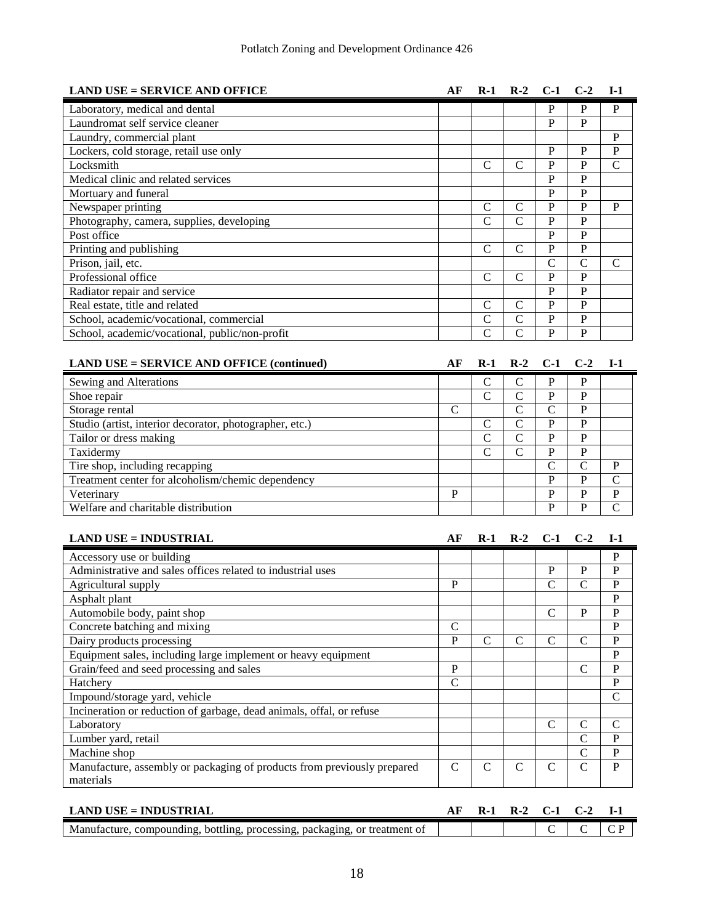| <b>LAND USE = SERVICE AND OFFICE</b>                    | AF           | $R-1$          | $R-2$          | $C-1$          | $C-2$          | $I-1$          |
|---------------------------------------------------------|--------------|----------------|----------------|----------------|----------------|----------------|
| Laboratory, medical and dental                          |              |                |                | P              | P              | P              |
| Laundromat self service cleaner                         |              |                |                | P              | $\mathbf{P}$   |                |
| Laundry, commercial plant                               |              |                |                |                |                | P              |
| Lockers, cold storage, retail use only                  |              |                |                | P              | P              | $\mathbf{P}$   |
| Locksmith                                               |              | $\mathcal{C}$  | $\mathcal{C}$  | P              | P              | $\mathcal{C}$  |
| Medical clinic and related services                     |              |                |                | $\mathbf{P}$   | $\mathbf{P}$   |                |
| Mortuary and funeral                                    |              |                |                | P              | $\mathbf{P}$   |                |
| Newspaper printing                                      |              | $\mathsf{C}$   | $\mathcal{C}$  | P              | $\mathbf{P}$   | P              |
| Photography, camera, supplies, developing               |              | $\mathsf{C}$   | $\overline{C}$ | $\mathbf{P}$   | $\overline{P}$ |                |
| Post office                                             |              |                |                | P              | $\mathbf{P}$   |                |
| Printing and publishing                                 |              | $\mathsf{C}$   | $\overline{C}$ | $\mathbf{P}$   | $\overline{P}$ |                |
| Prison, jail, etc.                                      |              |                |                | $\overline{C}$ | $\mathcal{C}$  | $\mathcal{C}$  |
| Professional office                                     |              | $\mathcal{C}$  | $\mathcal{C}$  | $\mathbf{P}$   | $\overline{P}$ |                |
| Radiator repair and service                             |              |                |                | $\overline{P}$ | $\overline{P}$ |                |
| Real estate, title and related                          |              | $\mathcal{C}$  | $\mathcal{C}$  | $\overline{P}$ | $\overline{P}$ |                |
| School, academic/vocational, commercial                 |              | $\mathbf C$    | $\mathcal{C}$  | $\mathbf{P}$   | $\mathbf{P}$   |                |
| School, academic/vocational, public/non-profit          |              | $\overline{C}$ | $\overline{C}$ | $\mathbf{P}$   | $\overline{P}$ |                |
| <b>LAND USE = SERVICE AND OFFICE (continued)</b>        | AF           | $R-1$          | $R-2$          | $C-1$          | $C-2$          | <b>I-1</b>     |
| Sewing and Alterations                                  |              | $\mathbf C$    | $\mathbf C$    | ${\bf P}$      | P              |                |
| Shoe repair                                             |              | $\mathcal{C}$  | $\overline{C}$ | $\mathbf{P}$   | P              |                |
| Storage rental                                          | $\mathsf{C}$ |                | $\overline{C}$ | $\overline{C}$ | $\overline{P}$ |                |
| Studio (artist, interior decorator, photographer, etc.) |              | $\mathcal{C}$  | $\overline{C}$ | $\mathbf{P}$   | $\mathbf{P}$   |                |
| Tailor or dress making                                  |              | $\overline{C}$ | $\overline{C}$ | $\mathbf{P}$   | $\overline{P}$ |                |
| Taxidermy                                               |              | $\mathsf{C}$   | $\overline{C}$ | $\overline{P}$ | P              |                |
| Tire shop, including recapping                          |              |                |                | $\overline{C}$ | $\overline{C}$ | P              |
| Treatment center for alcoholism/chemic dependency       |              |                |                | $\overline{P}$ | $\overline{P}$ | $\overline{C}$ |
| Veterinary                                              | P            |                |                | P              | P              | $\mathbf{P}$   |
| Welfare and charitable distribution                     |              |                |                | $\mathbf{P}$   | $\overline{P}$ | $\overline{C}$ |

| <b>LAND USE = INDUSTRIAL</b>                                            | АF | $R-1$         |   | $R-2$ $C-1$ $C-2$ |              | $I-1$         |
|-------------------------------------------------------------------------|----|---------------|---|-------------------|--------------|---------------|
| Accessory use or building                                               |    |               |   |                   |              | P             |
| Administrative and sales offices related to industrial uses             |    |               |   | P                 | P            | P             |
| Agricultural supply                                                     | P  |               |   | C                 | C            | P             |
| Asphalt plant                                                           |    |               |   |                   |              | P             |
| Automobile body, paint shop                                             |    |               |   | $\mathcal{C}$     | P            | P             |
| Concrete batching and mixing                                            | C  |               |   |                   |              | P             |
| Dairy products processing                                               | P  | C             |   | $\mathsf{C}$      | C            | P             |
| Equipment sales, including large implement or heavy equipment           |    |               |   |                   |              | P             |
| Grain/feed and seed processing and sales                                | P  |               |   |                   | C            | P             |
| Hatchery                                                                | C  |               |   |                   |              | P             |
| Impound/storage yard, vehicle                                           |    |               |   |                   |              | $\mathcal{C}$ |
| Incineration or reduction of garbage, dead animals, offal, or refuse    |    |               |   |                   |              |               |
| Laboratory                                                              |    |               |   | $\mathcal{C}$     | C            | C             |
| Lumber yard, retail                                                     |    |               |   |                   | C            | P             |
| Machine shop                                                            |    |               |   |                   | C            | P             |
| Manufacture, assembly or packaging of products from previously prepared | C  | $\mathcal{C}$ | C | C                 | $\mathsf{C}$ | P             |
| materials                                                               |    |               |   |                   |              |               |

| <b>LAND USE = INDUSTRIAL</b>                                                       |  | R-2 | ( 1-1 |  |
|------------------------------------------------------------------------------------|--|-----|-------|--|
| Manufacture.<br>, bottling, processing, packaging, or treatment of<br>compounding. |  |     |       |  |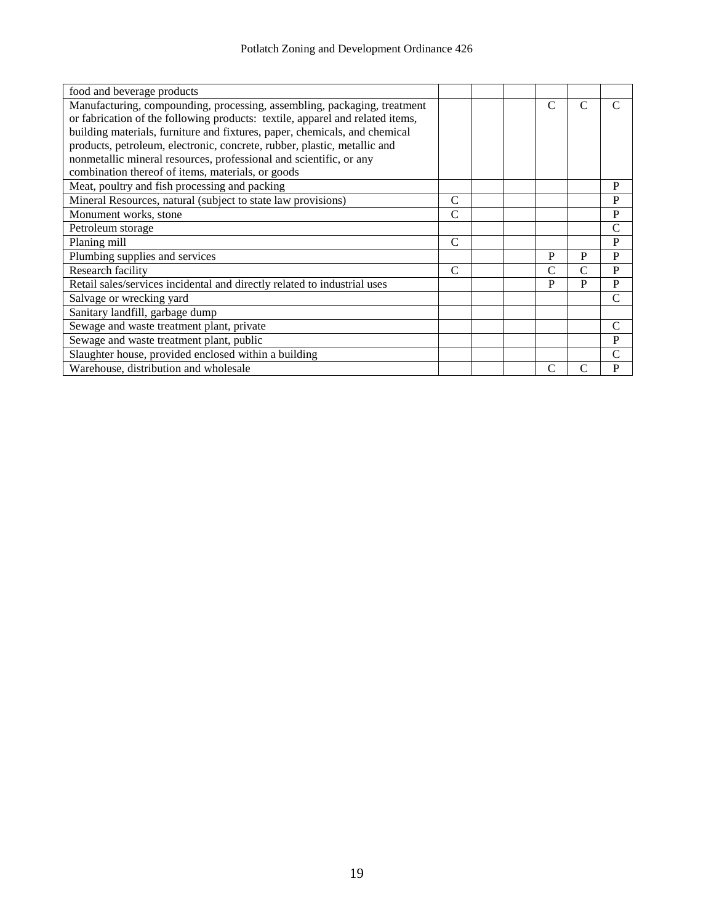| food and beverage products                                                    |   |  |   |   |               |
|-------------------------------------------------------------------------------|---|--|---|---|---------------|
| Manufacturing, compounding, processing, assembling, packaging, treatment      |   |  | C | C | $\subset$     |
| or fabrication of the following products: textile, apparel and related items, |   |  |   |   |               |
| building materials, furniture and fixtures, paper, chemicals, and chemical    |   |  |   |   |               |
| products, petroleum, electronic, concrete, rubber, plastic, metallic and      |   |  |   |   |               |
| nonmetallic mineral resources, professional and scientific, or any            |   |  |   |   |               |
| combination thereof of items, materials, or goods                             |   |  |   |   |               |
| Meat, poultry and fish processing and packing                                 |   |  |   |   | P             |
| Mineral Resources, natural (subject to state law provisions)                  | C |  |   |   | $\mathbf P$   |
| Monument works, stone                                                         | C |  |   |   | $\mathbf P$   |
| Petroleum storage                                                             |   |  |   |   | $\mathcal{C}$ |
| Planing mill                                                                  | C |  |   |   | P             |
| Plumbing supplies and services                                                |   |  | P | P | $\mathbf{P}$  |
| Research facility                                                             | C |  | C | C | P             |
| Retail sales/services incidental and directly related to industrial uses      |   |  | P | P | $\mathbf P$   |
| Salvage or wrecking yard                                                      |   |  |   |   | $\mathsf{C}$  |
| Sanitary landfill, garbage dump                                               |   |  |   |   |               |
| Sewage and waste treatment plant, private                                     |   |  |   |   | $\mathcal{C}$ |
| Sewage and waste treatment plant, public                                      |   |  |   |   | P             |
| Slaughter house, provided enclosed within a building                          |   |  |   |   | C             |
| Warehouse, distribution and wholesale                                         |   |  | C | C | $\mathbf P$   |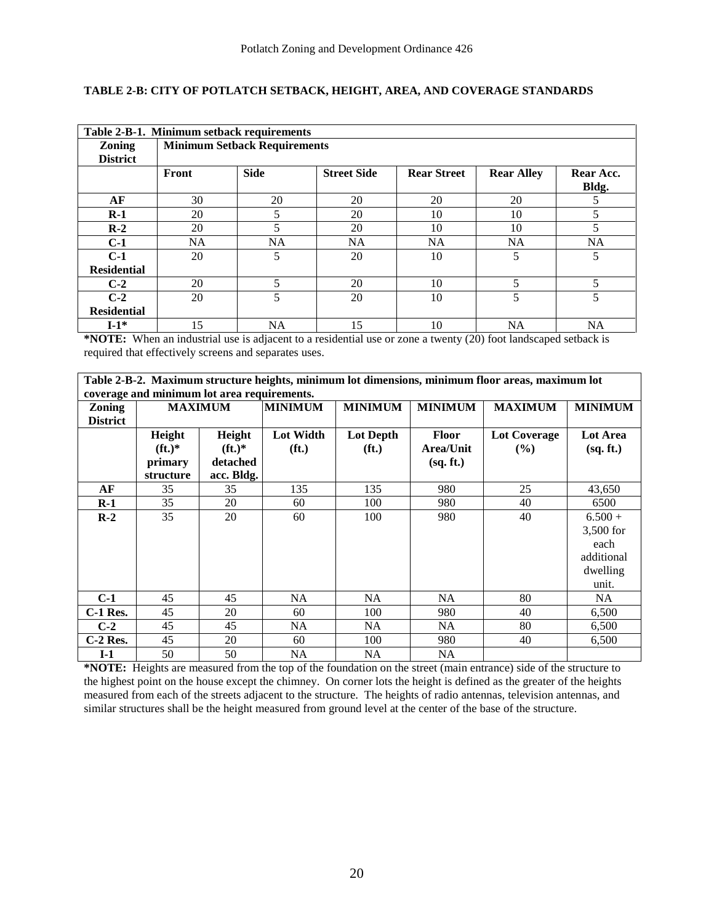#### **TABLE 2-B: CITY OF POTLATCH SETBACK, HEIGHT, AREA, AND COVERAGE STANDARDS**

|                           | Table 2-B-1. Minimum setback requirements |                                     |                    |                    |                   |                          |
|---------------------------|-------------------------------------------|-------------------------------------|--------------------|--------------------|-------------------|--------------------------|
| Zoning<br><b>District</b> |                                           | <b>Minimum Setback Requirements</b> |                    |                    |                   |                          |
|                           | Front                                     | <b>Side</b>                         | <b>Street Side</b> | <b>Rear Street</b> | <b>Rear Alley</b> | Rear Acc.<br>Bldg.       |
| AF                        | 30                                        | 20                                  | 20                 | 20                 | 20                | 5                        |
| $R-1$                     | 20                                        | 5                                   | 20                 | 10                 | 10                | 5                        |
| $R-2$                     | 20                                        | 5                                   | 20                 | 10                 | 10                | 5                        |
| $C-1$                     | <b>NA</b>                                 | <b>NA</b>                           | <b>NA</b>          | <b>NA</b>          | <b>NA</b>         | <b>NA</b>                |
| $C-1$                     | 20                                        | 5                                   | 20                 | 10                 | 5                 | 5                        |
| <b>Residential</b>        |                                           |                                     |                    |                    |                   |                          |
| $C-2$                     | 20                                        | 5                                   | 20                 | 10                 | 5                 | $\overline{\phantom{0}}$ |
| $C-2$                     | 20                                        | 5                                   | 20                 | 10                 | 5                 | $\overline{\phantom{0}}$ |
| <b>Residential</b>        |                                           |                                     |                    |                    |                   |                          |
| $I-1*$                    | 15                                        | NA                                  | 15                 | 10                 | NA                | <b>NA</b>                |

**\*NOTE:** When an industrial use is adjacent to a residential use or zone a twenty (20) foot landscaped setback is required that effectively screens and separates uses.

| Table 2-B-2. Maximum structure heights, minimum lot dimensions, minimum floor areas, maximum lot |  |
|--------------------------------------------------------------------------------------------------|--|
| coverage and minimum lot area requirements.                                                      |  |

|                 | coverage and nummum for area requirements. |                 |                   |                   |                |                |                |
|-----------------|--------------------------------------------|-----------------|-------------------|-------------------|----------------|----------------|----------------|
| <b>Zoning</b>   |                                            | <b>MAXIMUM</b>  | <b>MINIMUM</b>    | <b>MINIMUM</b>    | <b>MINIMUM</b> | <b>MAXIMUM</b> | <b>MINIMUM</b> |
| <b>District</b> |                                            |                 |                   |                   |                |                |                |
|                 | Height                                     | Height          | <b>Lot Width</b>  | <b>Lot Depth</b>  | <b>Floor</b>   | Lot Coverage   | Lot Area       |
|                 | $({\bf ft.})^*$                            | $({\bf ft.})^*$ | (f <sub>t</sub> ) | (f <sub>t</sub> ) | Area/Unit      | $($ %)         | (sq. ft.)      |
|                 | primary                                    | detached        |                   |                   | (sq. ft.)      |                |                |
|                 | structure                                  | acc. Bldg.      |                   |                   |                |                |                |
| AF              | 35                                         | 35              | 135               | 135               | 980            | 25             | 43,650         |
| $R-1$           | 35                                         | 20              | 60                | 100               | 980            | 40             | 6500           |
| $R-2$           | 35                                         | 20              | 60                | 100               | 980            | 40             | $6.500 +$      |
|                 |                                            |                 |                   |                   |                |                | 3,500 for      |
|                 |                                            |                 |                   |                   |                |                | each           |
|                 |                                            |                 |                   |                   |                |                | additional     |
|                 |                                            |                 |                   |                   |                |                | dwelling       |
|                 |                                            |                 |                   |                   |                |                | unit.          |
| $C-1$           | 45                                         | 45              | NA                | NA.               | NA             | 80             | NA.            |
| $C-1$ Res.      | 45                                         | 20              | 60                | 100               | 980            | 40             | 6,500          |
| $C-2$           | 45                                         | 45              | <b>NA</b>         | NA                | NA             | 80             | 6,500          |
| $C-2$ Res.      | 45                                         | 20              | 60                | 100               | 980            | 40             | 6,500          |
| $I-1$           | 50                                         | 50              | NA.               | NA                | <b>NA</b>      |                |                |

**\*NOTE:** Heights are measured from the top of the foundation on the street (main entrance) side of the structure to the highest point on the house except the chimney. On corner lots the height is defined as the greater of the heights measured from each of the streets adjacent to the structure. The heights of radio antennas, television antennas, and similar structures shall be the height measured from ground level at the center of the base of the structure.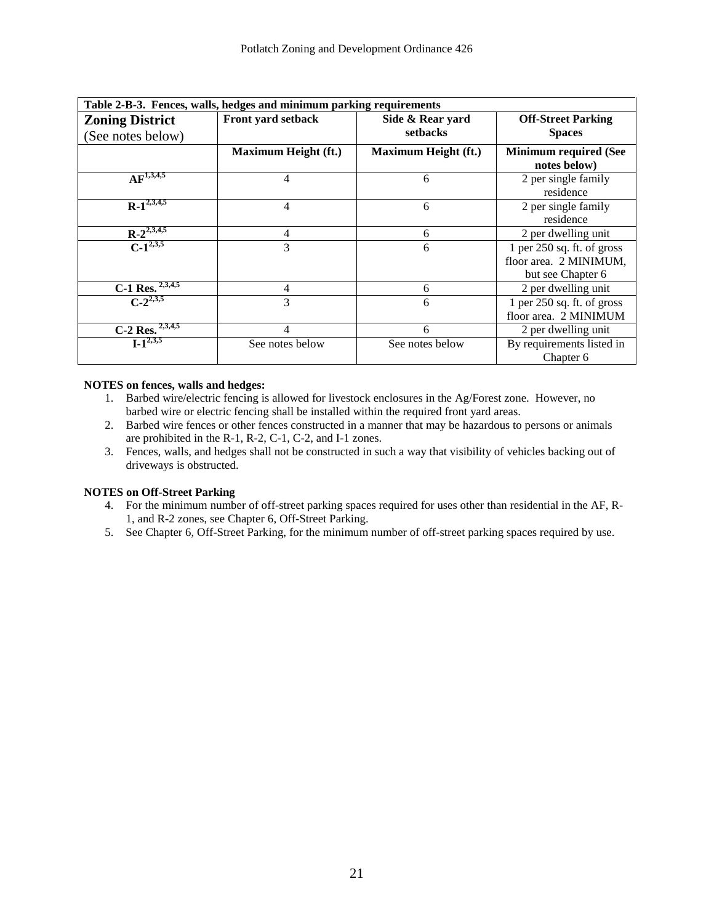| Table 2-B-3. Fences, walls, hedges and minimum parking requirements     |                             |                              |                                                                             |  |  |
|-------------------------------------------------------------------------|-----------------------------|------------------------------|-----------------------------------------------------------------------------|--|--|
| <b>Zoning District</b><br>(See notes below)                             | Front yard setback          | Side & Rear yard<br>setbacks | <b>Off-Street Parking</b><br><b>Spaces</b>                                  |  |  |
|                                                                         | <b>Maximum Height (ft.)</b> | <b>Maximum Height (ft.)</b>  | <b>Minimum required (See</b><br>notes below)                                |  |  |
| $AF^{1,3,4,5}$                                                          | 4                           | 6                            | 2 per single family<br>residence                                            |  |  |
| $R-1^{2,3,4,5}$                                                         | 4                           | 6                            | 2 per single family<br>residence                                            |  |  |
| $R-2^{2,3,4,5}$                                                         | 4                           | 6                            | 2 per dwelling unit                                                         |  |  |
| $C-1^{2,3,5}$                                                           | 3                           | 6                            | 1 per $250$ sq. ft. of gross<br>floor area. 2 MINIMUM,<br>but see Chapter 6 |  |  |
| C-1 Res. $2,3,4,5$                                                      | 4                           | 6                            | 2 per dwelling unit                                                         |  |  |
| $C-2^{2,3,5}$                                                           | 3                           | 6                            | 1 per $250$ sq. ft. of gross<br>floor area. 2 MINIMUM                       |  |  |
| $\frac{\overline{C\text{-}2 \text{ Res.}}^{2,3,4,5}}{1\cdot 1^{2,3,5}}$ | 4                           | 6                            | 2 per dwelling unit                                                         |  |  |
|                                                                         | See notes below             | See notes below              | By requirements listed in<br>Chapter 6                                      |  |  |

#### **NOTES on fences, walls and hedges:**

- 1. Barbed wire/electric fencing is allowed for livestock enclosures in the Ag/Forest zone. However, no barbed wire or electric fencing shall be installed within the required front yard areas.
- 2. Barbed wire fences or other fences constructed in a manner that may be hazardous to persons or animals are prohibited in the R-1, R-2, C-1, C-2, and I-1 zones.
- 3. Fences, walls, and hedges shall not be constructed in such a way that visibility of vehicles backing out of driveways is obstructed.

#### **NOTES on Off-Street Parking**

- 4. For the minimum number of off-street parking spaces required for uses other than residential in the AF, R-1, and R-2 zones, see Chapter 6, Off-Street Parking.
- 5. See Chapter 6, Off-Street Parking, for the minimum number of off-street parking spaces required by use.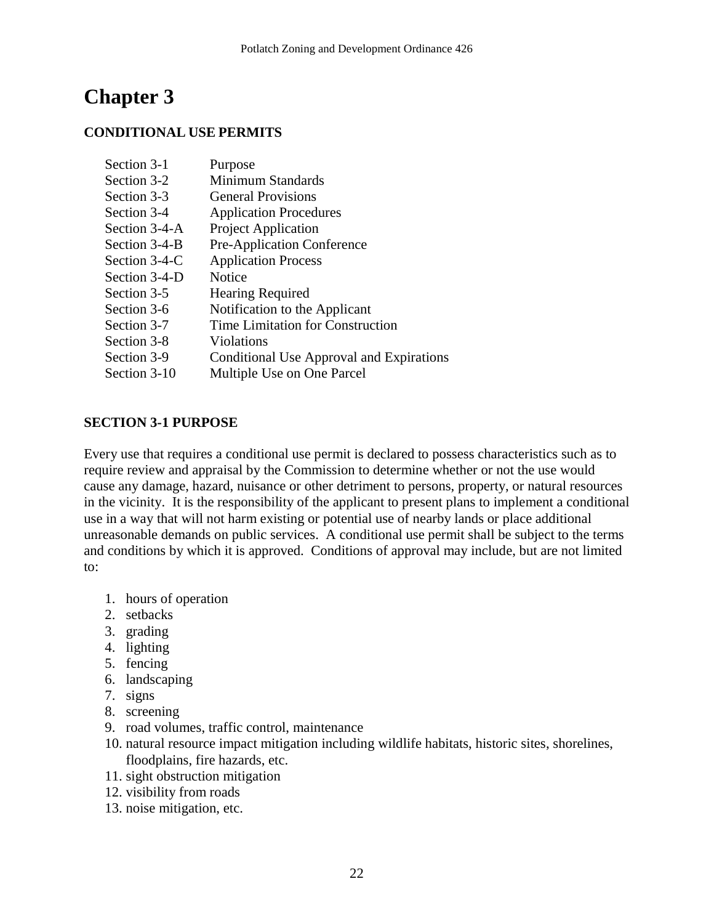# **Chapter 3**

## **CONDITIONAL USE PERMITS**

| Section 3-1   | Purpose                                  |
|---------------|------------------------------------------|
| Section 3-2   | Minimum Standards                        |
| Section 3-3   | <b>General Provisions</b>                |
| Section 3-4   | <b>Application Procedures</b>            |
| Section 3-4-A | <b>Project Application</b>               |
| Section 3-4-B | <b>Pre-Application Conference</b>        |
| Section 3-4-C | <b>Application Process</b>               |
| Section 3-4-D | <b>Notice</b>                            |
| Section 3-5   | <b>Hearing Required</b>                  |
| Section 3-6   | Notification to the Applicant            |
| Section 3-7   | Time Limitation for Construction         |
| Section 3-8   | <b>Violations</b>                        |
| Section 3-9   | Conditional Use Approval and Expirations |
| Section 3-10  | Multiple Use on One Parcel               |

## **SECTION 3-1 PURPOSE**

Every use that requires a conditional use permit is declared to possess characteristics such as to require review and appraisal by the Commission to determine whether or not the use would cause any damage, hazard, nuisance or other detriment to persons, property, or natural resources in the vicinity. It is the responsibility of the applicant to present plans to implement a conditional use in a way that will not harm existing or potential use of nearby lands or place additional unreasonable demands on public services. A conditional use permit shall be subject to the terms and conditions by which it is approved. Conditions of approval may include, but are not limited to:

- 1. hours of operation
- 2. setbacks
- 3. grading
- 4. lighting
- 5. fencing
- 6. landscaping
- 7. signs
- 8. screening
- 9. road volumes, traffic control, maintenance
- 10. natural resource impact mitigation including wildlife habitats, historic sites, shorelines, floodplains, fire hazards, etc.
- 11. sight obstruction mitigation
- 12. visibility from roads
- 13. noise mitigation, etc.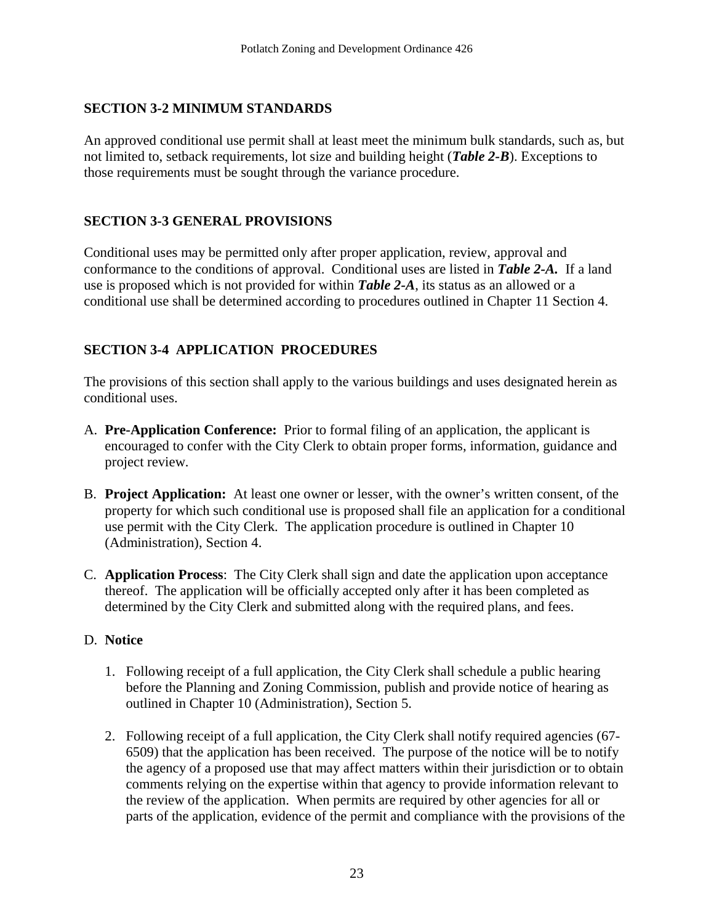## **SECTION 3-2 MINIMUM STANDARDS**

An approved conditional use permit shall at least meet the minimum bulk standards, such as, but not limited to, setback requirements, lot size and building height (*Table 2-B*). Exceptions to those requirements must be sought through the variance procedure.

## **SECTION 3-3 GENERAL PROVISIONS**

Conditional uses may be permitted only after proper application, review, approval and conformance to the conditions of approval. Conditional uses are listed in *Table 2-A.* If a land use is proposed which is not provided for within *Table 2-A*, its status as an allowed or a conditional use shall be determined according to procedures outlined in Chapter 11 Section 4.

## **SECTION 3-4 APPLICATION PROCEDURES**

The provisions of this section shall apply to the various buildings and uses designated herein as conditional uses.

- A. **Pre-Application Conference:** Prior to formal filing of an application, the applicant is encouraged to confer with the City Clerk to obtain proper forms, information, guidance and project review.
- B. **Project Application:** At least one owner or lesser, with the owner's written consent, of the property for which such conditional use is proposed shall file an application for a conditional use permit with the City Clerk. The application procedure is outlined in Chapter 10 (Administration), Section 4.
- C. **Application Process**: The City Clerk shall sign and date the application upon acceptance thereof. The application will be officially accepted only after it has been completed as determined by the City Clerk and submitted along with the required plans, and fees.

### D. **Notice**

- 1. Following receipt of a full application, the City Clerk shall schedule a public hearing before the Planning and Zoning Commission, publish and provide notice of hearing as outlined in Chapter 10 (Administration), Section 5.
- 2. Following receipt of a full application, the City Clerk shall notify required agencies (67- 6509) that the application has been received. The purpose of the notice will be to notify the agency of a proposed use that may affect matters within their jurisdiction or to obtain comments relying on the expertise within that agency to provide information relevant to the review of the application. When permits are required by other agencies for all or parts of the application, evidence of the permit and compliance with the provisions of the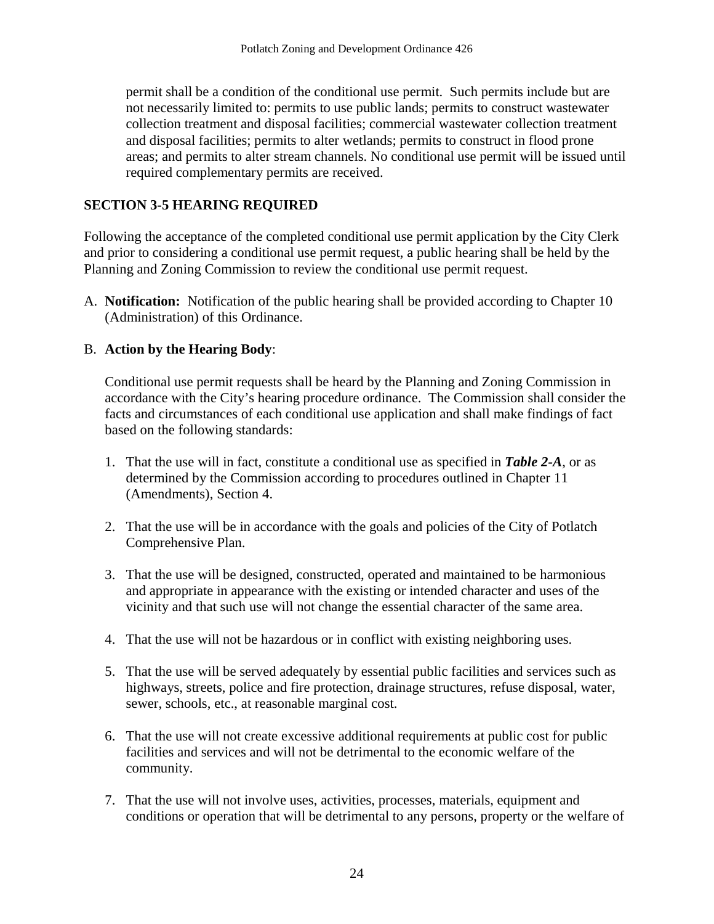permit shall be a condition of the conditional use permit. Such permits include but are not necessarily limited to: permits to use public lands; permits to construct wastewater collection treatment and disposal facilities; commercial wastewater collection treatment and disposal facilities; permits to alter wetlands; permits to construct in flood prone areas; and permits to alter stream channels. No conditional use permit will be issued until required complementary permits are received.

## **SECTION 3-5 HEARING REQUIRED**

Following the acceptance of the completed conditional use permit application by the City Clerk and prior to considering a conditional use permit request, a public hearing shall be held by the Planning and Zoning Commission to review the conditional use permit request.

A. **Notification:** Notification of the public hearing shall be provided according to Chapter 10 (Administration) of this Ordinance.

## B. **Action by the Hearing Body**:

Conditional use permit requests shall be heard by the Planning and Zoning Commission in accordance with the City's hearing procedure ordinance. The Commission shall consider the facts and circumstances of each conditional use application and shall make findings of fact based on the following standards:

- 1. That the use will in fact, constitute a conditional use as specified in *Table 2-A*, or as determined by the Commission according to procedures outlined in Chapter 11 (Amendments), Section 4.
- 2. That the use will be in accordance with the goals and policies of the City of Potlatch Comprehensive Plan.
- 3. That the use will be designed, constructed, operated and maintained to be harmonious and appropriate in appearance with the existing or intended character and uses of the vicinity and that such use will not change the essential character of the same area.
- 4. That the use will not be hazardous or in conflict with existing neighboring uses.
- 5. That the use will be served adequately by essential public facilities and services such as highways, streets, police and fire protection, drainage structures, refuse disposal, water, sewer, schools, etc., at reasonable marginal cost.
- 6. That the use will not create excessive additional requirements at public cost for public facilities and services and will not be detrimental to the economic welfare of the community.
- 7. That the use will not involve uses, activities, processes, materials, equipment and conditions or operation that will be detrimental to any persons, property or the welfare of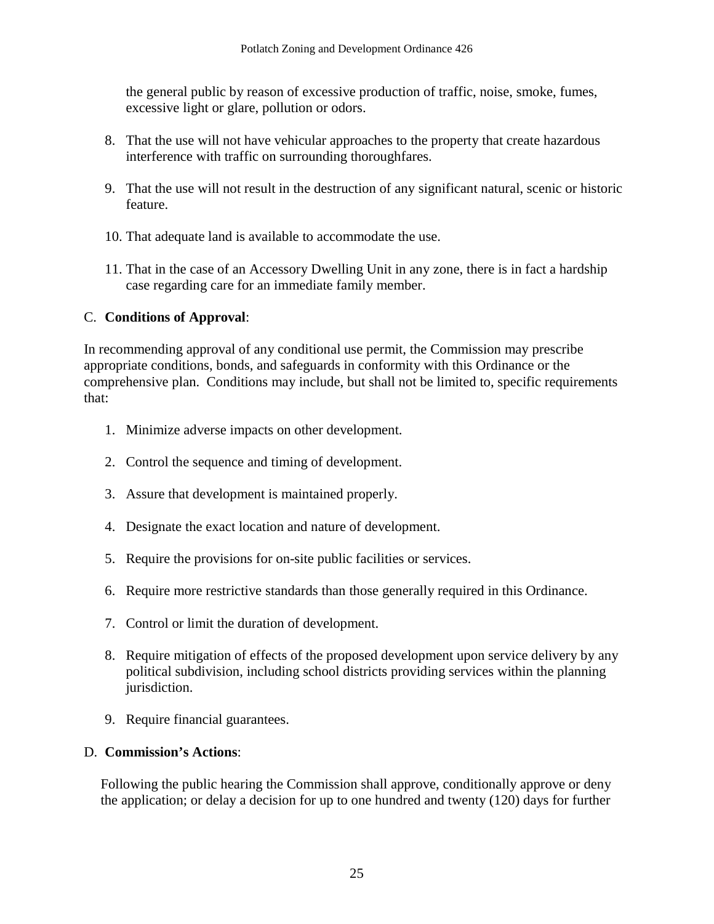the general public by reason of excessive production of traffic, noise, smoke, fumes, excessive light or glare, pollution or odors.

- 8. That the use will not have vehicular approaches to the property that create hazardous interference with traffic on surrounding thoroughfares.
- 9. That the use will not result in the destruction of any significant natural, scenic or historic feature.
- 10. That adequate land is available to accommodate the use.
- 11. That in the case of an Accessory Dwelling Unit in any zone, there is in fact a hardship case regarding care for an immediate family member.

## C. **Conditions of Approval**:

In recommending approval of any conditional use permit, the Commission may prescribe appropriate conditions, bonds, and safeguards in conformity with this Ordinance or the comprehensive plan. Conditions may include, but shall not be limited to, specific requirements that:

- 1. Minimize adverse impacts on other development.
- 2. Control the sequence and timing of development.
- 3. Assure that development is maintained properly.
- 4. Designate the exact location and nature of development.
- 5. Require the provisions for on-site public facilities or services.
- 6. Require more restrictive standards than those generally required in this Ordinance.
- 7. Control or limit the duration of development.
- 8. Require mitigation of effects of the proposed development upon service delivery by any political subdivision, including school districts providing services within the planning jurisdiction.
- 9. Require financial guarantees.

### D. **Commission's Actions**:

Following the public hearing the Commission shall approve, conditionally approve or deny the application; or delay a decision for up to one hundred and twenty (120) days for further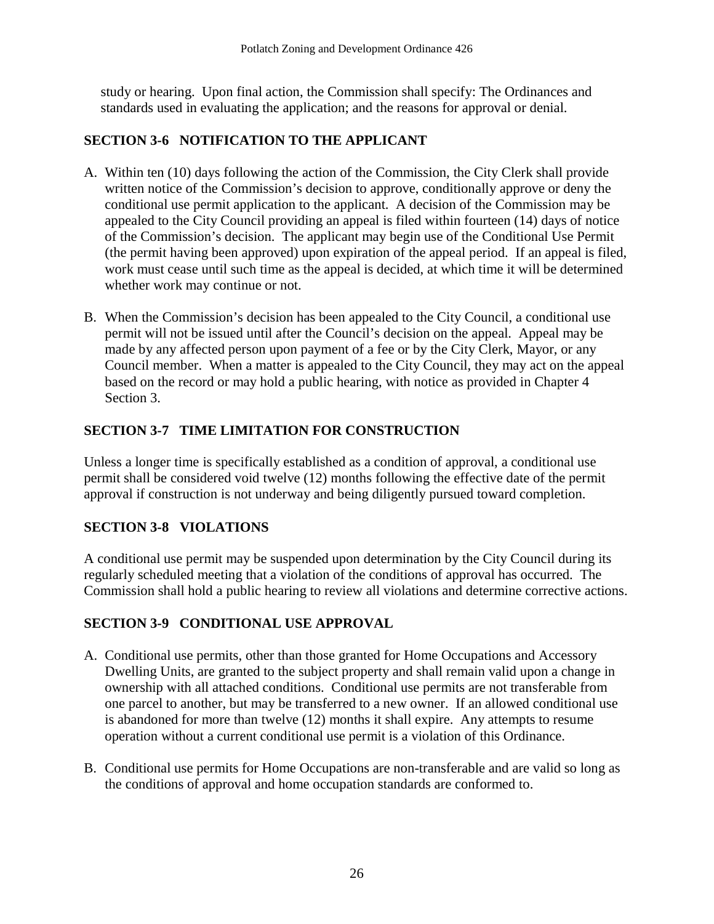study or hearing. Upon final action, the Commission shall specify: The Ordinances and standards used in evaluating the application; and the reasons for approval or denial.

## **SECTION 3-6 NOTIFICATION TO THE APPLICANT**

- A. Within ten (10) days following the action of the Commission, the City Clerk shall provide written notice of the Commission's decision to approve, conditionally approve or deny the conditional use permit application to the applicant. A decision of the Commission may be appealed to the City Council providing an appeal is filed within fourteen (14) days of notice of the Commission's decision. The applicant may begin use of the Conditional Use Permit (the permit having been approved) upon expiration of the appeal period. If an appeal is filed, work must cease until such time as the appeal is decided, at which time it will be determined whether work may continue or not.
- B. When the Commission's decision has been appealed to the City Council, a conditional use permit will not be issued until after the Council's decision on the appeal. Appeal may be made by any affected person upon payment of a fee or by the City Clerk, Mayor, or any Council member. When a matter is appealed to the City Council, they may act on the appeal based on the record or may hold a public hearing, with notice as provided in Chapter 4 Section 3.

## **SECTION 3-7 TIME LIMITATION FOR CONSTRUCTION**

Unless a longer time is specifically established as a condition of approval, a conditional use permit shall be considered void twelve (12) months following the effective date of the permit approval if construction is not underway and being diligently pursued toward completion.

## **SECTION 3-8 VIOLATIONS**

A conditional use permit may be suspended upon determination by the City Council during its regularly scheduled meeting that a violation of the conditions of approval has occurred. The Commission shall hold a public hearing to review all violations and determine corrective actions.

## **SECTION 3-9 CONDITIONAL USE APPROVAL**

- A. Conditional use permits, other than those granted for Home Occupations and Accessory Dwelling Units, are granted to the subject property and shall remain valid upon a change in ownership with all attached conditions. Conditional use permits are not transferable from one parcel to another, but may be transferred to a new owner. If an allowed conditional use is abandoned for more than twelve (12) months it shall expire. Any attempts to resume operation without a current conditional use permit is a violation of this Ordinance.
- B. Conditional use permits for Home Occupations are non-transferable and are valid so long as the conditions of approval and home occupation standards are conformed to.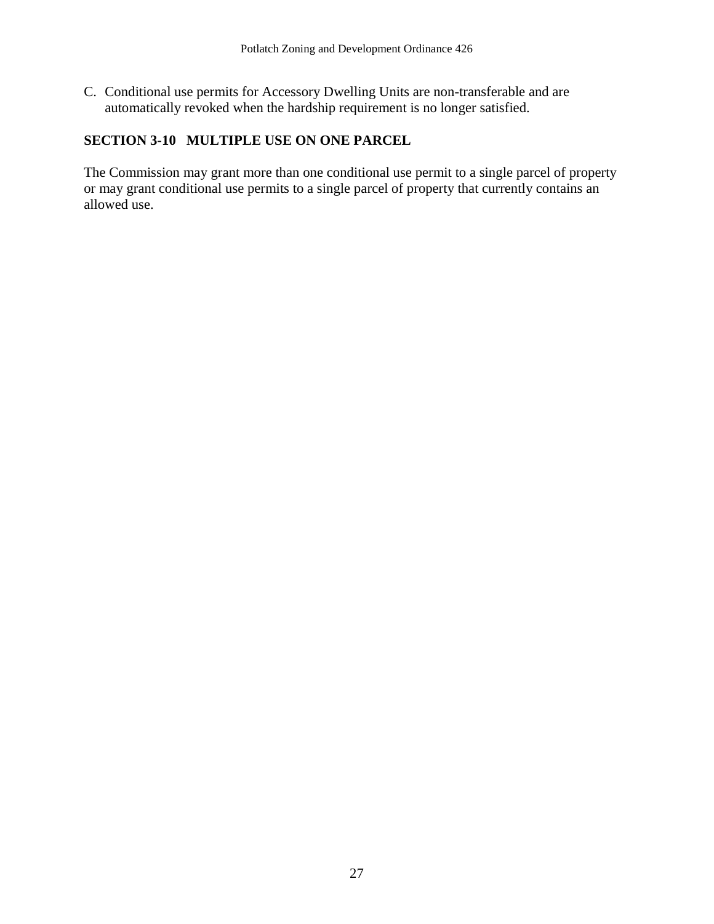C. Conditional use permits for Accessory Dwelling Units are non-transferable and are automatically revoked when the hardship requirement is no longer satisfied.

## **SECTION 3-10 MULTIPLE USE ON ONE PARCEL**

The Commission may grant more than one conditional use permit to a single parcel of property or may grant conditional use permits to a single parcel of property that currently contains an allowed use.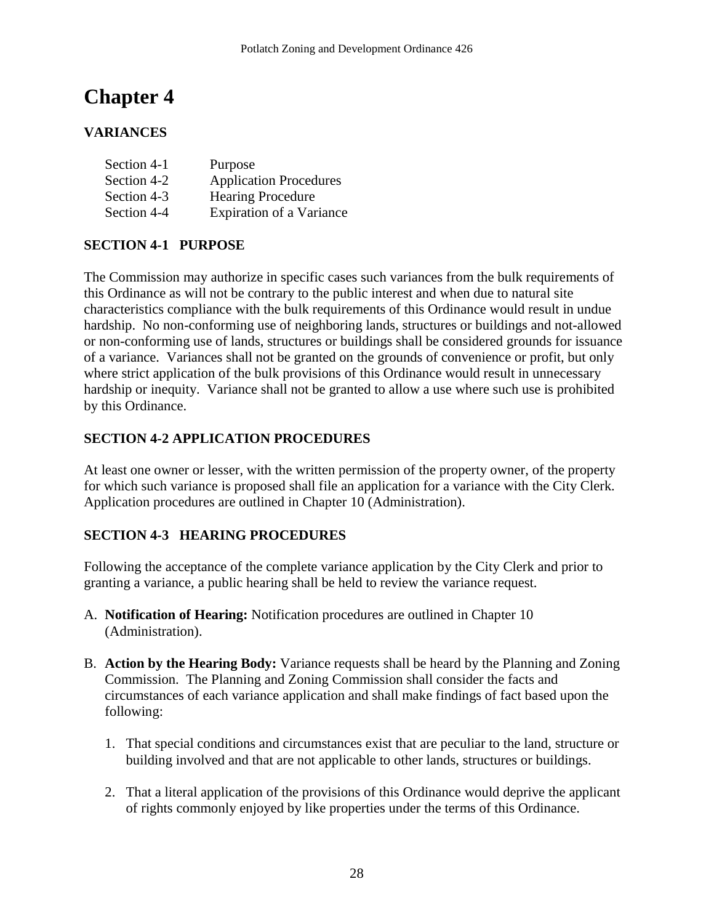# **Chapter 4**

## **VARIANCES**

| Section 4-1 | Purpose                         |
|-------------|---------------------------------|
| Section 4-2 | <b>Application Procedures</b>   |
| Section 4-3 | <b>Hearing Procedure</b>        |
| Section 4-4 | <b>Expiration of a Variance</b> |

## **SECTION 4-1 PURPOSE**

The Commission may authorize in specific cases such variances from the bulk requirements of this Ordinance as will not be contrary to the public interest and when due to natural site characteristics compliance with the bulk requirements of this Ordinance would result in undue hardship. No non-conforming use of neighboring lands, structures or buildings and not-allowed or non-conforming use of lands, structures or buildings shall be considered grounds for issuance of a variance. Variances shall not be granted on the grounds of convenience or profit, but only where strict application of the bulk provisions of this Ordinance would result in unnecessary hardship or inequity. Variance shall not be granted to allow a use where such use is prohibited by this Ordinance.

## **SECTION 4-2 APPLICATION PROCEDURES**

At least one owner or lesser, with the written permission of the property owner, of the property for which such variance is proposed shall file an application for a variance with the City Clerk. Application procedures are outlined in Chapter 10 (Administration).

## **SECTION 4-3 HEARING PROCEDURES**

Following the acceptance of the complete variance application by the City Clerk and prior to granting a variance, a public hearing shall be held to review the variance request.

- A. **Notification of Hearing:** Notification procedures are outlined in Chapter 10 (Administration).
- B. **Action by the Hearing Body:** Variance requests shall be heard by the Planning and Zoning Commission. The Planning and Zoning Commission shall consider the facts and circumstances of each variance application and shall make findings of fact based upon the following:
	- 1. That special conditions and circumstances exist that are peculiar to the land, structure or building involved and that are not applicable to other lands, structures or buildings.
	- 2. That a literal application of the provisions of this Ordinance would deprive the applicant of rights commonly enjoyed by like properties under the terms of this Ordinance.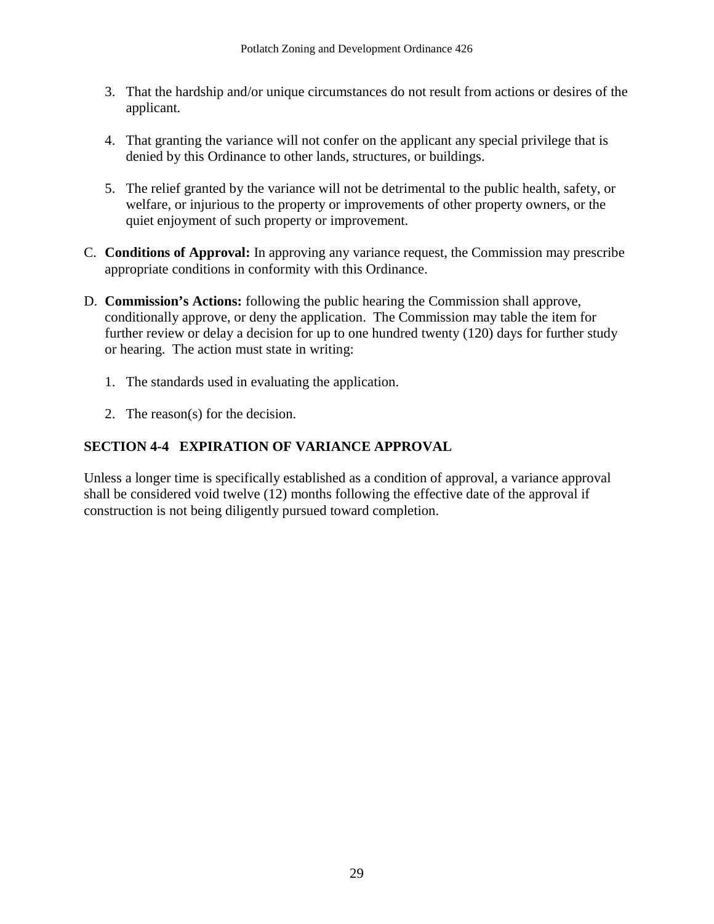- 3. That the hardship and/or unique circumstances do not result from actions or desires of the applicant.
- 4. That granting the variance will not confer on the applicant any special privilege that is denied by this Ordinance to other lands, structures, or buildings.
- 5. The relief granted by the variance will not be detrimental to the public health, safety, or welfare, or injurious to the property or improvements of other property owners, or the quiet enjoyment of such property or improvement.
- C. **Conditions of Approval:** In approving any variance request, the Commission may prescribe appropriate conditions in conformity with this Ordinance.
- D. **Commission's Actions:** following the public hearing the Commission shall approve, conditionally approve, or deny the application. The Commission may table the item for further review or delay a decision for up to one hundred twenty (120) days for further study or hearing. The action must state in writing:
	- 1. The standards used in evaluating the application.
	- 2. The reason(s) for the decision.

## **SECTION 4-4 EXPIRATION OF VARIANCE APPROVAL**

Unless a longer time is specifically established as a condition of approval, a variance approval shall be considered void twelve (12) months following the effective date of the approval if construction is not being diligently pursued toward completion.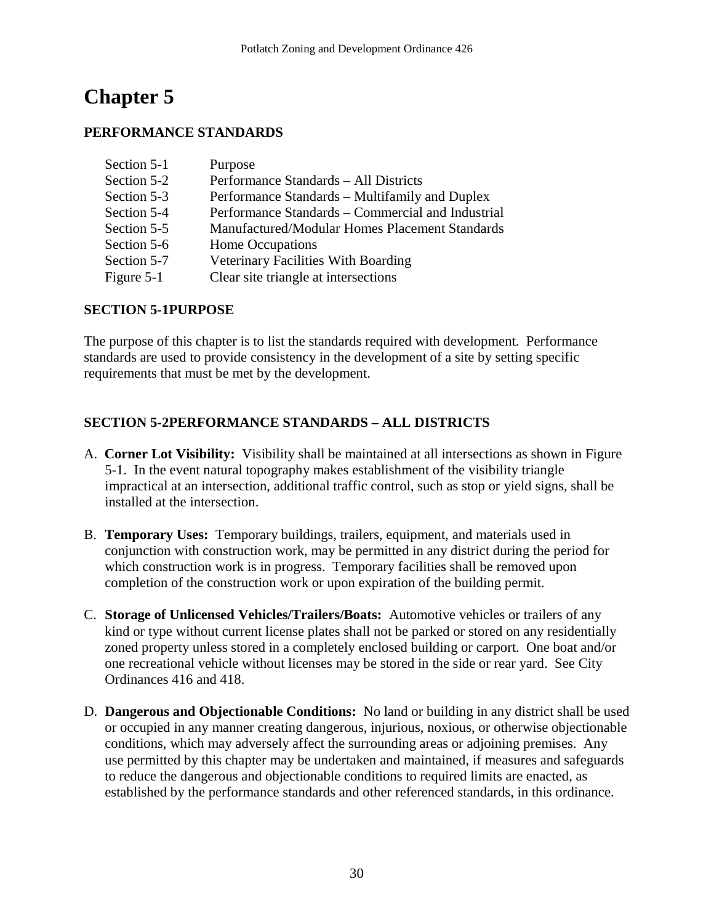# **Chapter 5**

## **PERFORMANCE STANDARDS**

| Section 5-1 | Purpose                                           |
|-------------|---------------------------------------------------|
| Section 5-2 | Performance Standards – All Districts             |
| Section 5-3 | Performance Standards – Multifamily and Duplex    |
| Section 5-4 | Performance Standards – Commercial and Industrial |
| Section 5-5 | Manufactured/Modular Homes Placement Standards    |
| Section 5-6 | Home Occupations                                  |
| Section 5-7 | Veterinary Facilities With Boarding               |
| Figure 5-1  | Clear site triangle at intersections              |

## **SECTION 5-1PURPOSE**

The purpose of this chapter is to list the standards required with development. Performance standards are used to provide consistency in the development of a site by setting specific requirements that must be met by the development.

## **SECTION 5-2PERFORMANCE STANDARDS – ALL DISTRICTS**

- A. **Corner Lot Visibility:** Visibility shall be maintained at all intersections as shown in Figure 5-1. In the event natural topography makes establishment of the visibility triangle impractical at an intersection, additional traffic control, such as stop or yield signs, shall be installed at the intersection.
- B. **Temporary Uses:** Temporary buildings, trailers, equipment, and materials used in conjunction with construction work, may be permitted in any district during the period for which construction work is in progress. Temporary facilities shall be removed upon completion of the construction work or upon expiration of the building permit.
- C. **Storage of Unlicensed Vehicles/Trailers/Boats:** Automotive vehicles or trailers of any kind or type without current license plates shall not be parked or stored on any residentially zoned property unless stored in a completely enclosed building or carport. One boat and/or one recreational vehicle without licenses may be stored in the side or rear yard. See City Ordinances 416 and 418.
- D. **Dangerous and Objectionable Conditions:** No land or building in any district shall be used or occupied in any manner creating dangerous, injurious, noxious, or otherwise objectionable conditions, which may adversely affect the surrounding areas or adjoining premises. Any use permitted by this chapter may be undertaken and maintained, if measures and safeguards to reduce the dangerous and objectionable conditions to required limits are enacted, as established by the performance standards and other referenced standards, in this ordinance.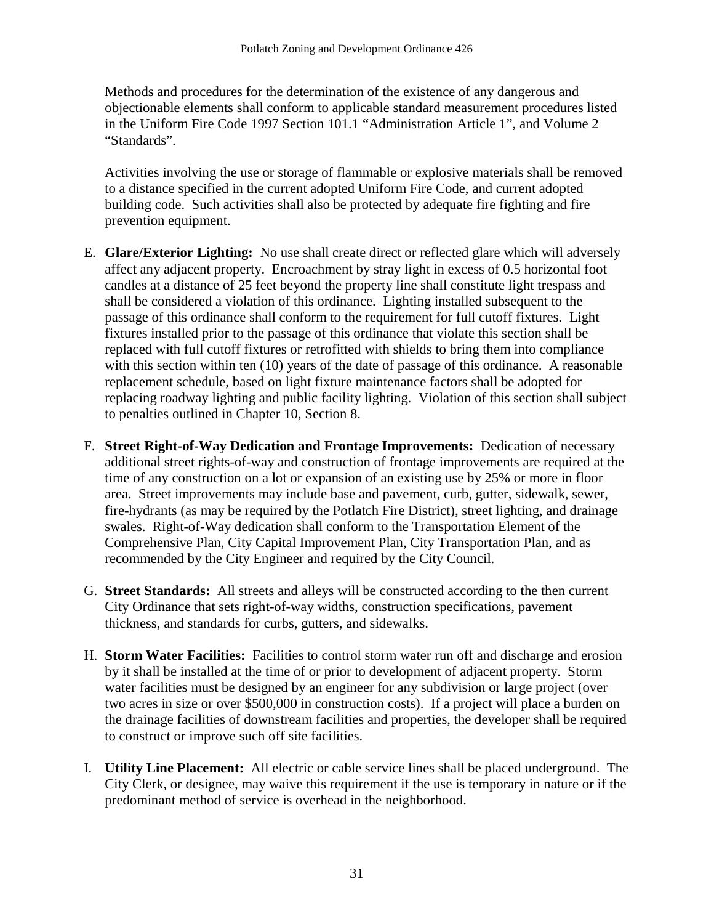Methods and procedures for the determination of the existence of any dangerous and objectionable elements shall conform to applicable standard measurement procedures listed in the Uniform Fire Code 1997 Section 101.1 "Administration Article 1", and Volume 2 "Standards".

Activities involving the use or storage of flammable or explosive materials shall be removed to a distance specified in the current adopted Uniform Fire Code, and current adopted building code. Such activities shall also be protected by adequate fire fighting and fire prevention equipment.

- E. **Glare/Exterior Lighting:** No use shall create direct or reflected glare which will adversely affect any adjacent property. Encroachment by stray light in excess of 0.5 horizontal foot candles at a distance of 25 feet beyond the property line shall constitute light trespass and shall be considered a violation of this ordinance. Lighting installed subsequent to the passage of this ordinance shall conform to the requirement for full cutoff fixtures. Light fixtures installed prior to the passage of this ordinance that violate this section shall be replaced with full cutoff fixtures or retrofitted with shields to bring them into compliance with this section within ten (10) years of the date of passage of this ordinance. A reasonable replacement schedule, based on light fixture maintenance factors shall be adopted for replacing roadway lighting and public facility lighting. Violation of this section shall subject to penalties outlined in Chapter 10, Section 8.
- F. **Street Right-of-Way Dedication and Frontage Improvements:** Dedication of necessary additional street rights-of-way and construction of frontage improvements are required at the time of any construction on a lot or expansion of an existing use by 25% or more in floor area. Street improvements may include base and pavement, curb, gutter, sidewalk, sewer, fire-hydrants (as may be required by the Potlatch Fire District), street lighting, and drainage swales. Right-of-Way dedication shall conform to the Transportation Element of the Comprehensive Plan, City Capital Improvement Plan, City Transportation Plan, and as recommended by the City Engineer and required by the City Council.
- G. **Street Standards:** All streets and alleys will be constructed according to the then current City Ordinance that sets right-of-way widths, construction specifications, pavement thickness, and standards for curbs, gutters, and sidewalks.
- H. **Storm Water Facilities:** Facilities to control storm water run off and discharge and erosion by it shall be installed at the time of or prior to development of adjacent property. Storm water facilities must be designed by an engineer for any subdivision or large project (over two acres in size or over \$500,000 in construction costs). If a project will place a burden on the drainage facilities of downstream facilities and properties, the developer shall be required to construct or improve such off site facilities.
- I. **Utility Line Placement:** All electric or cable service lines shall be placed underground. The City Clerk, or designee, may waive this requirement if the use is temporary in nature or if the predominant method of service is overhead in the neighborhood.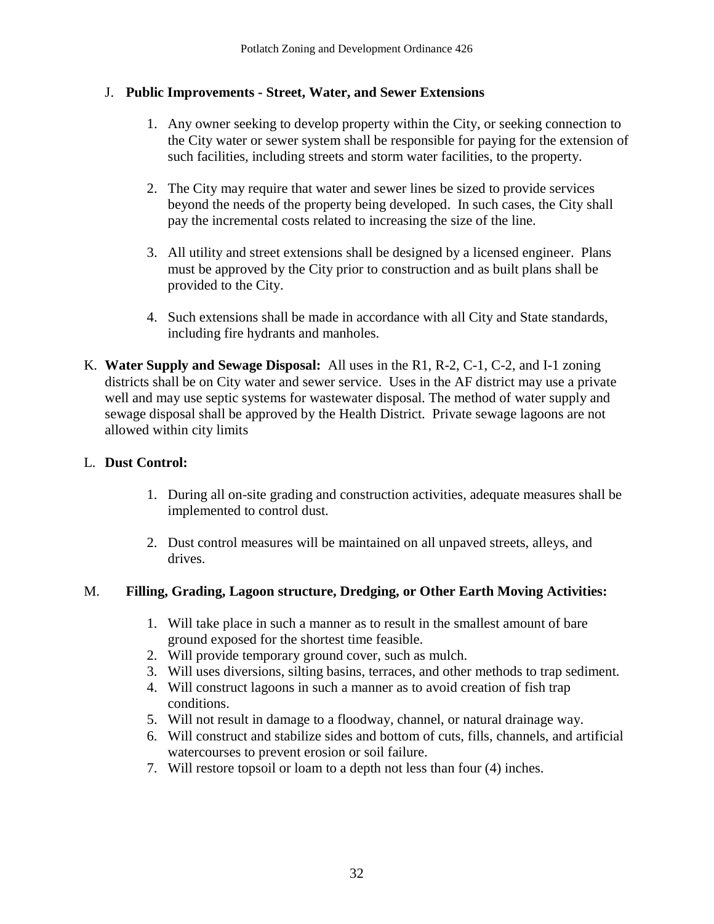## J. **Public Improvements - Street, Water, and Sewer Extensions**

- 1. Any owner seeking to develop property within the City, or seeking connection to the City water or sewer system shall be responsible for paying for the extension of such facilities, including streets and storm water facilities, to the property.
- 2. The City may require that water and sewer lines be sized to provide services beyond the needs of the property being developed. In such cases, the City shall pay the incremental costs related to increasing the size of the line.
- 3. All utility and street extensions shall be designed by a licensed engineer. Plans must be approved by the City prior to construction and as built plans shall be provided to the City.
- 4. Such extensions shall be made in accordance with all City and State standards, including fire hydrants and manholes.
- K. **Water Supply and Sewage Disposal:** All uses in the R1, R-2, C-1, C-2, and I-1 zoning districts shall be on City water and sewer service. Uses in the AF district may use a private well and may use septic systems for wastewater disposal. The method of water supply and sewage disposal shall be approved by the Health District. Private sewage lagoons are not allowed within city limits

## L. **Dust Control:**

- 1. During all on-site grading and construction activities, adequate measures shall be implemented to control dust.
- 2. Dust control measures will be maintained on all unpaved streets, alleys, and drives.

## M. **Filling, Grading, Lagoon structure, Dredging, or Other Earth Moving Activities:**

- 1. Will take place in such a manner as to result in the smallest amount of bare ground exposed for the shortest time feasible.
- 2. Will provide temporary ground cover, such as mulch.
- 3. Will uses diversions, silting basins, terraces, and other methods to trap sediment.
- 4. Will construct lagoons in such a manner as to avoid creation of fish trap conditions.
- 5. Will not result in damage to a floodway, channel, or natural drainage way.
- 6. Will construct and stabilize sides and bottom of cuts, fills, channels, and artificial watercourses to prevent erosion or soil failure.
- 7. Will restore topsoil or loam to a depth not less than four (4) inches.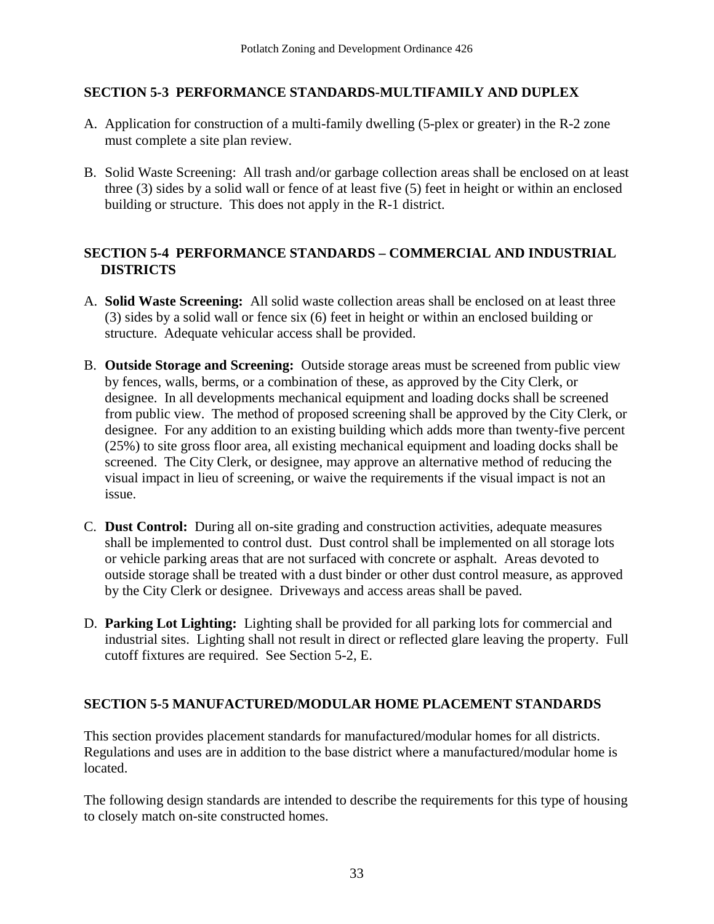# **SECTION 5-3 PERFORMANCE STANDARDS-MULTIFAMILY AND DUPLEX**

- A. Application for construction of a multi-family dwelling (5-plex or greater) in the R-2 zone must complete a site plan review.
- B. Solid Waste Screening: All trash and/or garbage collection areas shall be enclosed on at least three (3) sides by a solid wall or fence of at least five (5) feet in height or within an enclosed building or structure. This does not apply in the R-1 district.

#### **SECTION 5-4 PERFORMANCE STANDARDS – COMMERCIAL AND INDUSTRIAL DISTRICTS**

- A. **Solid Waste Screening:** All solid waste collection areas shall be enclosed on at least three (3) sides by a solid wall or fence six (6) feet in height or within an enclosed building or structure. Adequate vehicular access shall be provided.
- B. **Outside Storage and Screening:** Outside storage areas must be screened from public view by fences, walls, berms, or a combination of these, as approved by the City Clerk, or designee. In all developments mechanical equipment and loading docks shall be screened from public view. The method of proposed screening shall be approved by the City Clerk, or designee. For any addition to an existing building which adds more than twenty-five percent (25%) to site gross floor area, all existing mechanical equipment and loading docks shall be screened. The City Clerk, or designee, may approve an alternative method of reducing the visual impact in lieu of screening, or waive the requirements if the visual impact is not an issue.
- C. **Dust Control:** During all on-site grading and construction activities, adequate measures shall be implemented to control dust. Dust control shall be implemented on all storage lots or vehicle parking areas that are not surfaced with concrete or asphalt. Areas devoted to outside storage shall be treated with a dust binder or other dust control measure, as approved by the City Clerk or designee. Driveways and access areas shall be paved.
- D. **Parking Lot Lighting:** Lighting shall be provided for all parking lots for commercial and industrial sites. Lighting shall not result in direct or reflected glare leaving the property. Full cutoff fixtures are required. See Section 5-2, E.

# **SECTION 5-5 MANUFACTURED/MODULAR HOME PLACEMENT STANDARDS**

This section provides placement standards for manufactured/modular homes for all districts. Regulations and uses are in addition to the base district where a manufactured/modular home is located.

The following design standards are intended to describe the requirements for this type of housing to closely match on-site constructed homes.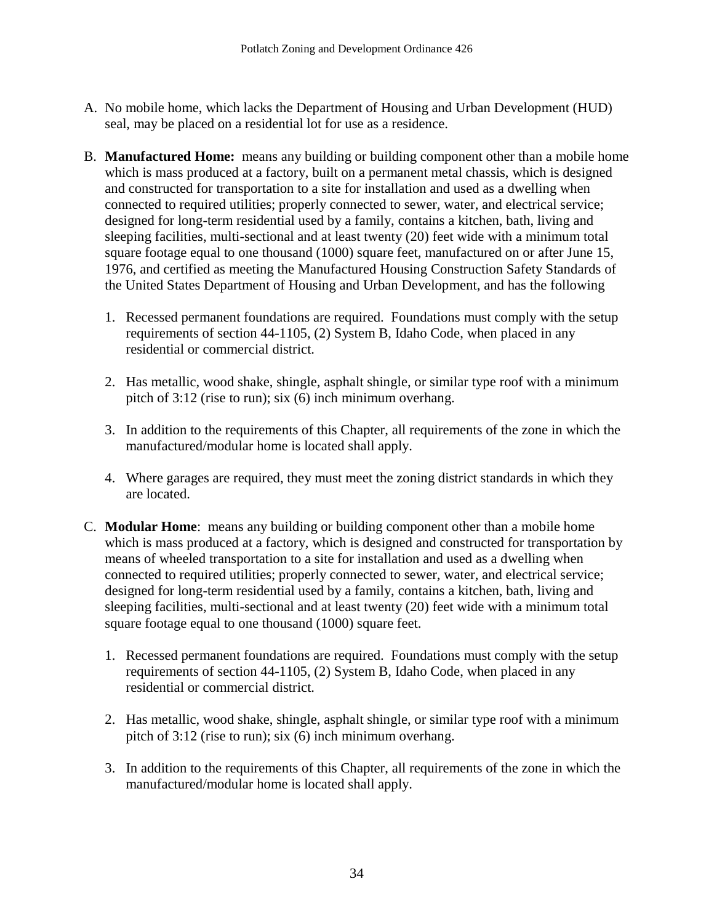- A. No mobile home, which lacks the Department of Housing and Urban Development (HUD) seal, may be placed on a residential lot for use as a residence.
- B. **Manufactured Home:** means any building or building component other than a mobile home which is mass produced at a factory, built on a permanent metal chassis, which is designed and constructed for transportation to a site for installation and used as a dwelling when connected to required utilities; properly connected to sewer, water, and electrical service; designed for long-term residential used by a family, contains a kitchen, bath, living and sleeping facilities, multi-sectional and at least twenty (20) feet wide with a minimum total square footage equal to one thousand (1000) square feet, manufactured on or after June 15, 1976, and certified as meeting the Manufactured Housing Construction Safety Standards of the United States Department of Housing and Urban Development, and has the following
	- 1. Recessed permanent foundations are required. Foundations must comply with the setup requirements of section 44-1105, (2) System B, Idaho Code, when placed in any residential or commercial district.
	- 2. Has metallic, wood shake, shingle, asphalt shingle, or similar type roof with a minimum pitch of 3:12 (rise to run); six (6) inch minimum overhang.
	- 3. In addition to the requirements of this Chapter, all requirements of the zone in which the manufactured/modular home is located shall apply.
	- 4. Where garages are required, they must meet the zoning district standards in which they are located.
- C. **Modular Home**: means any building or building component other than a mobile home which is mass produced at a factory, which is designed and constructed for transportation by means of wheeled transportation to a site for installation and used as a dwelling when connected to required utilities; properly connected to sewer, water, and electrical service; designed for long-term residential used by a family, contains a kitchen, bath, living and sleeping facilities, multi-sectional and at least twenty (20) feet wide with a minimum total square footage equal to one thousand (1000) square feet.
	- 1. Recessed permanent foundations are required. Foundations must comply with the setup requirements of section 44-1105, (2) System B, Idaho Code, when placed in any residential or commercial district.
	- 2. Has metallic, wood shake, shingle, asphalt shingle, or similar type roof with a minimum pitch of 3:12 (rise to run); six (6) inch minimum overhang.
	- 3. In addition to the requirements of this Chapter, all requirements of the zone in which the manufactured/modular home is located shall apply.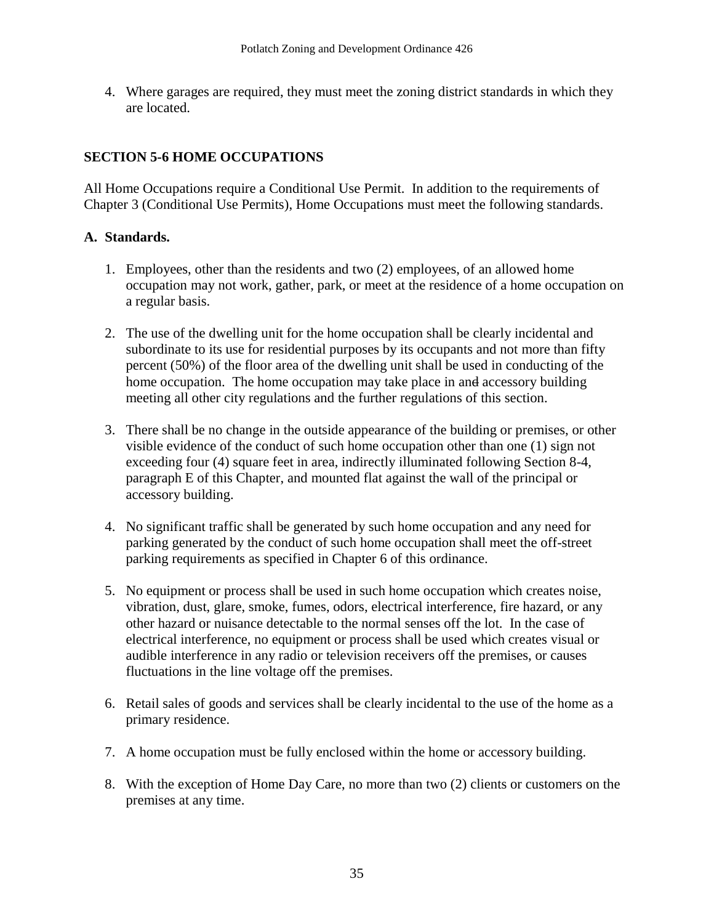4. Where garages are required, they must meet the zoning district standards in which they are located.

#### **SECTION 5-6 HOME OCCUPATIONS**

All Home Occupations require a Conditional Use Permit. In addition to the requirements of Chapter 3 (Conditional Use Permits), Home Occupations must meet the following standards.

#### **A. Standards.**

- 1. Employees, other than the residents and two (2) employees, of an allowed home occupation may not work, gather, park, or meet at the residence of a home occupation on a regular basis.
- 2. The use of the dwelling unit for the home occupation shall be clearly incidental and subordinate to its use for residential purposes by its occupants and not more than fifty percent (50%) of the floor area of the dwelling unit shall be used in conducting of the home occupation. The home occupation may take place in and accessory building meeting all other city regulations and the further regulations of this section.
- 3. There shall be no change in the outside appearance of the building or premises, or other visible evidence of the conduct of such home occupation other than one (1) sign not exceeding four (4) square feet in area, indirectly illuminated following Section 8-4, paragraph E of this Chapter, and mounted flat against the wall of the principal or accessory building.
- 4. No significant traffic shall be generated by such home occupation and any need for parking generated by the conduct of such home occupation shall meet the off-street parking requirements as specified in Chapter 6 of this ordinance.
- 5. No equipment or process shall be used in such home occupation which creates noise, vibration, dust, glare, smoke, fumes, odors, electrical interference, fire hazard, or any other hazard or nuisance detectable to the normal senses off the lot. In the case of electrical interference, no equipment or process shall be used which creates visual or audible interference in any radio or television receivers off the premises, or causes fluctuations in the line voltage off the premises.
- 6. Retail sales of goods and services shall be clearly incidental to the use of the home as a primary residence.
- 7. A home occupation must be fully enclosed within the home or accessory building.
- 8. With the exception of Home Day Care, no more than two (2) clients or customers on the premises at any time.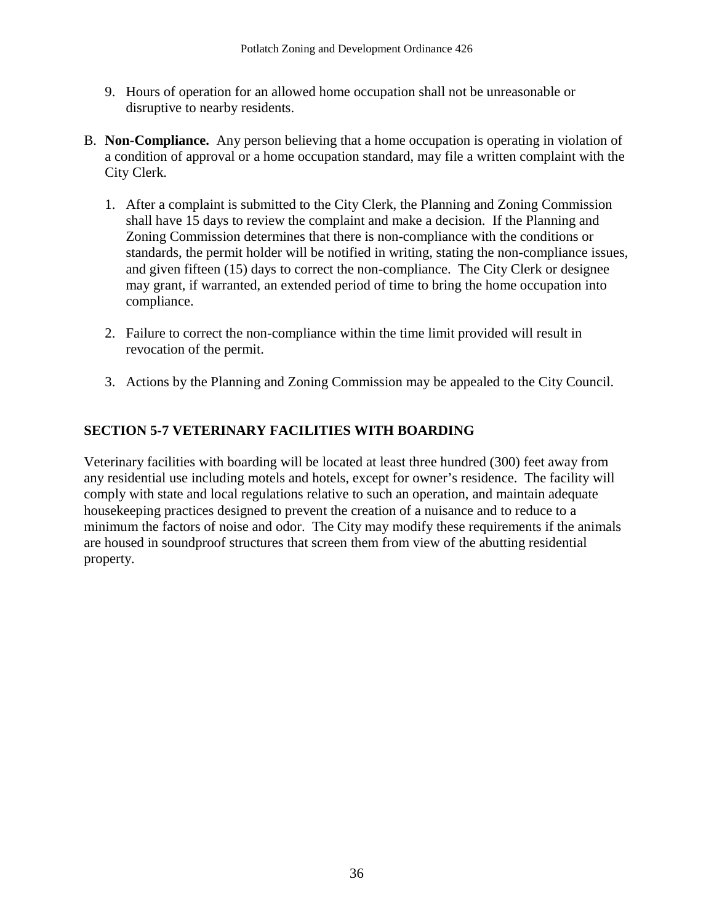- 9. Hours of operation for an allowed home occupation shall not be unreasonable or disruptive to nearby residents.
- B. **Non-Compliance.** Any person believing that a home occupation is operating in violation of a condition of approval or a home occupation standard, may file a written complaint with the City Clerk.
	- 1. After a complaint is submitted to the City Clerk, the Planning and Zoning Commission shall have 15 days to review the complaint and make a decision. If the Planning and Zoning Commission determines that there is non-compliance with the conditions or standards, the permit holder will be notified in writing, stating the non-compliance issues, and given fifteen (15) days to correct the non-compliance. The City Clerk or designee may grant, if warranted, an extended period of time to bring the home occupation into compliance.
	- 2. Failure to correct the non-compliance within the time limit provided will result in revocation of the permit.
	- 3. Actions by the Planning and Zoning Commission may be appealed to the City Council.

# **SECTION 5-7 VETERINARY FACILITIES WITH BOARDING**

Veterinary facilities with boarding will be located at least three hundred (300) feet away from any residential use including motels and hotels, except for owner's residence. The facility will comply with state and local regulations relative to such an operation, and maintain adequate housekeeping practices designed to prevent the creation of a nuisance and to reduce to a minimum the factors of noise and odor. The City may modify these requirements if the animals are housed in soundproof structures that screen them from view of the abutting residential property.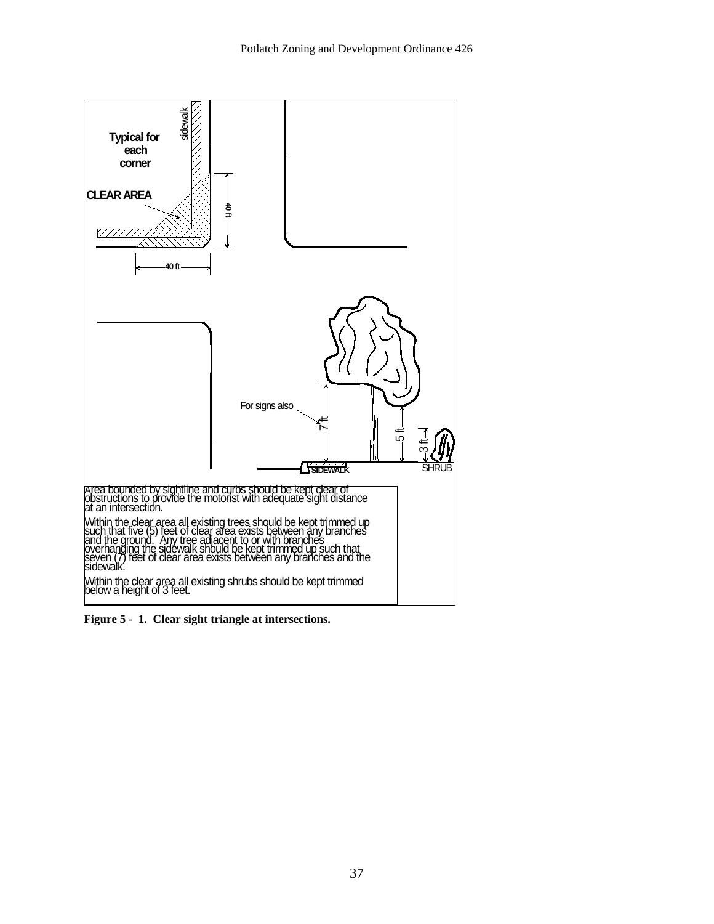

**Figure 5 - 1. Clear sight triangle at intersections.**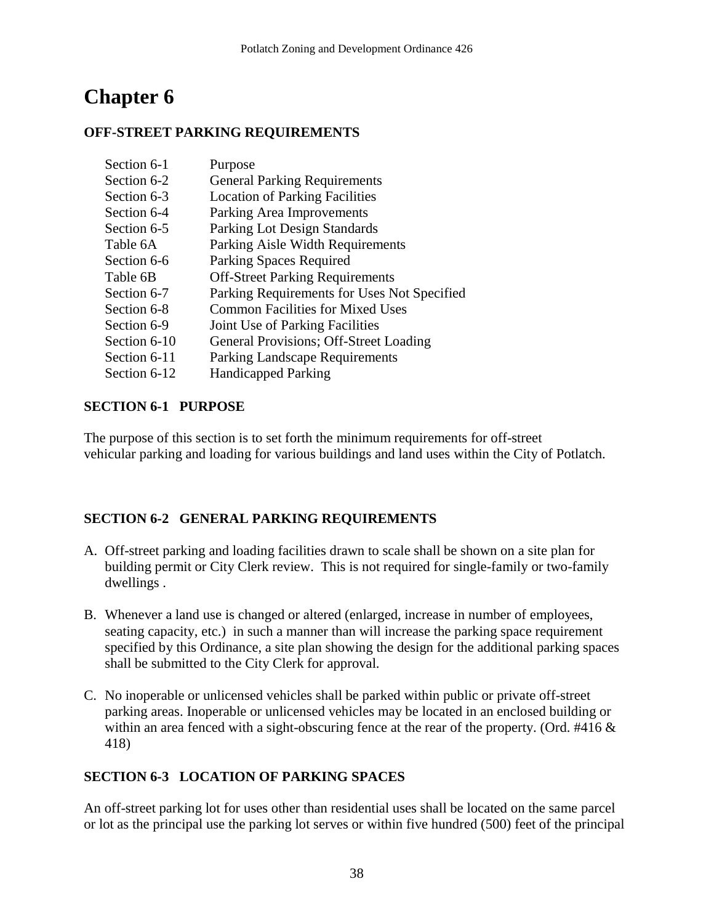#### **OFF-STREET PARKING REQUIREMENTS**

| Section 6-1  | Purpose                                     |
|--------------|---------------------------------------------|
| Section 6-2  | <b>General Parking Requirements</b>         |
| Section 6-3  | <b>Location of Parking Facilities</b>       |
| Section 6-4  | Parking Area Improvements                   |
| Section 6-5  | Parking Lot Design Standards                |
| Table 6A     | Parking Aisle Width Requirements            |
| Section 6-6  | <b>Parking Spaces Required</b>              |
| Table 6B     | <b>Off-Street Parking Requirements</b>      |
| Section 6-7  | Parking Requirements for Uses Not Specified |
| Section 6-8  | <b>Common Facilities for Mixed Uses</b>     |
| Section 6-9  | Joint Use of Parking Facilities             |
| Section 6-10 | General Provisions; Off-Street Loading      |
| Section 6-11 | <b>Parking Landscape Requirements</b>       |
| Section 6-12 | <b>Handicapped Parking</b>                  |
|              |                                             |

#### **SECTION 6-1 PURPOSE**

The purpose of this section is to set forth the minimum requirements for off-street vehicular parking and loading for various buildings and land uses within the City of Potlatch.

# **SECTION 6-2 GENERAL PARKING REQUIREMENTS**

- A. Off-street parking and loading facilities drawn to scale shall be shown on a site plan for building permit or City Clerk review. This is not required for single-family or two-family dwellings .
- B. Whenever a land use is changed or altered (enlarged, increase in number of employees, seating capacity, etc.) in such a manner than will increase the parking space requirement specified by this Ordinance, a site plan showing the design for the additional parking spaces shall be submitted to the City Clerk for approval.
- C. No inoperable or unlicensed vehicles shall be parked within public or private off-street parking areas. Inoperable or unlicensed vehicles may be located in an enclosed building or within an area fenced with a sight-obscuring fence at the rear of the property. (Ord. #416 & 418)

# **SECTION 6-3 LOCATION OF PARKING SPACES**

An off-street parking lot for uses other than residential uses shall be located on the same parcel or lot as the principal use the parking lot serves or within five hundred (500) feet of the principal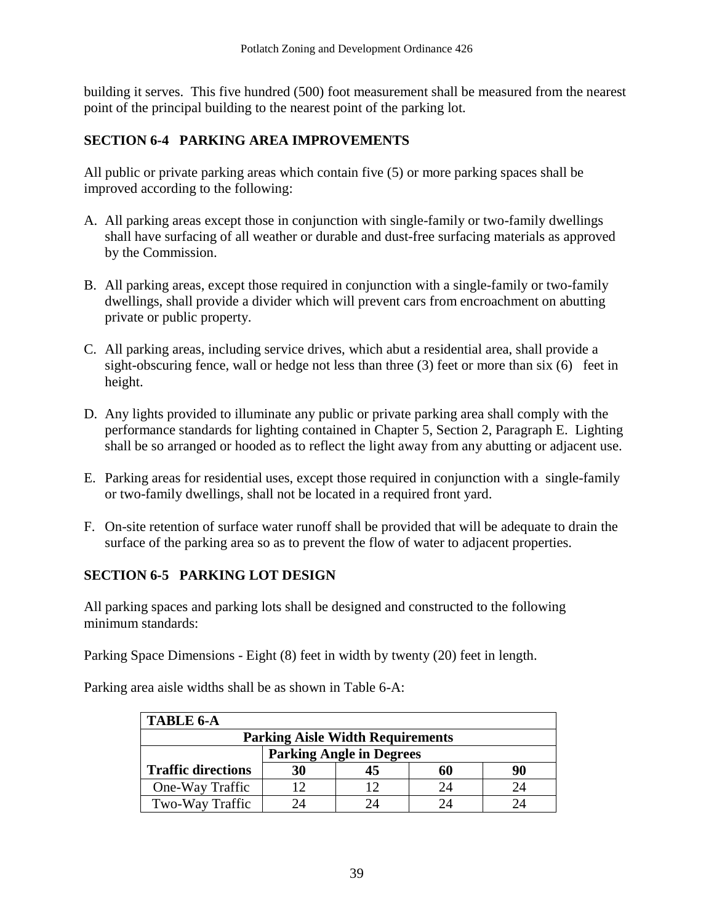building it serves. This five hundred (500) foot measurement shall be measured from the nearest point of the principal building to the nearest point of the parking lot.

# **SECTION 6-4 PARKING AREA IMPROVEMENTS**

All public or private parking areas which contain five (5) or more parking spaces shall be improved according to the following:

- A. All parking areas except those in conjunction with single-family or two-family dwellings shall have surfacing of all weather or durable and dust-free surfacing materials as approved by the Commission.
- B. All parking areas, except those required in conjunction with a single-family or two-family dwellings, shall provide a divider which will prevent cars from encroachment on abutting private or public property.
- C. All parking areas, including service drives, which abut a residential area, shall provide a sight-obscuring fence, wall or hedge not less than three (3) feet or more than six (6) feet in height.
- D. Any lights provided to illuminate any public or private parking area shall comply with the performance standards for lighting contained in Chapter 5, Section 2, Paragraph E. Lighting shall be so arranged or hooded as to reflect the light away from any abutting or adjacent use.
- E. Parking areas for residential uses, except those required in conjunction with a single-family or two-family dwellings, shall not be located in a required front yard.
- F. On-site retention of surface water runoff shall be provided that will be adequate to drain the surface of the parking area so as to prevent the flow of water to adjacent properties.

# **SECTION 6-5 PARKING LOT DESIGN**

All parking spaces and parking lots shall be designed and constructed to the following minimum standards:

Parking Space Dimensions - Eight (8) feet in width by twenty (20) feet in length.

Parking area aisle widths shall be as shown in Table 6-A:

| <b>TABLE 6-A</b>                        |    |               |    |    |
|-----------------------------------------|----|---------------|----|----|
| <b>Parking Aisle Width Requirements</b> |    |               |    |    |
| <b>Parking Angle in Degrees</b>         |    |               |    |    |
| <b>Traffic directions</b>               | 30 | 45            | 60 | 90 |
| One-Way Traffic                         |    | ר ו           |    |    |
| Two-Way Traffic                         |    | $\mathcal{A}$ |    |    |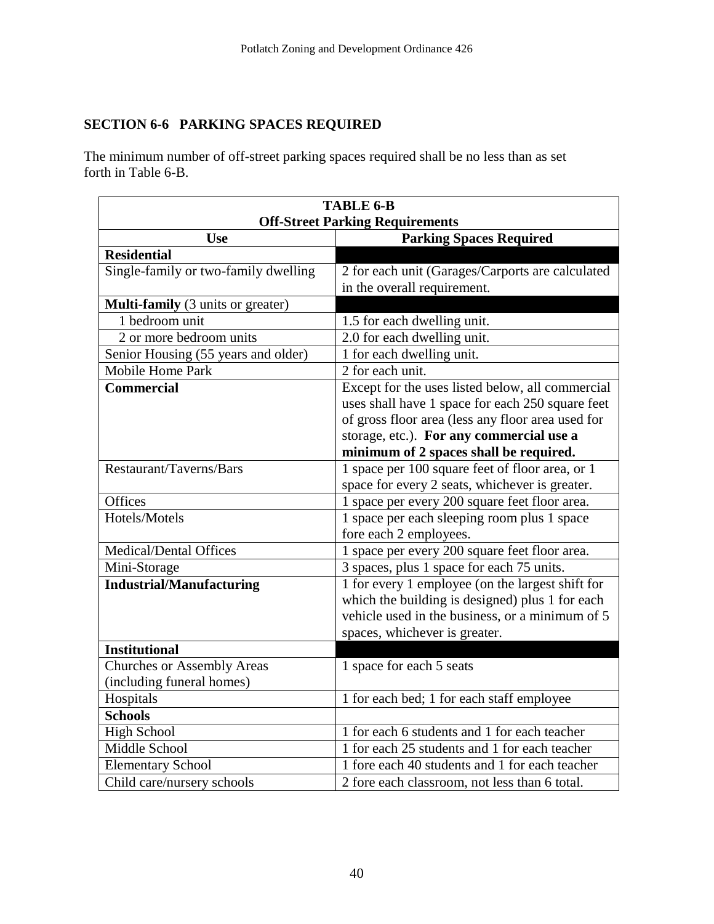# **SECTION 6-6 PARKING SPACES REQUIRED**

The minimum number of off-street parking spaces required shall be no less than as set forth in Table 6-B.

| <b>TABLE 6-B</b>                                               |                                                                                                      |  |
|----------------------------------------------------------------|------------------------------------------------------------------------------------------------------|--|
|                                                                | <b>Off-Street Parking Requirements</b>                                                               |  |
| <b>Use</b>                                                     | <b>Parking Spaces Required</b>                                                                       |  |
| <b>Residential</b>                                             |                                                                                                      |  |
| Single-family or two-family dwelling                           | 2 for each unit (Garages/Carports are calculated                                                     |  |
|                                                                | in the overall requirement.                                                                          |  |
| Multi-family (3 units or greater)<br>1 bedroom unit            |                                                                                                      |  |
| 2 or more bedroom units                                        | 1.5 for each dwelling unit.<br>2.0 for each dwelling unit.                                           |  |
|                                                                |                                                                                                      |  |
| Senior Housing (55 years and older)<br><b>Mobile Home Park</b> | 1 for each dwelling unit.<br>2 for each unit.                                                        |  |
| <b>Commercial</b>                                              |                                                                                                      |  |
|                                                                | Except for the uses listed below, all commercial<br>uses shall have 1 space for each 250 square feet |  |
|                                                                | of gross floor area (less any floor area used for                                                    |  |
|                                                                | storage, etc.). For any commercial use a                                                             |  |
|                                                                | minimum of 2 spaces shall be required.                                                               |  |
| Restaurant/Taverns/Bars                                        | 1 space per 100 square feet of floor area, or 1                                                      |  |
|                                                                | space for every 2 seats, whichever is greater.                                                       |  |
| Offices                                                        | 1 space per every 200 square feet floor area.                                                        |  |
| Hotels/Motels                                                  | 1 space per each sleeping room plus 1 space                                                          |  |
|                                                                | fore each 2 employees.                                                                               |  |
| <b>Medical/Dental Offices</b>                                  | 1 space per every 200 square feet floor area.                                                        |  |
| Mini-Storage                                                   | 3 spaces, plus 1 space for each 75 units.                                                            |  |
| <b>Industrial/Manufacturing</b>                                | 1 for every 1 employee (on the largest shift for                                                     |  |
|                                                                | which the building is designed) plus 1 for each                                                      |  |
|                                                                | vehicle used in the business, or a minimum of 5                                                      |  |
|                                                                | spaces, whichever is greater.                                                                        |  |
| <b>Institutional</b>                                           |                                                                                                      |  |
| <b>Churches or Assembly Areas</b>                              | 1 space for each 5 seats                                                                             |  |
| (including funeral homes)                                      |                                                                                                      |  |
| Hospitals                                                      | 1 for each bed; 1 for each staff employee                                                            |  |
| <b>Schools</b>                                                 |                                                                                                      |  |
| <b>High School</b>                                             | 1 for each 6 students and 1 for each teacher                                                         |  |
| Middle School                                                  | 1 for each 25 students and 1 for each teacher                                                        |  |
| <b>Elementary School</b>                                       | 1 fore each 40 students and 1 for each teacher                                                       |  |
| Child care/nursery schools                                     | 2 fore each classroom, not less than 6 total.                                                        |  |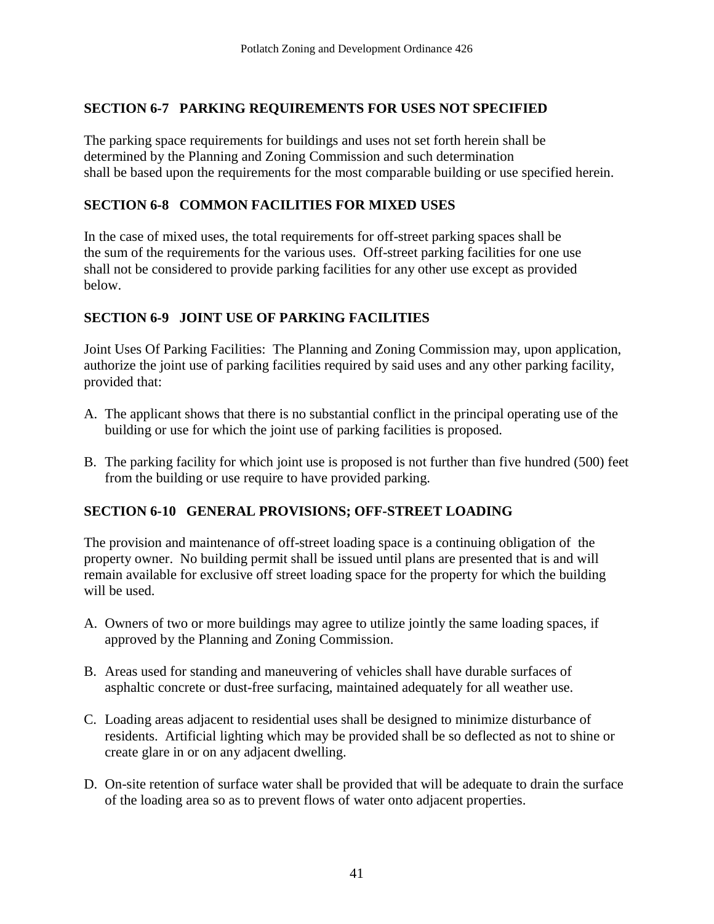# **SECTION 6-7 PARKING REQUIREMENTS FOR USES NOT SPECIFIED**

The parking space requirements for buildings and uses not set forth herein shall be determined by the Planning and Zoning Commission and such determination shall be based upon the requirements for the most comparable building or use specified herein.

# **SECTION 6-8 COMMON FACILITIES FOR MIXED USES**

In the case of mixed uses, the total requirements for off-street parking spaces shall be the sum of the requirements for the various uses. Off-street parking facilities for one use shall not be considered to provide parking facilities for any other use except as provided below.

# **SECTION 6-9 JOINT USE OF PARKING FACILITIES**

Joint Uses Of Parking Facilities: The Planning and Zoning Commission may, upon application, authorize the joint use of parking facilities required by said uses and any other parking facility, provided that:

- A. The applicant shows that there is no substantial conflict in the principal operating use of the building or use for which the joint use of parking facilities is proposed.
- B. The parking facility for which joint use is proposed is not further than five hundred (500) feet from the building or use require to have provided parking.

#### **SECTION 6-10 GENERAL PROVISIONS; OFF-STREET LOADING**

The provision and maintenance of off-street loading space is a continuing obligation of the property owner. No building permit shall be issued until plans are presented that is and will remain available for exclusive off street loading space for the property for which the building will be used.

- A. Owners of two or more buildings may agree to utilize jointly the same loading spaces, if approved by the Planning and Zoning Commission.
- B. Areas used for standing and maneuvering of vehicles shall have durable surfaces of asphaltic concrete or dust-free surfacing, maintained adequately for all weather use.
- C. Loading areas adjacent to residential uses shall be designed to minimize disturbance of residents. Artificial lighting which may be provided shall be so deflected as not to shine or create glare in or on any adjacent dwelling.
- D. On-site retention of surface water shall be provided that will be adequate to drain the surface of the loading area so as to prevent flows of water onto adjacent properties.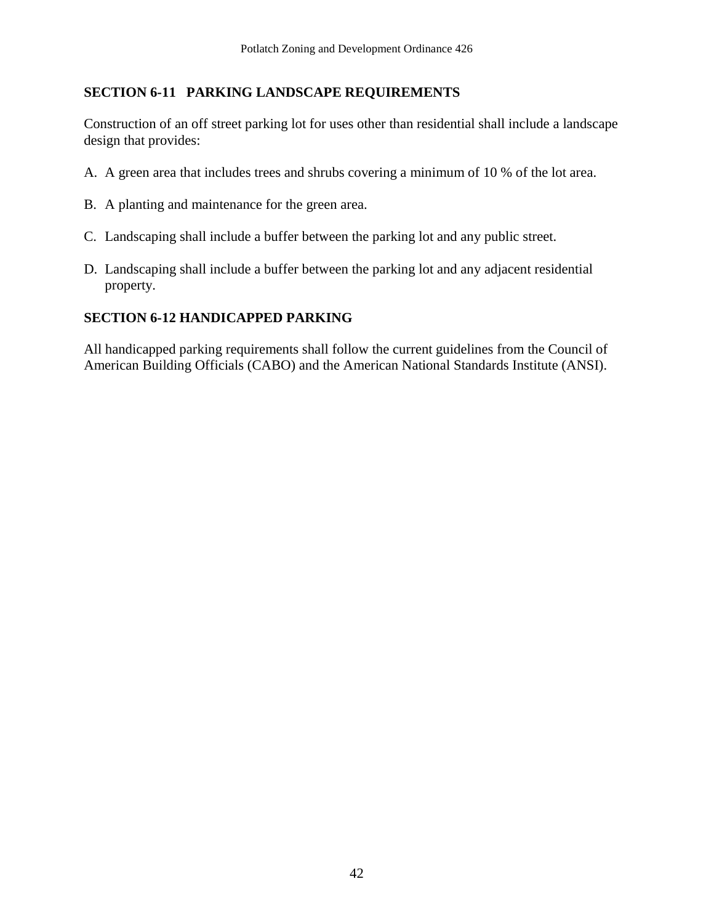#### **SECTION 6-11 PARKING LANDSCAPE REQUIREMENTS**

Construction of an off street parking lot for uses other than residential shall include a landscape design that provides:

- A. A green area that includes trees and shrubs covering a minimum of 10 % of the lot area.
- B. A planting and maintenance for the green area.
- C. Landscaping shall include a buffer between the parking lot and any public street.
- D. Landscaping shall include a buffer between the parking lot and any adjacent residential property.

#### **SECTION 6-12 HANDICAPPED PARKING**

All handicapped parking requirements shall follow the current guidelines from the Council of American Building Officials (CABO) and the American National Standards Institute (ANSI).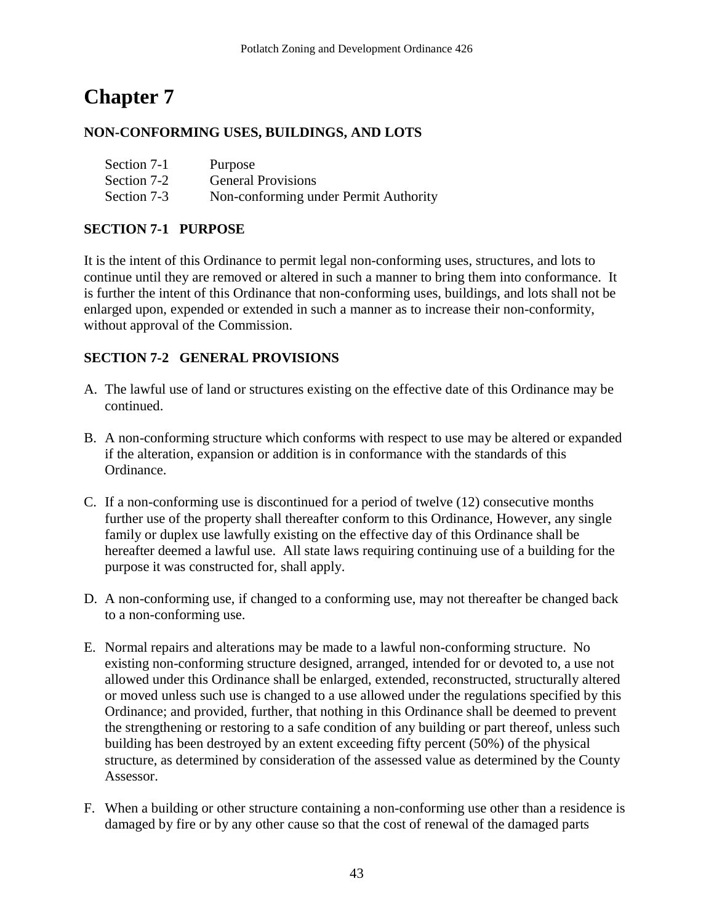# **NON-CONFORMING USES, BUILDINGS, AND LOTS**

| Section 7-1 | Purpose                               |
|-------------|---------------------------------------|
| Section 7-2 | <b>General Provisions</b>             |
| Section 7-3 | Non-conforming under Permit Authority |

#### **SECTION 7-1 PURPOSE**

It is the intent of this Ordinance to permit legal non-conforming uses, structures, and lots to continue until they are removed or altered in such a manner to bring them into conformance. It is further the intent of this Ordinance that non-conforming uses, buildings, and lots shall not be enlarged upon, expended or extended in such a manner as to increase their non-conformity, without approval of the Commission.

#### **SECTION 7-2 GENERAL PROVISIONS**

- A. The lawful use of land or structures existing on the effective date of this Ordinance may be continued.
- B. A non-conforming structure which conforms with respect to use may be altered or expanded if the alteration, expansion or addition is in conformance with the standards of this Ordinance.
- C. If a non-conforming use is discontinued for a period of twelve (12) consecutive months further use of the property shall thereafter conform to this Ordinance, However, any single family or duplex use lawfully existing on the effective day of this Ordinance shall be hereafter deemed a lawful use. All state laws requiring continuing use of a building for the purpose it was constructed for, shall apply.
- D. A non-conforming use, if changed to a conforming use, may not thereafter be changed back to a non-conforming use.
- E. Normal repairs and alterations may be made to a lawful non-conforming structure. No existing non-conforming structure designed, arranged, intended for or devoted to, a use not allowed under this Ordinance shall be enlarged, extended, reconstructed, structurally altered or moved unless such use is changed to a use allowed under the regulations specified by this Ordinance; and provided, further, that nothing in this Ordinance shall be deemed to prevent the strengthening or restoring to a safe condition of any building or part thereof, unless such building has been destroyed by an extent exceeding fifty percent (50%) of the physical structure, as determined by consideration of the assessed value as determined by the County Assessor.
- F. When a building or other structure containing a non-conforming use other than a residence is damaged by fire or by any other cause so that the cost of renewal of the damaged parts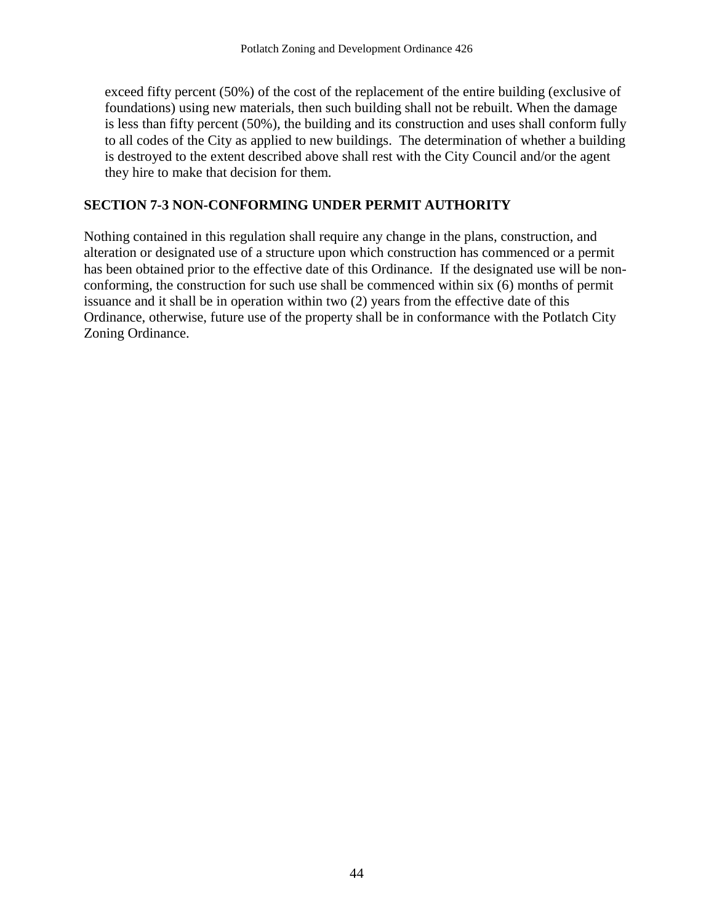exceed fifty percent (50%) of the cost of the replacement of the entire building (exclusive of foundations) using new materials, then such building shall not be rebuilt. When the damage is less than fifty percent (50%), the building and its construction and uses shall conform fully to all codes of the City as applied to new buildings. The determination of whether a building is destroyed to the extent described above shall rest with the City Council and/or the agent they hire to make that decision for them.

#### **SECTION 7-3 NON-CONFORMING UNDER PERMIT AUTHORITY**

Nothing contained in this regulation shall require any change in the plans, construction, and alteration or designated use of a structure upon which construction has commenced or a permit has been obtained prior to the effective date of this Ordinance. If the designated use will be nonconforming, the construction for such use shall be commenced within six (6) months of permit issuance and it shall be in operation within two (2) years from the effective date of this Ordinance, otherwise, future use of the property shall be in conformance with the Potlatch City Zoning Ordinance.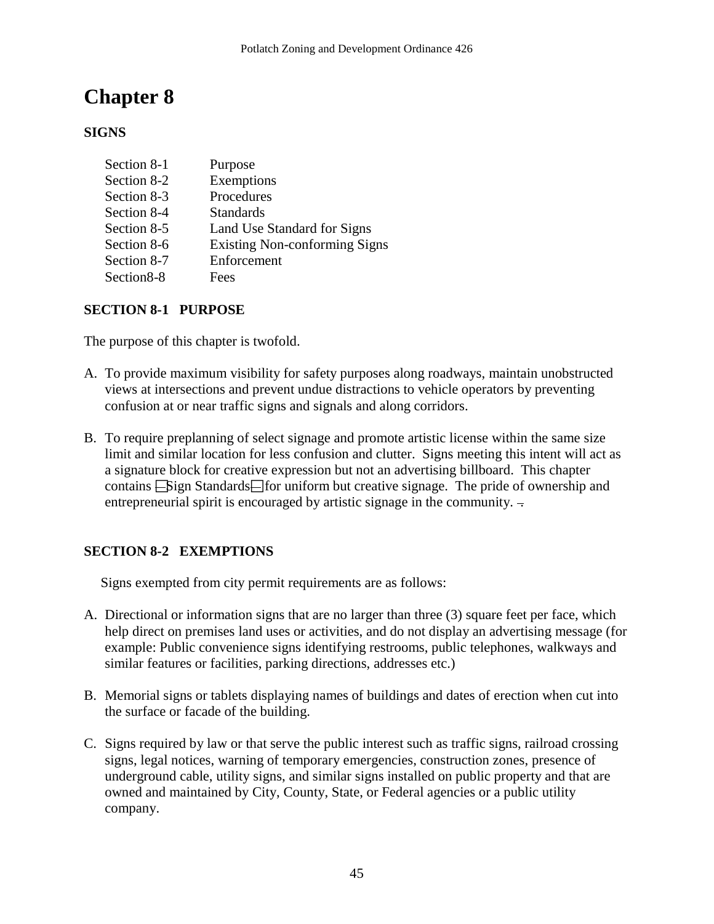# **SIGNS**

| Section 8-1 | Purpose                              |
|-------------|--------------------------------------|
| Section 8-2 | Exemptions                           |
| Section 8-3 | Procedures                           |
| Section 8-4 | <b>Standards</b>                     |
| Section 8-5 | Land Use Standard for Signs          |
| Section 8-6 | <b>Existing Non-conforming Signs</b> |
| Section 8-7 | Enforcement                          |
| Section 8-8 | Fees                                 |

#### **SECTION 8-1 PURPOSE**

The purpose of this chapter is twofold.

- A. To provide maximum visibility for safety purposes along roadways, maintain unobstructed views at intersections and prevent undue distractions to vehicle operators by preventing confusion at or near traffic signs and signals and along corridors.
- B. To require preplanning of select signage and promote artistic license within the same size limit and similar location for less confusion and clutter. Signs meeting this intent will act as a signature block for creative expression but not an advertising billboard. This chapter contains  $\equiv$  Sign Standards $\equiv$  for uniform but creative signage. The pride of ownership and entrepreneurial spirit is encouraged by artistic signage in the community.  $\overline{\phantom{a}}$

# **SECTION 8-2 EXEMPTIONS**

Signs exempted from city permit requirements are as follows:

- A. Directional or information signs that are no larger than three (3) square feet per face, which help direct on premises land uses or activities, and do not display an advertising message (for example: Public convenience signs identifying restrooms, public telephones, walkways and similar features or facilities, parking directions, addresses etc.)
- B. Memorial signs or tablets displaying names of buildings and dates of erection when cut into the surface or facade of the building.
- C. Signs required by law or that serve the public interest such as traffic signs, railroad crossing signs, legal notices, warning of temporary emergencies, construction zones, presence of underground cable, utility signs, and similar signs installed on public property and that are owned and maintained by City, County, State, or Federal agencies or a public utility company.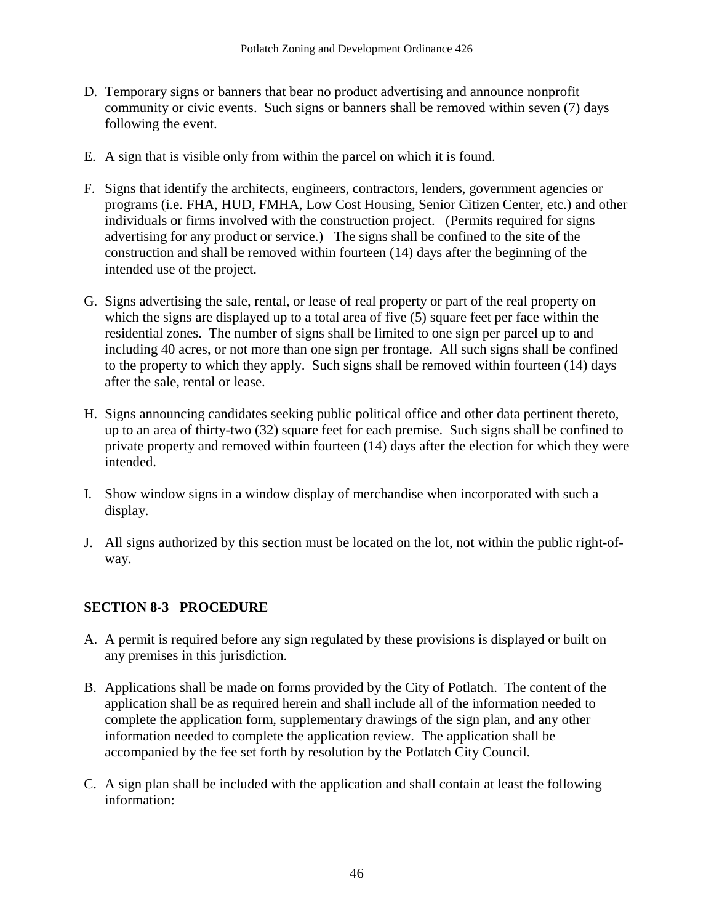- D. Temporary signs or banners that bear no product advertising and announce nonprofit community or civic events. Such signs or banners shall be removed within seven (7) days following the event.
- E. A sign that is visible only from within the parcel on which it is found.
- F. Signs that identify the architects, engineers, contractors, lenders, government agencies or programs (i.e. FHA, HUD, FMHA, Low Cost Housing, Senior Citizen Center, etc.) and other individuals or firms involved with the construction project. (Permits required for signs advertising for any product or service.) The signs shall be confined to the site of the construction and shall be removed within fourteen (14) days after the beginning of the intended use of the project.
- G. Signs advertising the sale, rental, or lease of real property or part of the real property on which the signs are displayed up to a total area of five  $(5)$  square feet per face within the residential zones. The number of signs shall be limited to one sign per parcel up to and including 40 acres, or not more than one sign per frontage. All such signs shall be confined to the property to which they apply. Such signs shall be removed within fourteen (14) days after the sale, rental or lease.
- H. Signs announcing candidates seeking public political office and other data pertinent thereto, up to an area of thirty-two (32) square feet for each premise. Such signs shall be confined to private property and removed within fourteen (14) days after the election for which they were intended.
- I. Show window signs in a window display of merchandise when incorporated with such a display.
- J. All signs authorized by this section must be located on the lot, not within the public right-ofway.

# **SECTION 8-3 PROCEDURE**

- A. A permit is required before any sign regulated by these provisions is displayed or built on any premises in this jurisdiction.
- B. Applications shall be made on forms provided by the City of Potlatch. The content of the application shall be as required herein and shall include all of the information needed to complete the application form, supplementary drawings of the sign plan, and any other information needed to complete the application review. The application shall be accompanied by the fee set forth by resolution by the Potlatch City Council.
- C. A sign plan shall be included with the application and shall contain at least the following information: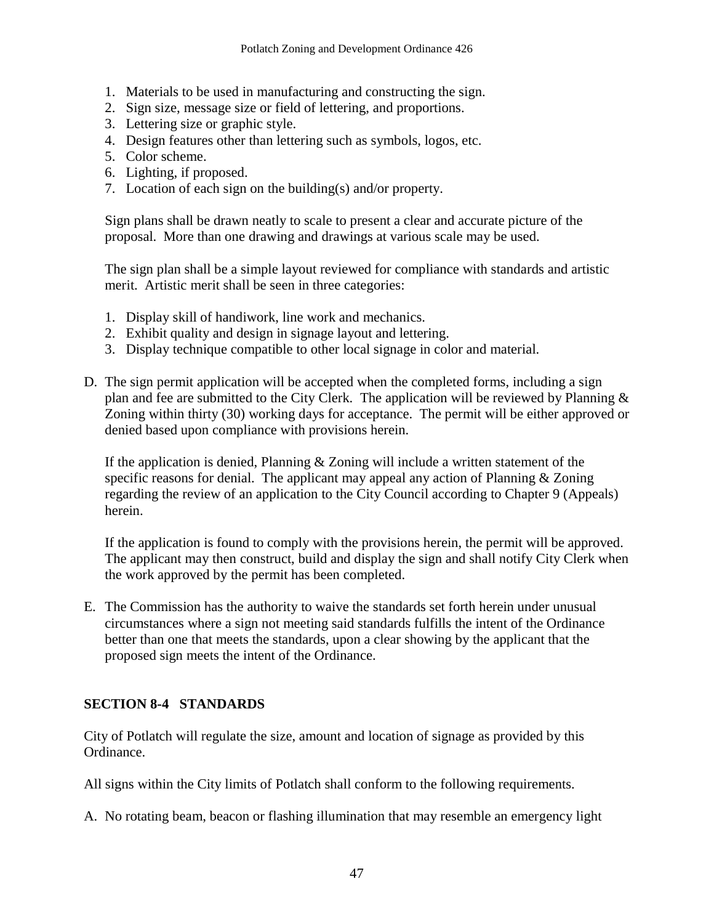- 1. Materials to be used in manufacturing and constructing the sign.
- 2. Sign size, message size or field of lettering, and proportions.
- 3. Lettering size or graphic style.
- 4. Design features other than lettering such as symbols, logos, etc.
- 5. Color scheme.
- 6. Lighting, if proposed.
- 7. Location of each sign on the building(s) and/or property.

Sign plans shall be drawn neatly to scale to present a clear and accurate picture of the proposal. More than one drawing and drawings at various scale may be used.

The sign plan shall be a simple layout reviewed for compliance with standards and artistic merit. Artistic merit shall be seen in three categories:

- 1. Display skill of handiwork, line work and mechanics.
- 2. Exhibit quality and design in signage layout and lettering.
- 3. Display technique compatible to other local signage in color and material.
- D. The sign permit application will be accepted when the completed forms, including a sign plan and fee are submitted to the City Clerk. The application will be reviewed by Planning  $\&$ Zoning within thirty (30) working days for acceptance. The permit will be either approved or denied based upon compliance with provisions herein.

If the application is denied, Planning  $&$  Zoning will include a written statement of the specific reasons for denial. The applicant may appeal any action of Planning & Zoning regarding the review of an application to the City Council according to Chapter 9 (Appeals) herein.

If the application is found to comply with the provisions herein, the permit will be approved. The applicant may then construct, build and display the sign and shall notify City Clerk when the work approved by the permit has been completed.

E. The Commission has the authority to waive the standards set forth herein under unusual circumstances where a sign not meeting said standards fulfills the intent of the Ordinance better than one that meets the standards, upon a clear showing by the applicant that the proposed sign meets the intent of the Ordinance.

# **SECTION 8-4 STANDARDS**

City of Potlatch will regulate the size, amount and location of signage as provided by this Ordinance.

All signs within the City limits of Potlatch shall conform to the following requirements.

A. No rotating beam, beacon or flashing illumination that may resemble an emergency light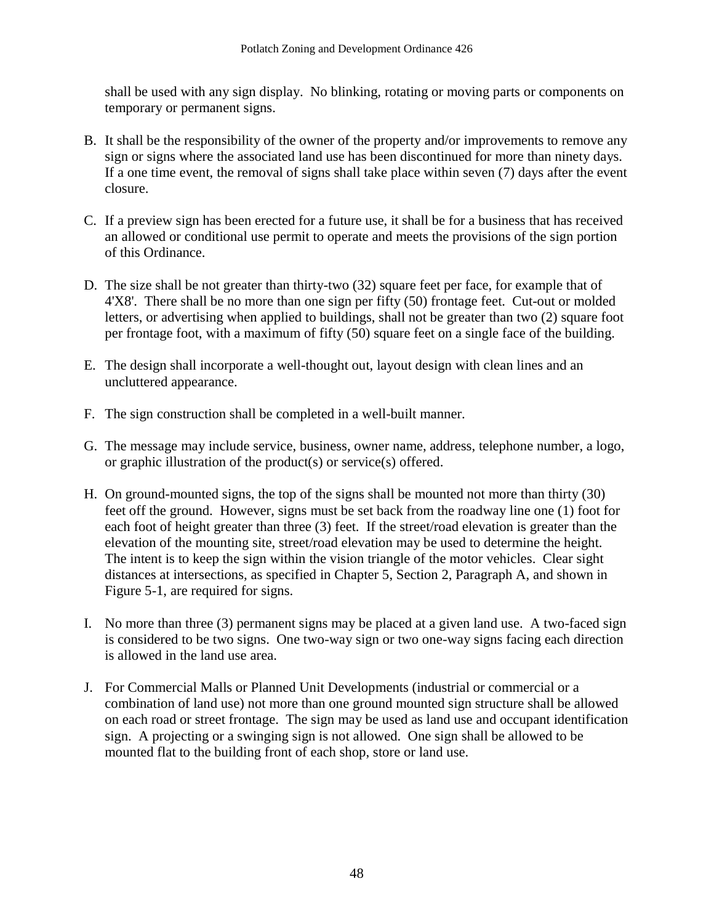shall be used with any sign display. No blinking, rotating or moving parts or components on temporary or permanent signs.

- B. It shall be the responsibility of the owner of the property and/or improvements to remove any sign or signs where the associated land use has been discontinued for more than ninety days. If a one time event, the removal of signs shall take place within seven (7) days after the event closure.
- C. If a preview sign has been erected for a future use, it shall be for a business that has received an allowed or conditional use permit to operate and meets the provisions of the sign portion of this Ordinance.
- D. The size shall be not greater than thirty-two (32) square feet per face, for example that of 4'X8'. There shall be no more than one sign per fifty (50) frontage feet. Cut-out or molded letters, or advertising when applied to buildings, shall not be greater than two (2) square foot per frontage foot, with a maximum of fifty (50) square feet on a single face of the building.
- E. The design shall incorporate a well-thought out, layout design with clean lines and an uncluttered appearance.
- F. The sign construction shall be completed in a well-built manner.
- G. The message may include service, business, owner name, address, telephone number, a logo, or graphic illustration of the product(s) or service(s) offered.
- H. On ground-mounted signs, the top of the signs shall be mounted not more than thirty (30) feet off the ground. However, signs must be set back from the roadway line one (1) foot for each foot of height greater than three (3) feet. If the street/road elevation is greater than the elevation of the mounting site, street/road elevation may be used to determine the height. The intent is to keep the sign within the vision triangle of the motor vehicles. Clear sight distances at intersections, as specified in Chapter 5, Section 2, Paragraph A, and shown in Figure 5-1, are required for signs.
- I. No more than three (3) permanent signs may be placed at a given land use. A two-faced sign is considered to be two signs. One two-way sign or two one-way signs facing each direction is allowed in the land use area.
- J. For Commercial Malls or Planned Unit Developments (industrial or commercial or a combination of land use) not more than one ground mounted sign structure shall be allowed on each road or street frontage. The sign may be used as land use and occupant identification sign. A projecting or a swinging sign is not allowed. One sign shall be allowed to be mounted flat to the building front of each shop, store or land use.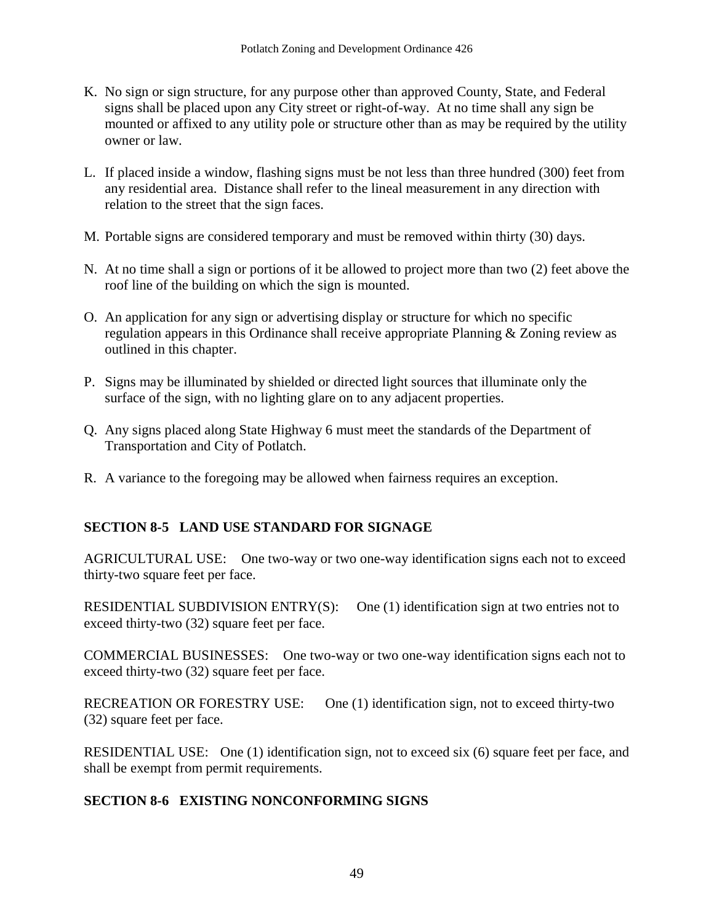- K. No sign or sign structure, for any purpose other than approved County, State, and Federal signs shall be placed upon any City street or right-of-way. At no time shall any sign be mounted or affixed to any utility pole or structure other than as may be required by the utility owner or law.
- L. If placed inside a window, flashing signs must be not less than three hundred (300) feet from any residential area. Distance shall refer to the lineal measurement in any direction with relation to the street that the sign faces.
- M. Portable signs are considered temporary and must be removed within thirty (30) days.
- N. At no time shall a sign or portions of it be allowed to project more than two (2) feet above the roof line of the building on which the sign is mounted.
- O. An application for any sign or advertising display or structure for which no specific regulation appears in this Ordinance shall receive appropriate Planning & Zoning review as outlined in this chapter.
- P. Signs may be illuminated by shielded or directed light sources that illuminate only the surface of the sign, with no lighting glare on to any adjacent properties.
- Q. Any signs placed along State Highway 6 must meet the standards of the Department of Transportation and City of Potlatch.
- R. A variance to the foregoing may be allowed when fairness requires an exception.

# **SECTION 8-5 LAND USE STANDARD FOR SIGNAGE**

AGRICULTURAL USE: One two-way or two one-way identification signs each not to exceed thirty-two square feet per face.

RESIDENTIAL SUBDIVISION ENTRY(S): One (1) identification sign at two entries not to exceed thirty-two (32) square feet per face.

COMMERCIAL BUSINESSES: One two-way or two one-way identification signs each not to exceed thirty-two (32) square feet per face.

RECREATION OR FORESTRY USE: One (1) identification sign, not to exceed thirty-two (32) square feet per face.

RESIDENTIAL USE: One (1) identification sign, not to exceed six (6) square feet per face, and shall be exempt from permit requirements.

#### **SECTION 8-6 EXISTING NONCONFORMING SIGNS**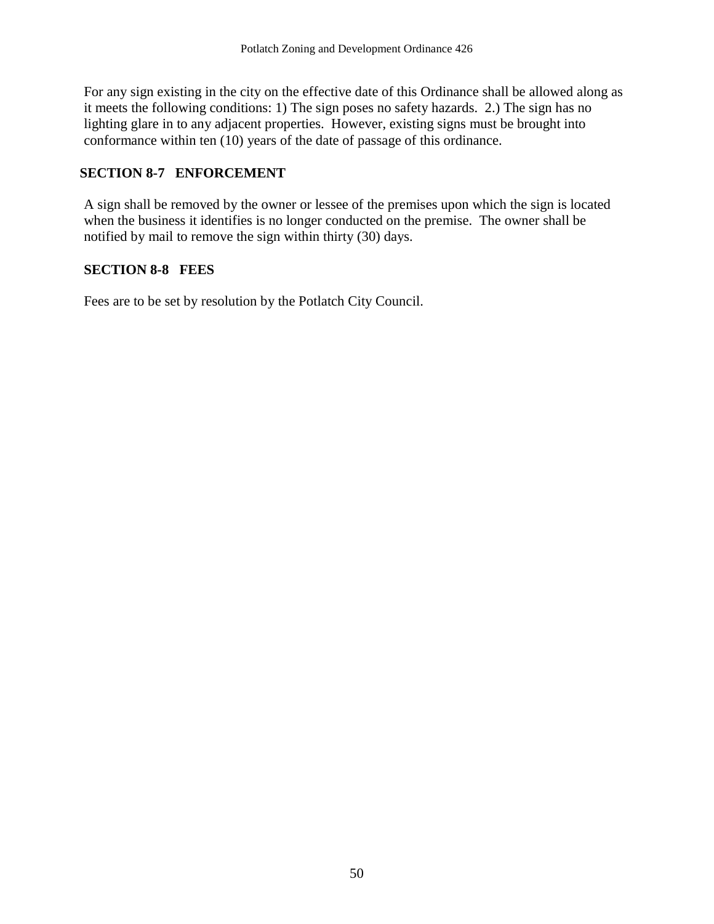For any sign existing in the city on the effective date of this Ordinance shall be allowed along as it meets the following conditions: 1) The sign poses no safety hazards. 2.) The sign has no lighting glare in to any adjacent properties. However, existing signs must be brought into conformance within ten (10) years of the date of passage of this ordinance.

# **SECTION 8-7 ENFORCEMENT**

A sign shall be removed by the owner or lessee of the premises upon which the sign is located when the business it identifies is no longer conducted on the premise. The owner shall be notified by mail to remove the sign within thirty (30) days.

# **SECTION 8-8 FEES**

Fees are to be set by resolution by the Potlatch City Council.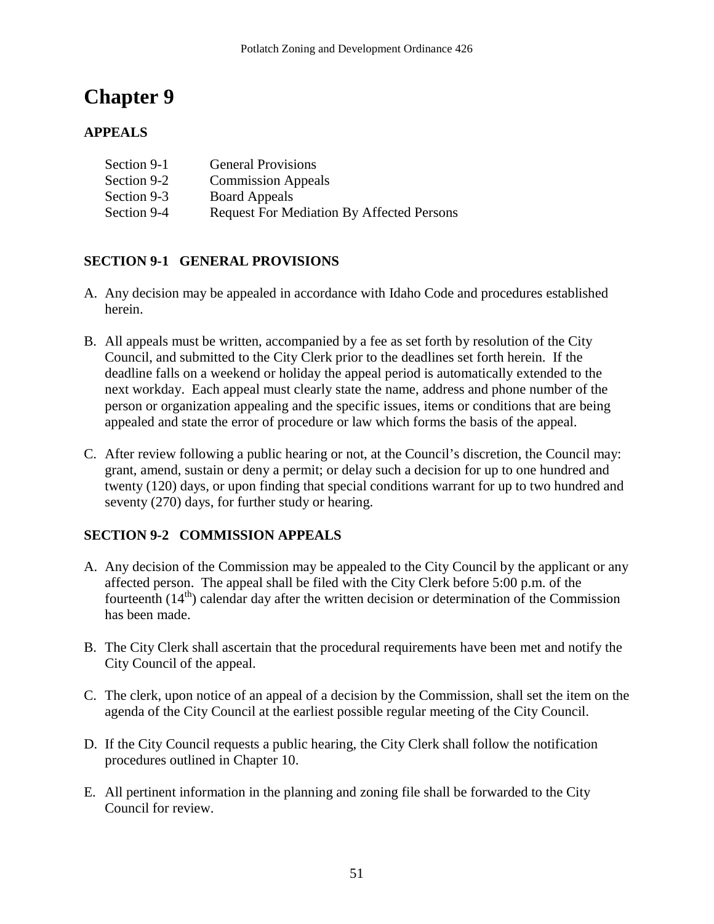# **APPEALS**

| Section 9-1 | <b>General Provisions</b>                        |
|-------------|--------------------------------------------------|
| Section 9-2 | <b>Commission Appeals</b>                        |
| Section 9-3 | <b>Board Appeals</b>                             |
| Section 9-4 | <b>Request For Mediation By Affected Persons</b> |

# **SECTION 9-1 GENERAL PROVISIONS**

- A. Any decision may be appealed in accordance with Idaho Code and procedures established herein.
- B. All appeals must be written, accompanied by a fee as set forth by resolution of the City Council, and submitted to the City Clerk prior to the deadlines set forth herein. If the deadline falls on a weekend or holiday the appeal period is automatically extended to the next workday. Each appeal must clearly state the name, address and phone number of the person or organization appealing and the specific issues, items or conditions that are being appealed and state the error of procedure or law which forms the basis of the appeal.
- C. After review following a public hearing or not, at the Council's discretion, the Council may: grant, amend, sustain or deny a permit; or delay such a decision for up to one hundred and twenty (120) days, or upon finding that special conditions warrant for up to two hundred and seventy (270) days, for further study or hearing.

# **SECTION 9-2 COMMISSION APPEALS**

- A. Any decision of the Commission may be appealed to the City Council by the applicant or any affected person. The appeal shall be filed with the City Clerk before 5:00 p.m. of the fourteenth  $(14<sup>th</sup>)$  calendar day after the written decision or determination of the Commission has been made.
- B. The City Clerk shall ascertain that the procedural requirements have been met and notify the City Council of the appeal.
- C. The clerk, upon notice of an appeal of a decision by the Commission, shall set the item on the agenda of the City Council at the earliest possible regular meeting of the City Council.
- D. If the City Council requests a public hearing, the City Clerk shall follow the notification procedures outlined in Chapter 10.
- E. All pertinent information in the planning and zoning file shall be forwarded to the City Council for review.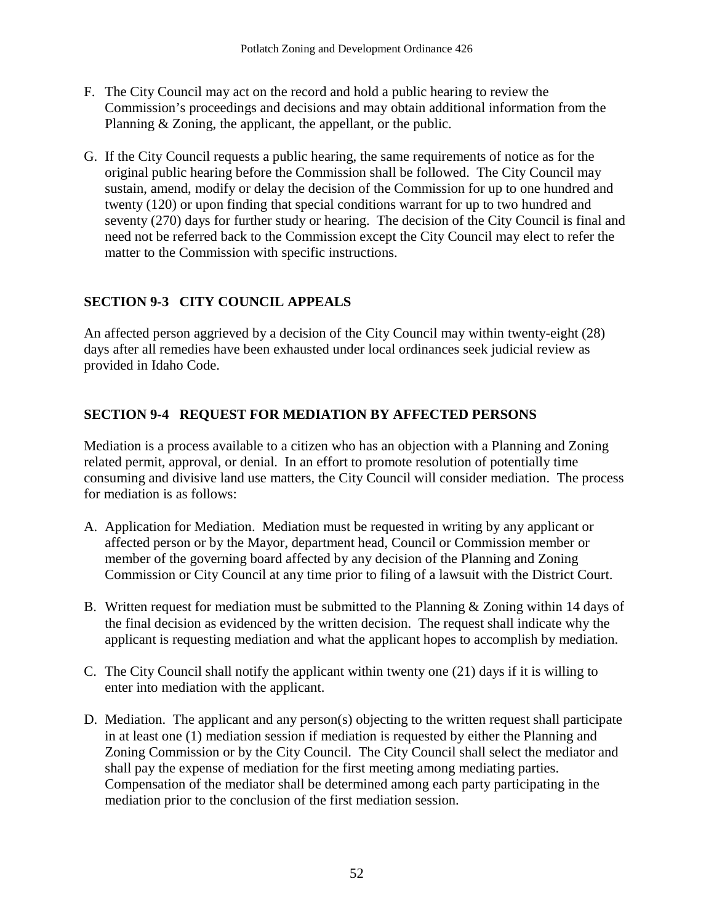- F. The City Council may act on the record and hold a public hearing to review the Commission's proceedings and decisions and may obtain additional information from the Planning & Zoning, the applicant, the appellant, or the public.
- G. If the City Council requests a public hearing, the same requirements of notice as for the original public hearing before the Commission shall be followed. The City Council may sustain, amend, modify or delay the decision of the Commission for up to one hundred and twenty (120) or upon finding that special conditions warrant for up to two hundred and seventy (270) days for further study or hearing. The decision of the City Council is final and need not be referred back to the Commission except the City Council may elect to refer the matter to the Commission with specific instructions.

# **SECTION 9-3 CITY COUNCIL APPEALS**

An affected person aggrieved by a decision of the City Council may within twenty-eight (28) days after all remedies have been exhausted under local ordinances seek judicial review as provided in Idaho Code.

# **SECTION 9-4 REQUEST FOR MEDIATION BY AFFECTED PERSONS**

Mediation is a process available to a citizen who has an objection with a Planning and Zoning related permit, approval, or denial. In an effort to promote resolution of potentially time consuming and divisive land use matters, the City Council will consider mediation. The process for mediation is as follows:

- A. Application for Mediation. Mediation must be requested in writing by any applicant or affected person or by the Mayor, department head, Council or Commission member or member of the governing board affected by any decision of the Planning and Zoning Commission or City Council at any time prior to filing of a lawsuit with the District Court.
- B. Written request for mediation must be submitted to the Planning & Zoning within 14 days of the final decision as evidenced by the written decision. The request shall indicate why the applicant is requesting mediation and what the applicant hopes to accomplish by mediation.
- C. The City Council shall notify the applicant within twenty one (21) days if it is willing to enter into mediation with the applicant.
- D. Mediation. The applicant and any person(s) objecting to the written request shall participate in at least one (1) mediation session if mediation is requested by either the Planning and Zoning Commission or by the City Council. The City Council shall select the mediator and shall pay the expense of mediation for the first meeting among mediating parties. Compensation of the mediator shall be determined among each party participating in the mediation prior to the conclusion of the first mediation session.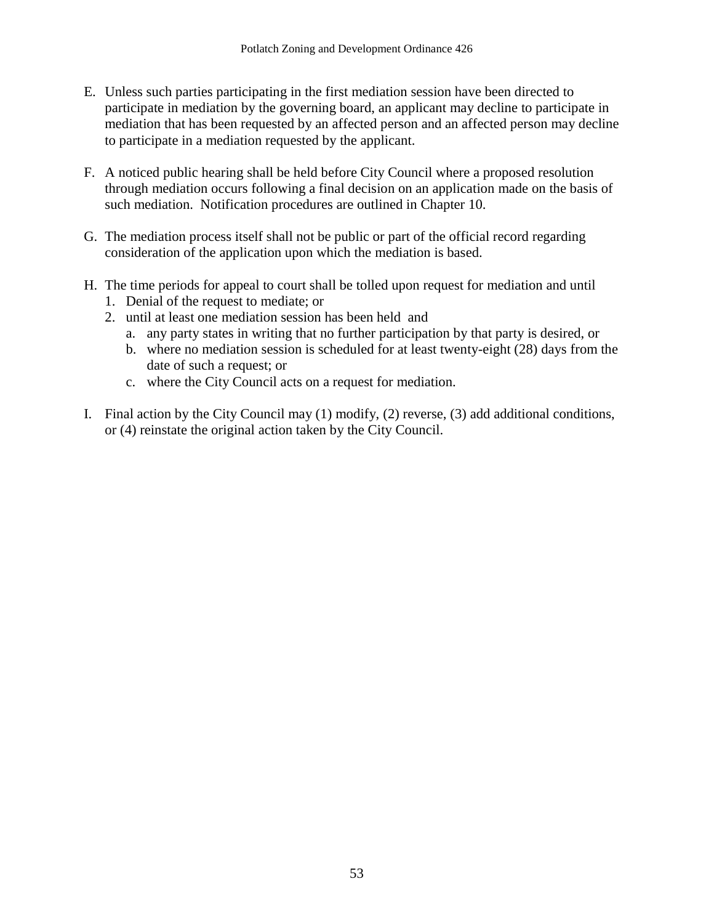- E. Unless such parties participating in the first mediation session have been directed to participate in mediation by the governing board, an applicant may decline to participate in mediation that has been requested by an affected person and an affected person may decline to participate in a mediation requested by the applicant.
- F. A noticed public hearing shall be held before City Council where a proposed resolution through mediation occurs following a final decision on an application made on the basis of such mediation. Notification procedures are outlined in Chapter 10.
- G. The mediation process itself shall not be public or part of the official record regarding consideration of the application upon which the mediation is based.
- H. The time periods for appeal to court shall be tolled upon request for mediation and until
	- 1. Denial of the request to mediate; or
	- 2. until at least one mediation session has been held and
		- a. any party states in writing that no further participation by that party is desired, or
		- b. where no mediation session is scheduled for at least twenty-eight (28) days from the date of such a request; or
		- c. where the City Council acts on a request for mediation.
- I. Final action by the City Council may (1) modify, (2) reverse, (3) add additional conditions, or (4) reinstate the original action taken by the City Council.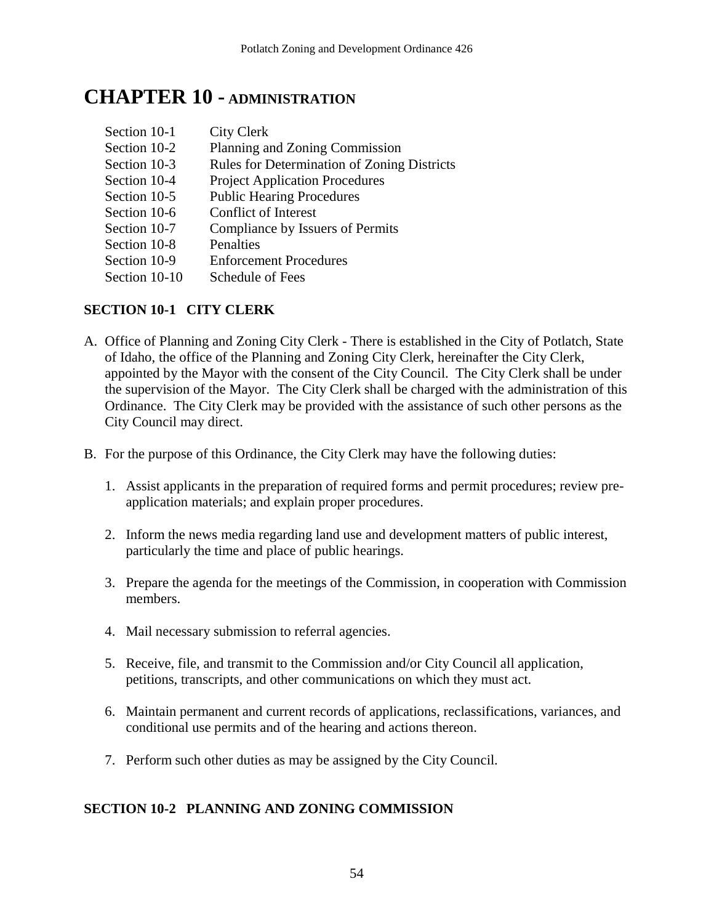# **CHAPTER 10 - ADMINISTRATION**

| Section 10-1  | <b>City Clerk</b>                           |
|---------------|---------------------------------------------|
| Section 10-2  | Planning and Zoning Commission              |
| Section 10-3  | Rules for Determination of Zoning Districts |
| Section 10-4  | <b>Project Application Procedures</b>       |
| Section 10-5  | <b>Public Hearing Procedures</b>            |
| Section 10-6  | <b>Conflict of Interest</b>                 |
| Section 10-7  | Compliance by Issuers of Permits            |
| Section 10-8  | Penalties                                   |
| Section 10-9  | <b>Enforcement Procedures</b>               |
| Section 10-10 | Schedule of Fees                            |

#### **SECTION 10-1 CITY CLERK**

- A. Office of Planning and Zoning City Clerk There is established in the City of Potlatch, State of Idaho, the office of the Planning and Zoning City Clerk, hereinafter the City Clerk, appointed by the Mayor with the consent of the City Council. The City Clerk shall be under the supervision of the Mayor. The City Clerk shall be charged with the administration of this Ordinance. The City Clerk may be provided with the assistance of such other persons as the City Council may direct.
- B. For the purpose of this Ordinance, the City Clerk may have the following duties:
	- 1. Assist applicants in the preparation of required forms and permit procedures; review preapplication materials; and explain proper procedures.
	- 2. Inform the news media regarding land use and development matters of public interest, particularly the time and place of public hearings.
	- 3. Prepare the agenda for the meetings of the Commission, in cooperation with Commission members.
	- 4. Mail necessary submission to referral agencies.
	- 5. Receive, file, and transmit to the Commission and/or City Council all application, petitions, transcripts, and other communications on which they must act.
	- 6. Maintain permanent and current records of applications, reclassifications, variances, and conditional use permits and of the hearing and actions thereon.
	- 7. Perform such other duties as may be assigned by the City Council.

#### **SECTION 10-2 PLANNING AND ZONING COMMISSION**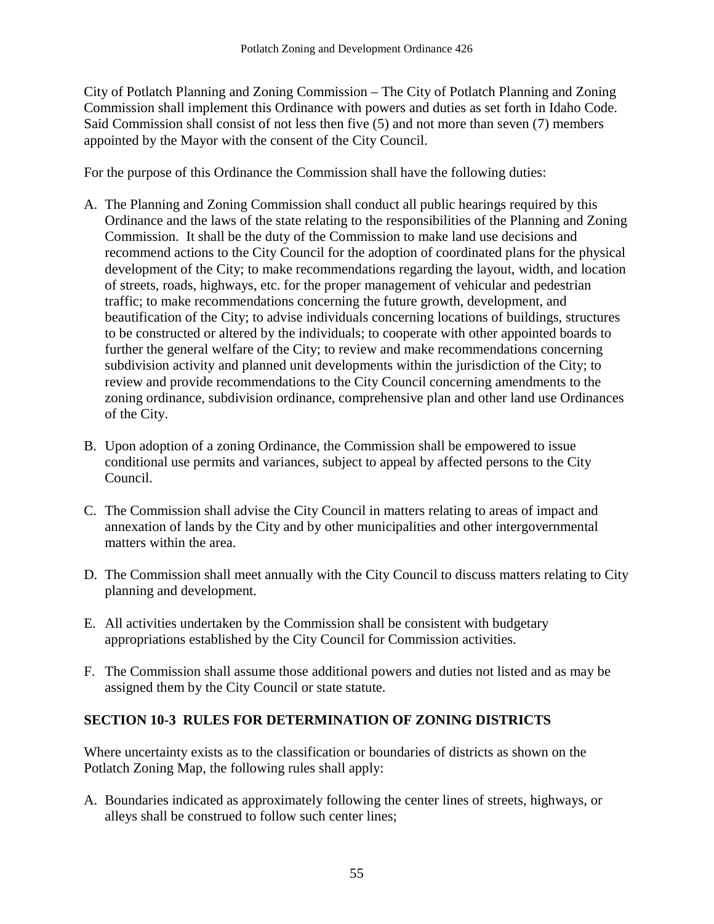City of Potlatch Planning and Zoning Commission – The City of Potlatch Planning and Zoning Commission shall implement this Ordinance with powers and duties as set forth in Idaho Code. Said Commission shall consist of not less then five (5) and not more than seven (7) members appointed by the Mayor with the consent of the City Council.

For the purpose of this Ordinance the Commission shall have the following duties:

- A. The Planning and Zoning Commission shall conduct all public hearings required by this Ordinance and the laws of the state relating to the responsibilities of the Planning and Zoning Commission. It shall be the duty of the Commission to make land use decisions and recommend actions to the City Council for the adoption of coordinated plans for the physical development of the City; to make recommendations regarding the layout, width, and location of streets, roads, highways, etc. for the proper management of vehicular and pedestrian traffic; to make recommendations concerning the future growth, development, and beautification of the City; to advise individuals concerning locations of buildings, structures to be constructed or altered by the individuals; to cooperate with other appointed boards to further the general welfare of the City; to review and make recommendations concerning subdivision activity and planned unit developments within the jurisdiction of the City; to review and provide recommendations to the City Council concerning amendments to the zoning ordinance, subdivision ordinance, comprehensive plan and other land use Ordinances of the City.
- B. Upon adoption of a zoning Ordinance, the Commission shall be empowered to issue conditional use permits and variances, subject to appeal by affected persons to the City Council.
- C. The Commission shall advise the City Council in matters relating to areas of impact and annexation of lands by the City and by other municipalities and other intergovernmental matters within the area.
- D. The Commission shall meet annually with the City Council to discuss matters relating to City planning and development.
- E. All activities undertaken by the Commission shall be consistent with budgetary appropriations established by the City Council for Commission activities.
- F. The Commission shall assume those additional powers and duties not listed and as may be assigned them by the City Council or state statute.

# **SECTION 10-3 RULES FOR DETERMINATION OF ZONING DISTRICTS**

Where uncertainty exists as to the classification or boundaries of districts as shown on the Potlatch Zoning Map, the following rules shall apply:

A. Boundaries indicated as approximately following the center lines of streets, highways, or alleys shall be construed to follow such center lines;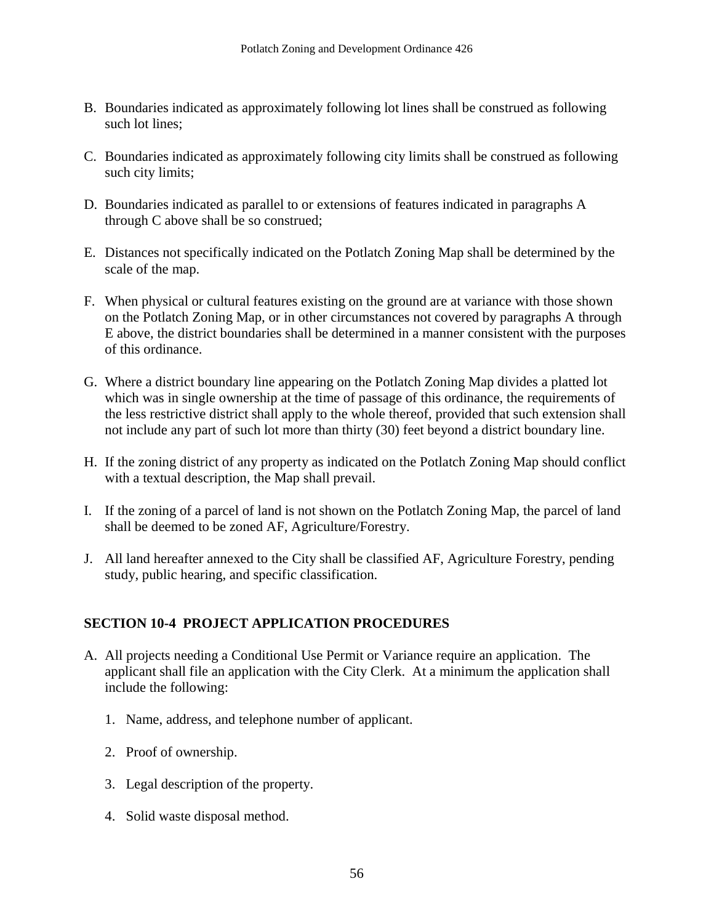- B. Boundaries indicated as approximately following lot lines shall be construed as following such lot lines;
- C. Boundaries indicated as approximately following city limits shall be construed as following such city limits;
- D. Boundaries indicated as parallel to or extensions of features indicated in paragraphs A through C above shall be so construed;
- E. Distances not specifically indicated on the Potlatch Zoning Map shall be determined by the scale of the map.
- F. When physical or cultural features existing on the ground are at variance with those shown on the Potlatch Zoning Map, or in other circumstances not covered by paragraphs A through E above, the district boundaries shall be determined in a manner consistent with the purposes of this ordinance.
- G. Where a district boundary line appearing on the Potlatch Zoning Map divides a platted lot which was in single ownership at the time of passage of this ordinance, the requirements of the less restrictive district shall apply to the whole thereof, provided that such extension shall not include any part of such lot more than thirty (30) feet beyond a district boundary line.
- H. If the zoning district of any property as indicated on the Potlatch Zoning Map should conflict with a textual description, the Map shall prevail.
- I. If the zoning of a parcel of land is not shown on the Potlatch Zoning Map, the parcel of land shall be deemed to be zoned AF, Agriculture/Forestry.
- J. All land hereafter annexed to the City shall be classified AF, Agriculture Forestry, pending study, public hearing, and specific classification.

#### **SECTION 10-4 PROJECT APPLICATION PROCEDURES**

- A. All projects needing a Conditional Use Permit or Variance require an application. The applicant shall file an application with the City Clerk. At a minimum the application shall include the following:
	- 1. Name, address, and telephone number of applicant.
	- 2. Proof of ownership.
	- 3. Legal description of the property.
	- 4. Solid waste disposal method.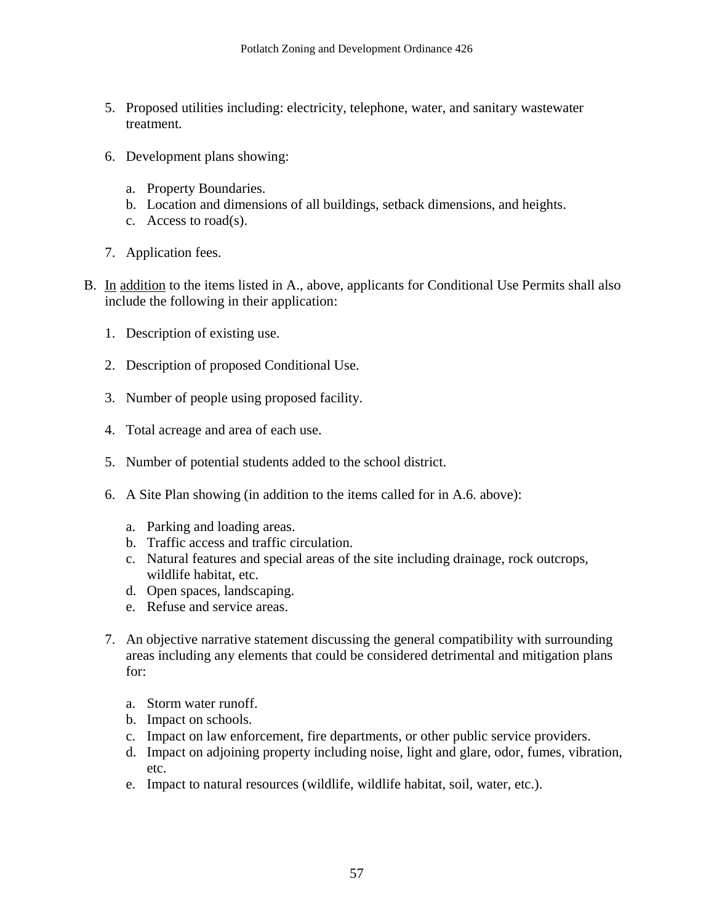- 5. Proposed utilities including: electricity, telephone, water, and sanitary wastewater treatment.
- 6. Development plans showing:
	- a. Property Boundaries.
	- b. Location and dimensions of all buildings, setback dimensions, and heights.
	- c. Access to road(s).
- 7. Application fees.
- B. In addition to the items listed in A., above, applicants for Conditional Use Permits shall also include the following in their application:
	- 1. Description of existing use.
	- 2. Description of proposed Conditional Use.
	- 3. Number of people using proposed facility.
	- 4. Total acreage and area of each use.
	- 5. Number of potential students added to the school district.
	- 6. A Site Plan showing (in addition to the items called for in A.6. above):
		- a. Parking and loading areas.
		- b. Traffic access and traffic circulation.
		- c. Natural features and special areas of the site including drainage, rock outcrops, wildlife habitat, etc.
		- d. Open spaces, landscaping.
		- e. Refuse and service areas.
	- 7. An objective narrative statement discussing the general compatibility with surrounding areas including any elements that could be considered detrimental and mitigation plans for:
		- a. Storm water runoff.
		- b. Impact on schools.
		- c. Impact on law enforcement, fire departments, or other public service providers.
		- d. Impact on adjoining property including noise, light and glare, odor, fumes, vibration, etc.
		- e. Impact to natural resources (wildlife, wildlife habitat, soil, water, etc.).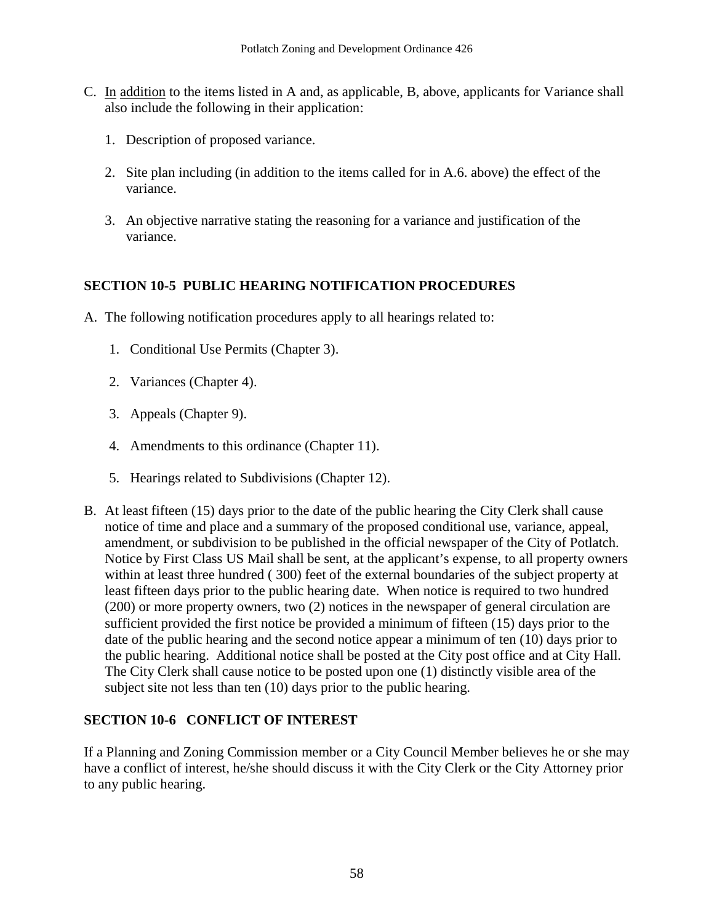- C. In addition to the items listed in A and, as applicable, B, above, applicants for Variance shall also include the following in their application:
	- 1. Description of proposed variance.
	- 2. Site plan including (in addition to the items called for in A.6. above) the effect of the variance.
	- 3. An objective narrative stating the reasoning for a variance and justification of the variance.

#### **SECTION 10-5 PUBLIC HEARING NOTIFICATION PROCEDURES**

- A. The following notification procedures apply to all hearings related to:
	- 1. Conditional Use Permits (Chapter 3).
	- 2. Variances (Chapter 4).
	- 3. Appeals (Chapter 9).
	- 4. Amendments to this ordinance (Chapter 11).
	- 5. Hearings related to Subdivisions (Chapter 12).
- B. At least fifteen (15) days prior to the date of the public hearing the City Clerk shall cause notice of time and place and a summary of the proposed conditional use, variance, appeal, amendment, or subdivision to be published in the official newspaper of the City of Potlatch. Notice by First Class US Mail shall be sent, at the applicant's expense, to all property owners within at least three hundred ( 300) feet of the external boundaries of the subject property at least fifteen days prior to the public hearing date. When notice is required to two hundred (200) or more property owners, two (2) notices in the newspaper of general circulation are sufficient provided the first notice be provided a minimum of fifteen (15) days prior to the date of the public hearing and the second notice appear a minimum of ten (10) days prior to the public hearing. Additional notice shall be posted at the City post office and at City Hall. The City Clerk shall cause notice to be posted upon one (1) distinctly visible area of the subject site not less than ten (10) days prior to the public hearing.

#### **SECTION 10-6 CONFLICT OF INTEREST**

If a Planning and Zoning Commission member or a City Council Member believes he or she may have a conflict of interest, he/she should discuss it with the City Clerk or the City Attorney prior to any public hearing.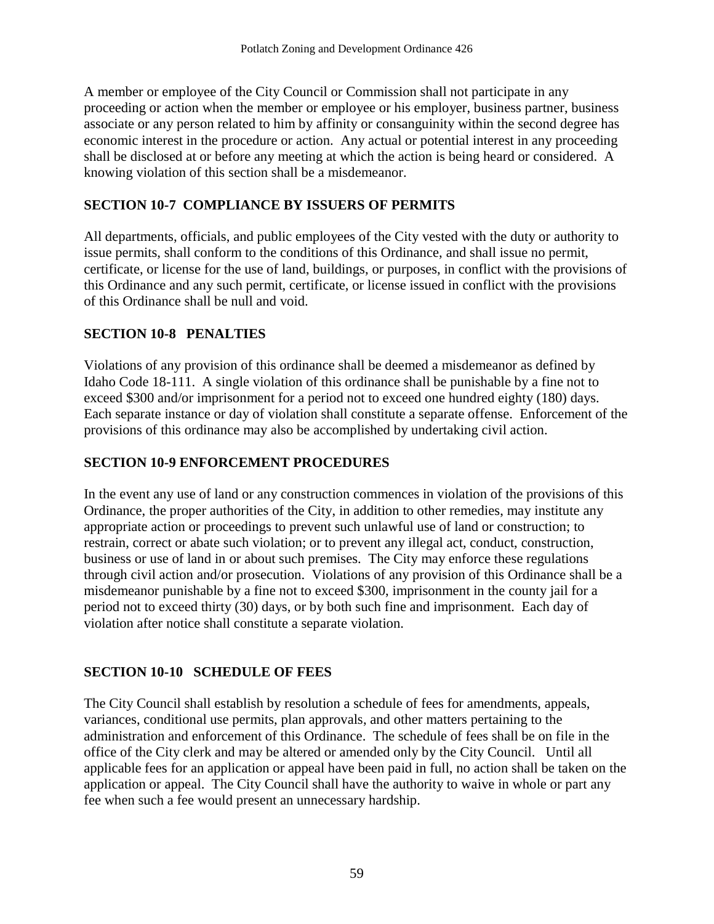A member or employee of the City Council or Commission shall not participate in any proceeding or action when the member or employee or his employer, business partner, business associate or any person related to him by affinity or consanguinity within the second degree has economic interest in the procedure or action. Any actual or potential interest in any proceeding shall be disclosed at or before any meeting at which the action is being heard or considered. A knowing violation of this section shall be a misdemeanor.

# **SECTION 10-7 COMPLIANCE BY ISSUERS OF PERMITS**

All departments, officials, and public employees of the City vested with the duty or authority to issue permits, shall conform to the conditions of this Ordinance, and shall issue no permit, certificate, or license for the use of land, buildings, or purposes, in conflict with the provisions of this Ordinance and any such permit, certificate, or license issued in conflict with the provisions of this Ordinance shall be null and void.

# **SECTION 10-8 PENALTIES**

Violations of any provision of this ordinance shall be deemed a misdemeanor as defined by Idaho Code 18-111. A single violation of this ordinance shall be punishable by a fine not to exceed \$300 and/or imprisonment for a period not to exceed one hundred eighty (180) days. Each separate instance or day of violation shall constitute a separate offense. Enforcement of the provisions of this ordinance may also be accomplished by undertaking civil action.

# **SECTION 10-9 ENFORCEMENT PROCEDURES**

In the event any use of land or any construction commences in violation of the provisions of this Ordinance, the proper authorities of the City, in addition to other remedies, may institute any appropriate action or proceedings to prevent such unlawful use of land or construction; to restrain, correct or abate such violation; or to prevent any illegal act, conduct, construction, business or use of land in or about such premises. The City may enforce these regulations through civil action and/or prosecution. Violations of any provision of this Ordinance shall be a misdemeanor punishable by a fine not to exceed \$300, imprisonment in the county jail for a period not to exceed thirty (30) days, or by both such fine and imprisonment. Each day of violation after notice shall constitute a separate violation.

# **SECTION 10-10 SCHEDULE OF FEES**

The City Council shall establish by resolution a schedule of fees for amendments, appeals, variances, conditional use permits, plan approvals, and other matters pertaining to the administration and enforcement of this Ordinance. The schedule of fees shall be on file in the office of the City clerk and may be altered or amended only by the City Council. Until all applicable fees for an application or appeal have been paid in full, no action shall be taken on the application or appeal. The City Council shall have the authority to waive in whole or part any fee when such a fee would present an unnecessary hardship.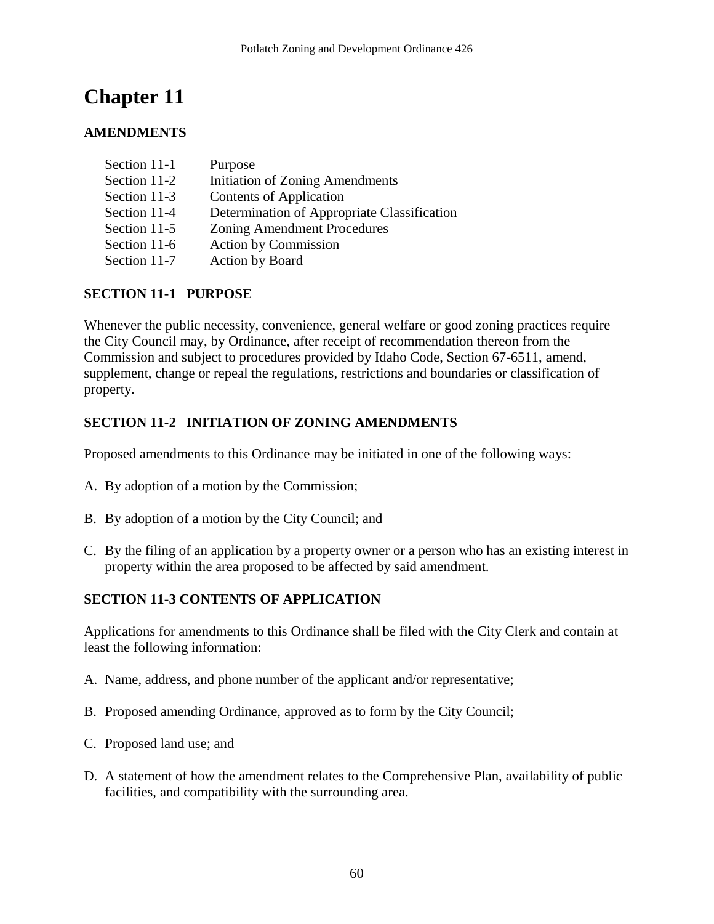# **AMENDMENTS**

| Section 11-1 | Purpose                                     |
|--------------|---------------------------------------------|
| Section 11-2 | Initiation of Zoning Amendments             |
| Section 11-3 | Contents of Application                     |
| Section 11-4 | Determination of Appropriate Classification |
| Section 11-5 | <b>Zoning Amendment Procedures</b>          |
| Section 11-6 | <b>Action by Commission</b>                 |
| Section 11-7 | Action by Board                             |

#### **SECTION 11-1 PURPOSE**

Whenever the public necessity, convenience, general welfare or good zoning practices require the City Council may, by Ordinance, after receipt of recommendation thereon from the Commission and subject to procedures provided by Idaho Code, Section 67-6511, amend, supplement, change or repeal the regulations, restrictions and boundaries or classification of property.

# **SECTION 11-2 INITIATION OF ZONING AMENDMENTS**

Proposed amendments to this Ordinance may be initiated in one of the following ways:

- A. By adoption of a motion by the Commission;
- B. By adoption of a motion by the City Council; and
- C. By the filing of an application by a property owner or a person who has an existing interest in property within the area proposed to be affected by said amendment.

#### **SECTION 11-3 CONTENTS OF APPLICATION**

Applications for amendments to this Ordinance shall be filed with the City Clerk and contain at least the following information:

- A. Name, address, and phone number of the applicant and/or representative;
- B. Proposed amending Ordinance, approved as to form by the City Council;
- C. Proposed land use; and
- D. A statement of how the amendment relates to the Comprehensive Plan, availability of public facilities, and compatibility with the surrounding area.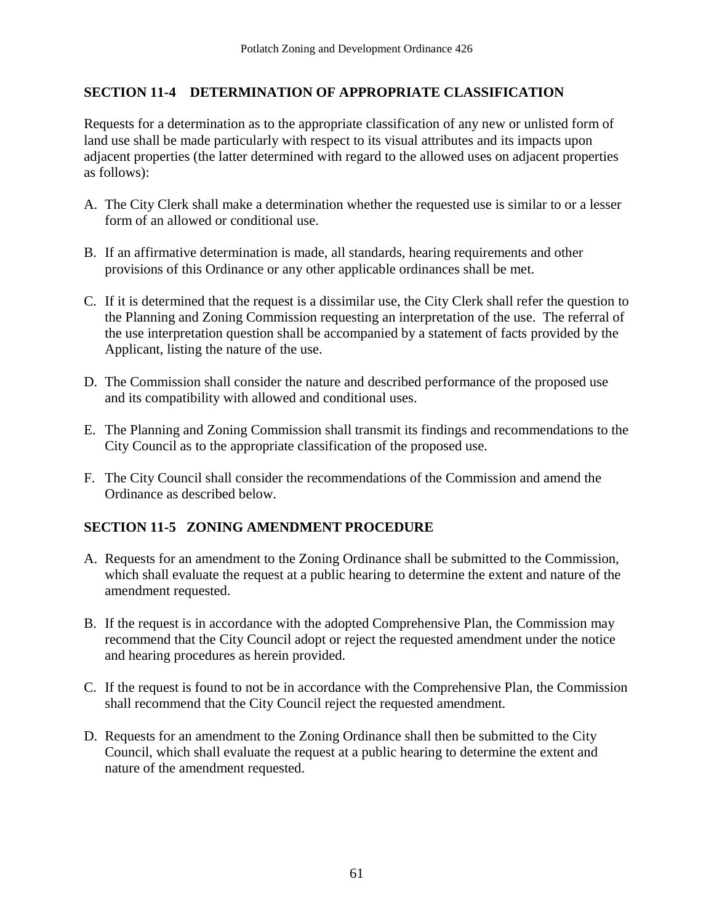#### **SECTION 11-4 DETERMINATION OF APPROPRIATE CLASSIFICATION**

Requests for a determination as to the appropriate classification of any new or unlisted form of land use shall be made particularly with respect to its visual attributes and its impacts upon adjacent properties (the latter determined with regard to the allowed uses on adjacent properties as follows):

- A. The City Clerk shall make a determination whether the requested use is similar to or a lesser form of an allowed or conditional use.
- B. If an affirmative determination is made, all standards, hearing requirements and other provisions of this Ordinance or any other applicable ordinances shall be met.
- C. If it is determined that the request is a dissimilar use, the City Clerk shall refer the question to the Planning and Zoning Commission requesting an interpretation of the use. The referral of the use interpretation question shall be accompanied by a statement of facts provided by the Applicant, listing the nature of the use.
- D. The Commission shall consider the nature and described performance of the proposed use and its compatibility with allowed and conditional uses.
- E. The Planning and Zoning Commission shall transmit its findings and recommendations to the City Council as to the appropriate classification of the proposed use.
- F. The City Council shall consider the recommendations of the Commission and amend the Ordinance as described below.

#### **SECTION 11-5 ZONING AMENDMENT PROCEDURE**

- A. Requests for an amendment to the Zoning Ordinance shall be submitted to the Commission, which shall evaluate the request at a public hearing to determine the extent and nature of the amendment requested.
- B. If the request is in accordance with the adopted Comprehensive Plan, the Commission may recommend that the City Council adopt or reject the requested amendment under the notice and hearing procedures as herein provided.
- C. If the request is found to not be in accordance with the Comprehensive Plan, the Commission shall recommend that the City Council reject the requested amendment.
- D. Requests for an amendment to the Zoning Ordinance shall then be submitted to the City Council, which shall evaluate the request at a public hearing to determine the extent and nature of the amendment requested.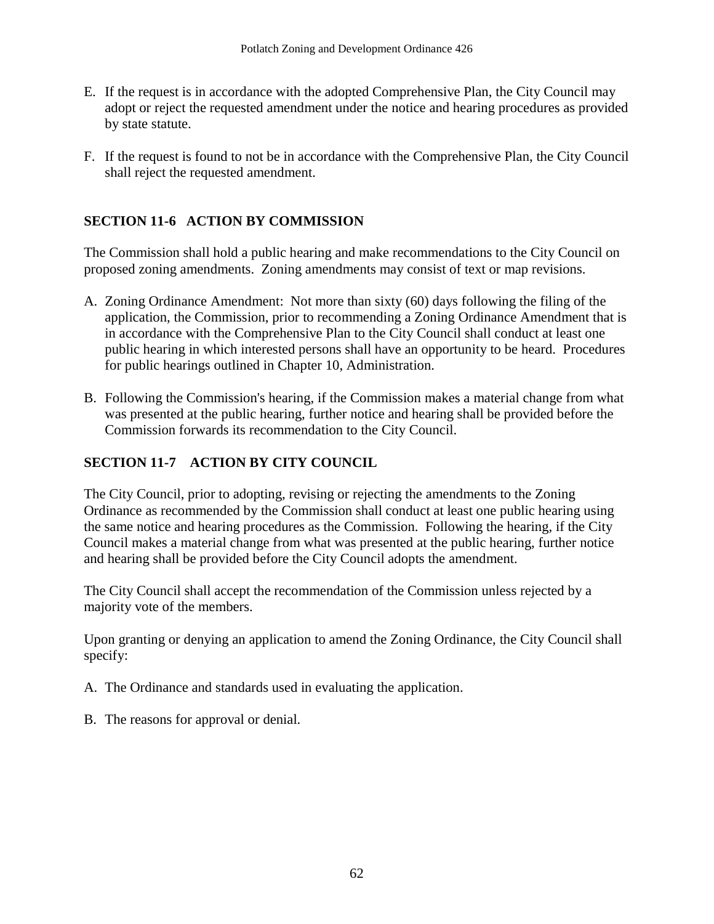- E. If the request is in accordance with the adopted Comprehensive Plan, the City Council may adopt or reject the requested amendment under the notice and hearing procedures as provided by state statute.
- F. If the request is found to not be in accordance with the Comprehensive Plan, the City Council shall reject the requested amendment.

#### **SECTION 11-6 ACTION BY COMMISSION**

The Commission shall hold a public hearing and make recommendations to the City Council on proposed zoning amendments. Zoning amendments may consist of text or map revisions.

- A. Zoning Ordinance Amendment: Not more than sixty (60) days following the filing of the application, the Commission, prior to recommending a Zoning Ordinance Amendment that is in accordance with the Comprehensive Plan to the City Council shall conduct at least one public hearing in which interested persons shall have an opportunity to be heard. Procedures for public hearings outlined in Chapter 10, Administration.
- B. Following the Commission's hearing, if the Commission makes a material change from what was presented at the public hearing, further notice and hearing shall be provided before the Commission forwards its recommendation to the City Council.

#### **SECTION 11-7 ACTION BY CITY COUNCIL**

The City Council, prior to adopting, revising or rejecting the amendments to the Zoning Ordinance as recommended by the Commission shall conduct at least one public hearing using the same notice and hearing procedures as the Commission. Following the hearing, if the City Council makes a material change from what was presented at the public hearing, further notice and hearing shall be provided before the City Council adopts the amendment.

The City Council shall accept the recommendation of the Commission unless rejected by a majority vote of the members.

Upon granting or denying an application to amend the Zoning Ordinance, the City Council shall specify:

- A. The Ordinance and standards used in evaluating the application.
- B. The reasons for approval or denial.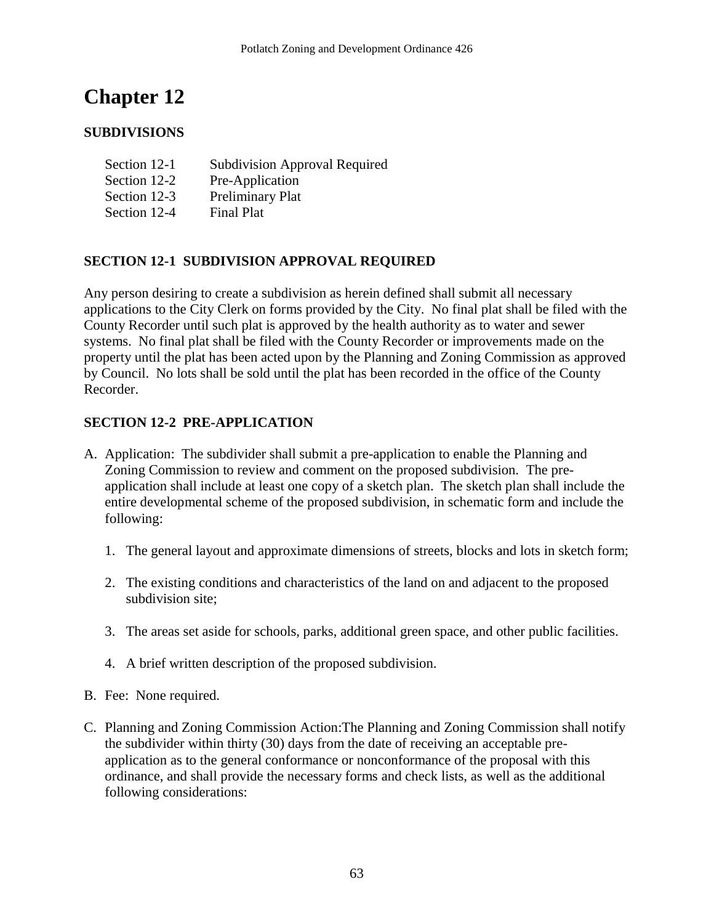# **SUBDIVISIONS**

| Section 12-1 | <b>Subdivision Approval Required</b> |
|--------------|--------------------------------------|
| Section 12-2 | Pre-Application                      |
| Section 12-3 | Preliminary Plat                     |
| Section 12-4 | <b>Final Plat</b>                    |

# **SECTION 12-1 SUBDIVISION APPROVAL REQUIRED**

Any person desiring to create a subdivision as herein defined shall submit all necessary applications to the City Clerk on forms provided by the City. No final plat shall be filed with the County Recorder until such plat is approved by the health authority as to water and sewer systems. No final plat shall be filed with the County Recorder or improvements made on the property until the plat has been acted upon by the Planning and Zoning Commission as approved by Council. No lots shall be sold until the plat has been recorded in the office of the County Recorder.

#### **SECTION 12-2 PRE-APPLICATION**

- A. Application: The subdivider shall submit a pre-application to enable the Planning and Zoning Commission to review and comment on the proposed subdivision. The preapplication shall include at least one copy of a sketch plan. The sketch plan shall include the entire developmental scheme of the proposed subdivision, in schematic form and include the following:
	- 1. The general layout and approximate dimensions of streets, blocks and lots in sketch form;
	- 2. The existing conditions and characteristics of the land on and adjacent to the proposed subdivision site;
	- 3. The areas set aside for schools, parks, additional green space, and other public facilities.
	- 4. A brief written description of the proposed subdivision.
- B. Fee: None required.
- C. Planning and Zoning Commission Action:The Planning and Zoning Commission shall notify the subdivider within thirty (30) days from the date of receiving an acceptable preapplication as to the general conformance or nonconformance of the proposal with this ordinance, and shall provide the necessary forms and check lists, as well as the additional following considerations: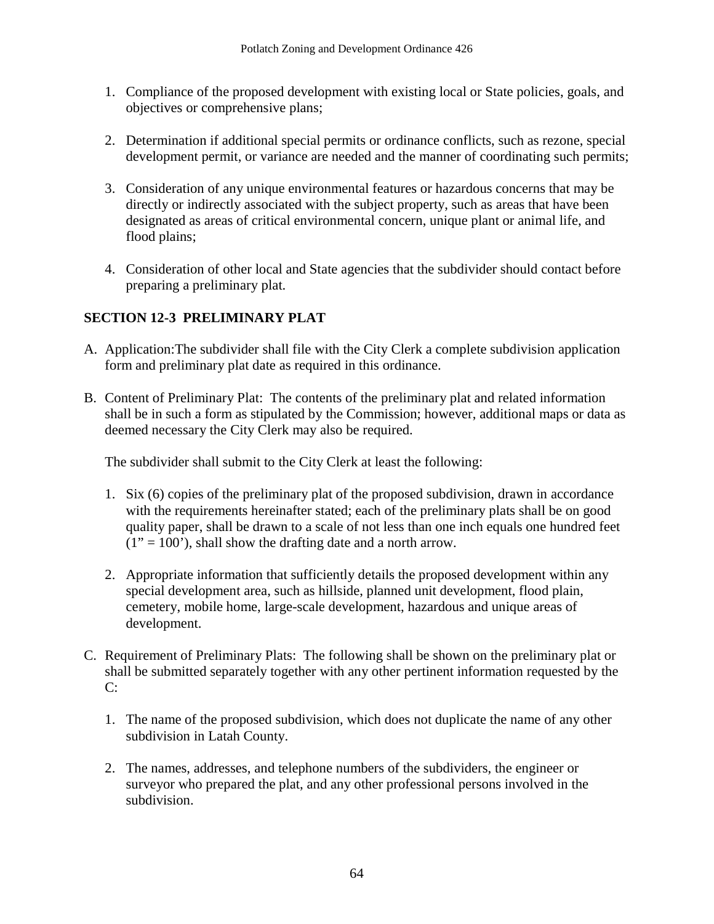- 1. Compliance of the proposed development with existing local or State policies, goals, and objectives or comprehensive plans;
- 2. Determination if additional special permits or ordinance conflicts, such as rezone, special development permit, or variance are needed and the manner of coordinating such permits;
- 3. Consideration of any unique environmental features or hazardous concerns that may be directly or indirectly associated with the subject property, such as areas that have been designated as areas of critical environmental concern, unique plant or animal life, and flood plains;
- 4. Consideration of other local and State agencies that the subdivider should contact before preparing a preliminary plat.

# **SECTION 12-3 PRELIMINARY PLAT**

- A. Application:The subdivider shall file with the City Clerk a complete subdivision application form and preliminary plat date as required in this ordinance.
- B. Content of Preliminary Plat: The contents of the preliminary plat and related information shall be in such a form as stipulated by the Commission; however, additional maps or data as deemed necessary the City Clerk may also be required.

The subdivider shall submit to the City Clerk at least the following:

- 1. Six (6) copies of the preliminary plat of the proposed subdivision, drawn in accordance with the requirements hereinafter stated; each of the preliminary plats shall be on good quality paper, shall be drawn to a scale of not less than one inch equals one hundred feet  $(1" = 100)$ , shall show the drafting date and a north arrow.
- 2. Appropriate information that sufficiently details the proposed development within any special development area, such as hillside, planned unit development, flood plain, cemetery, mobile home, large-scale development, hazardous and unique areas of development.
- C. Requirement of Preliminary Plats: The following shall be shown on the preliminary plat or shall be submitted separately together with any other pertinent information requested by the  $C:$ 
	- 1. The name of the proposed subdivision, which does not duplicate the name of any other subdivision in Latah County.
	- 2. The names, addresses, and telephone numbers of the subdividers, the engineer or surveyor who prepared the plat, and any other professional persons involved in the subdivision.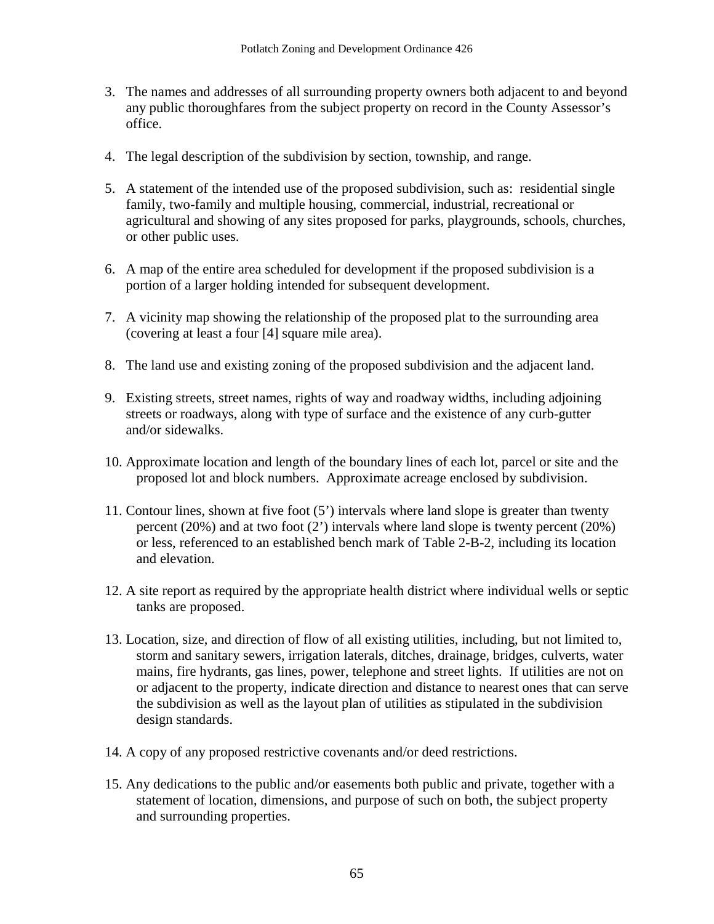- 3. The names and addresses of all surrounding property owners both adjacent to and beyond any public thoroughfares from the subject property on record in the County Assessor's office.
- 4. The legal description of the subdivision by section, township, and range.
- 5. A statement of the intended use of the proposed subdivision, such as: residential single family, two-family and multiple housing, commercial, industrial, recreational or agricultural and showing of any sites proposed for parks, playgrounds, schools, churches, or other public uses.
- 6. A map of the entire area scheduled for development if the proposed subdivision is a portion of a larger holding intended for subsequent development.
- 7. A vicinity map showing the relationship of the proposed plat to the surrounding area (covering at least a four [4] square mile area).
- 8. The land use and existing zoning of the proposed subdivision and the adjacent land.
- 9. Existing streets, street names, rights of way and roadway widths, including adjoining streets or roadways, along with type of surface and the existence of any curb-gutter and/or sidewalks.
- 10. Approximate location and length of the boundary lines of each lot, parcel or site and the proposed lot and block numbers. Approximate acreage enclosed by subdivision.
- 11. Contour lines, shown at five foot (5') intervals where land slope is greater than twenty percent (20%) and at two foot (2') intervals where land slope is twenty percent (20%) or less, referenced to an established bench mark of Table 2-B-2, including its location and elevation.
- 12. A site report as required by the appropriate health district where individual wells or septic tanks are proposed.
- 13. Location, size, and direction of flow of all existing utilities, including, but not limited to, storm and sanitary sewers, irrigation laterals, ditches, drainage, bridges, culverts, water mains, fire hydrants, gas lines, power, telephone and street lights. If utilities are not on or adjacent to the property, indicate direction and distance to nearest ones that can serve the subdivision as well as the layout plan of utilities as stipulated in the subdivision design standards.
- 14. A copy of any proposed restrictive covenants and/or deed restrictions.
- 15. Any dedications to the public and/or easements both public and private, together with a statement of location, dimensions, and purpose of such on both, the subject property and surrounding properties.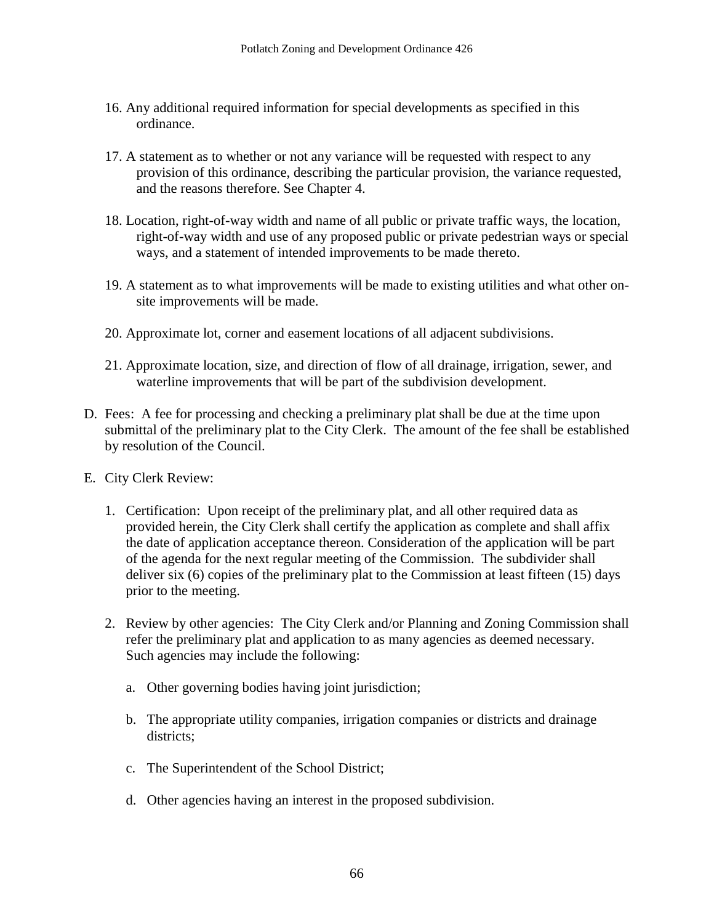- 16. Any additional required information for special developments as specified in this ordinance.
- 17. A statement as to whether or not any variance will be requested with respect to any provision of this ordinance, describing the particular provision, the variance requested, and the reasons therefore. See Chapter 4.
- 18. Location, right-of-way width and name of all public or private traffic ways, the location, right-of-way width and use of any proposed public or private pedestrian ways or special ways, and a statement of intended improvements to be made thereto.
- 19. A statement as to what improvements will be made to existing utilities and what other onsite improvements will be made.
- 20. Approximate lot, corner and easement locations of all adjacent subdivisions.
- 21. Approximate location, size, and direction of flow of all drainage, irrigation, sewer, and waterline improvements that will be part of the subdivision development.
- D. Fees: A fee for processing and checking a preliminary plat shall be due at the time upon submittal of the preliminary plat to the City Clerk. The amount of the fee shall be established by resolution of the Council.
- E. City Clerk Review:
	- 1. Certification: Upon receipt of the preliminary plat, and all other required data as provided herein, the City Clerk shall certify the application as complete and shall affix the date of application acceptance thereon. Consideration of the application will be part of the agenda for the next regular meeting of the Commission. The subdivider shall deliver six (6) copies of the preliminary plat to the Commission at least fifteen (15) days prior to the meeting.
	- 2. Review by other agencies: The City Clerk and/or Planning and Zoning Commission shall refer the preliminary plat and application to as many agencies as deemed necessary. Such agencies may include the following:
		- a. Other governing bodies having joint jurisdiction;
		- b. The appropriate utility companies, irrigation companies or districts and drainage districts;
		- c. The Superintendent of the School District;
		- d. Other agencies having an interest in the proposed subdivision.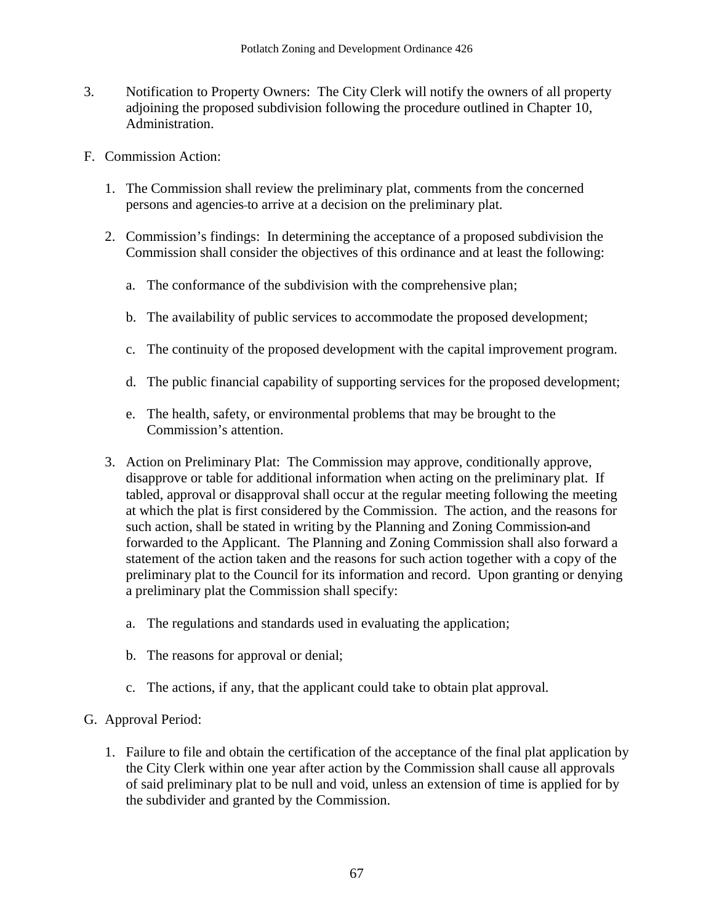- 3. Notification to Property Owners: The City Clerk will notify the owners of all property adjoining the proposed subdivision following the procedure outlined in Chapter 10, Administration.
- F. Commission Action:
	- 1. The Commission shall review the preliminary plat, comments from the concerned persons and agencies to arrive at a decision on the preliminary plat.
	- 2. Commission's findings: In determining the acceptance of a proposed subdivision the Commission shall consider the objectives of this ordinance and at least the following:
		- a. The conformance of the subdivision with the comprehensive plan;
		- b. The availability of public services to accommodate the proposed development;
		- c. The continuity of the proposed development with the capital improvement program.
		- d. The public financial capability of supporting services for the proposed development;
		- e. The health, safety, or environmental problems that may be brought to the Commission's attention.
	- 3. Action on Preliminary Plat: The Commission may approve, conditionally approve, disapprove or table for additional information when acting on the preliminary plat. If tabled, approval or disapproval shall occur at the regular meeting following the meeting at which the plat is first considered by the Commission. The action, and the reasons for such action, shall be stated in writing by the Planning and Zoning Commission and forwarded to the Applicant. The Planning and Zoning Commission shall also forward a statement of the action taken and the reasons for such action together with a copy of the preliminary plat to the Council for its information and record. Upon granting or denying a preliminary plat the Commission shall specify:
		- a. The regulations and standards used in evaluating the application;
		- b. The reasons for approval or denial;
		- c. The actions, if any, that the applicant could take to obtain plat approval.

# G. Approval Period:

1. Failure to file and obtain the certification of the acceptance of the final plat application by the City Clerk within one year after action by the Commission shall cause all approvals of said preliminary plat to be null and void, unless an extension of time is applied for by the subdivider and granted by the Commission.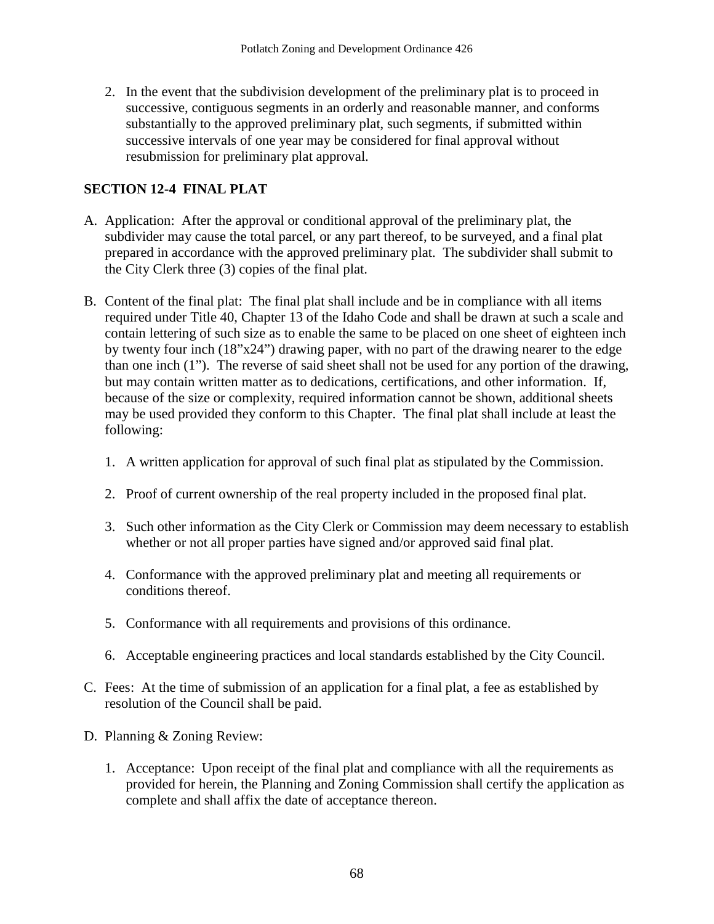2. In the event that the subdivision development of the preliminary plat is to proceed in successive, contiguous segments in an orderly and reasonable manner, and conforms substantially to the approved preliminary plat, such segments, if submitted within successive intervals of one year may be considered for final approval without resubmission for preliminary plat approval.

# **SECTION 12-4 FINAL PLAT**

- A. Application: After the approval or conditional approval of the preliminary plat, the subdivider may cause the total parcel, or any part thereof, to be surveyed, and a final plat prepared in accordance with the approved preliminary plat. The subdivider shall submit to the City Clerk three (3) copies of the final plat.
- B. Content of the final plat: The final plat shall include and be in compliance with all items required under Title 40, Chapter 13 of the Idaho Code and shall be drawn at such a scale and contain lettering of such size as to enable the same to be placed on one sheet of eighteen inch by twenty four inch (18"x24") drawing paper, with no part of the drawing nearer to the edge than one inch (1"). The reverse of said sheet shall not be used for any portion of the drawing, but may contain written matter as to dedications, certifications, and other information. If, because of the size or complexity, required information cannot be shown, additional sheets may be used provided they conform to this Chapter. The final plat shall include at least the following:
	- 1. A written application for approval of such final plat as stipulated by the Commission.
	- 2. Proof of current ownership of the real property included in the proposed final plat.
	- 3. Such other information as the City Clerk or Commission may deem necessary to establish whether or not all proper parties have signed and/or approved said final plat.
	- 4. Conformance with the approved preliminary plat and meeting all requirements or conditions thereof.
	- 5. Conformance with all requirements and provisions of this ordinance.
	- 6. Acceptable engineering practices and local standards established by the City Council.
- C. Fees: At the time of submission of an application for a final plat, a fee as established by resolution of the Council shall be paid.
- D. Planning & Zoning Review:
	- 1. Acceptance: Upon receipt of the final plat and compliance with all the requirements as provided for herein, the Planning and Zoning Commission shall certify the application as complete and shall affix the date of acceptance thereon.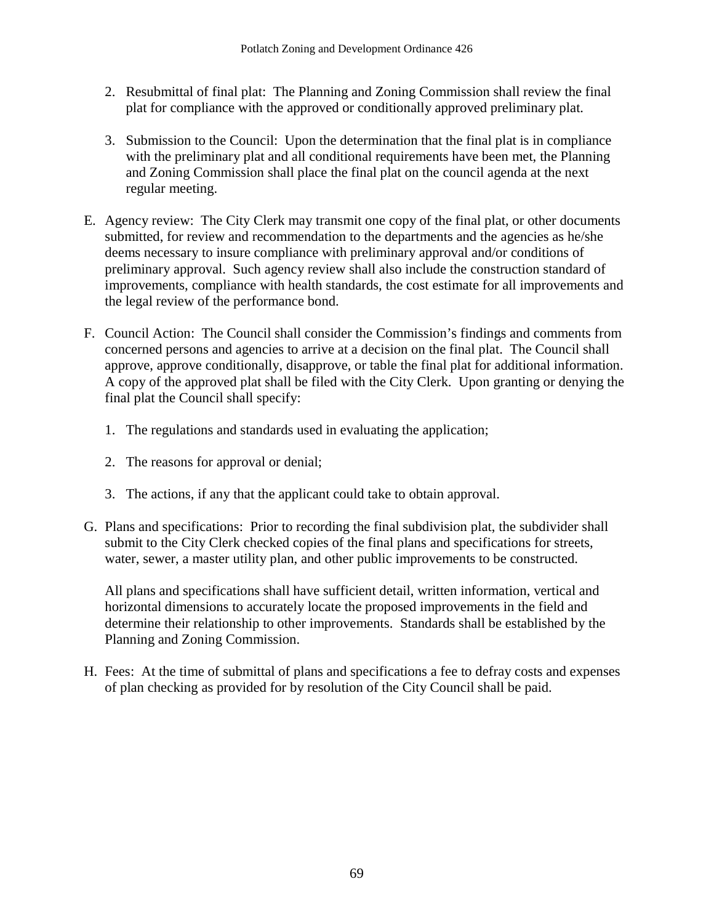- 2. Resubmittal of final plat: The Planning and Zoning Commission shall review the final plat for compliance with the approved or conditionally approved preliminary plat.
- 3. Submission to the Council: Upon the determination that the final plat is in compliance with the preliminary plat and all conditional requirements have been met, the Planning and Zoning Commission shall place the final plat on the council agenda at the next regular meeting.
- E. Agency review: The City Clerk may transmit one copy of the final plat, or other documents submitted, for review and recommendation to the departments and the agencies as he/she deems necessary to insure compliance with preliminary approval and/or conditions of preliminary approval. Such agency review shall also include the construction standard of improvements, compliance with health standards, the cost estimate for all improvements and the legal review of the performance bond.
- F. Council Action: The Council shall consider the Commission's findings and comments from concerned persons and agencies to arrive at a decision on the final plat. The Council shall approve, approve conditionally, disapprove, or table the final plat for additional information. A copy of the approved plat shall be filed with the City Clerk. Upon granting or denying the final plat the Council shall specify:
	- 1. The regulations and standards used in evaluating the application;
	- 2. The reasons for approval or denial;
	- 3. The actions, if any that the applicant could take to obtain approval.
- G. Plans and specifications: Prior to recording the final subdivision plat, the subdivider shall submit to the City Clerk checked copies of the final plans and specifications for streets, water, sewer, a master utility plan, and other public improvements to be constructed.

All plans and specifications shall have sufficient detail, written information, vertical and horizontal dimensions to accurately locate the proposed improvements in the field and determine their relationship to other improvements. Standards shall be established by the Planning and Zoning Commission.

H. Fees: At the time of submittal of plans and specifications a fee to defray costs and expenses of plan checking as provided for by resolution of the City Council shall be paid.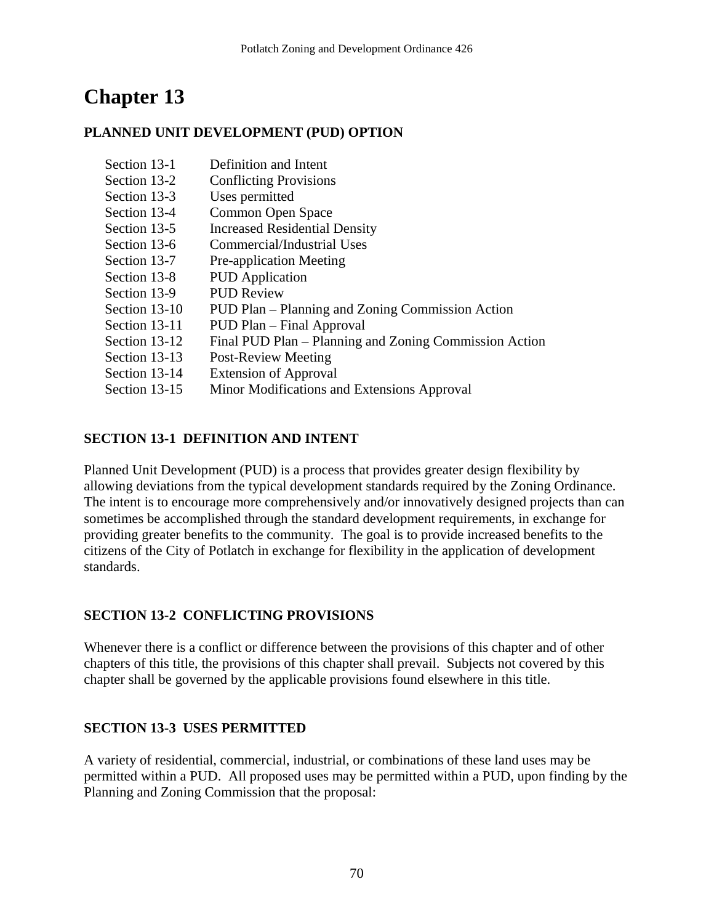# **Chapter 13**

## **PLANNED UNIT DEVELOPMENT (PUD) OPTION**

| Section 13-1  | Definition and Intent                                  |
|---------------|--------------------------------------------------------|
| Section 13-2  | <b>Conflicting Provisions</b>                          |
| Section 13-3  | Uses permitted                                         |
| Section 13-4  | Common Open Space                                      |
| Section 13-5  | <b>Increased Residential Density</b>                   |
| Section 13-6  | Commercial/Industrial Uses                             |
| Section 13-7  | Pre-application Meeting                                |
| Section 13-8  | <b>PUD</b> Application                                 |
| Section 13-9  | <b>PUD Review</b>                                      |
| Section 13-10 | PUD Plan – Planning and Zoning Commission Action       |
| Section 13-11 | PUD Plan – Final Approval                              |
| Section 13-12 | Final PUD Plan – Planning and Zoning Commission Action |
| Section 13-13 | <b>Post-Review Meeting</b>                             |
| Section 13-14 | <b>Extension of Approval</b>                           |
| Section 13-15 | Minor Modifications and Extensions Approval            |

## **SECTION 13-1 DEFINITION AND INTENT**

Planned Unit Development (PUD) is a process that provides greater design flexibility by allowing deviations from the typical development standards required by the Zoning Ordinance. The intent is to encourage more comprehensively and/or innovatively designed projects than can sometimes be accomplished through the standard development requirements, in exchange for providing greater benefits to the community. The goal is to provide increased benefits to the citizens of the City of Potlatch in exchange for flexibility in the application of development standards.

# **SECTION 13-2 CONFLICTING PROVISIONS**

Whenever there is a conflict or difference between the provisions of this chapter and of other chapters of this title, the provisions of this chapter shall prevail. Subjects not covered by this chapter shall be governed by the applicable provisions found elsewhere in this title.

# **SECTION 13-3 USES PERMITTED**

A variety of residential, commercial, industrial, or combinations of these land uses may be permitted within a PUD. All proposed uses may be permitted within a PUD, upon finding by the Planning and Zoning Commission that the proposal: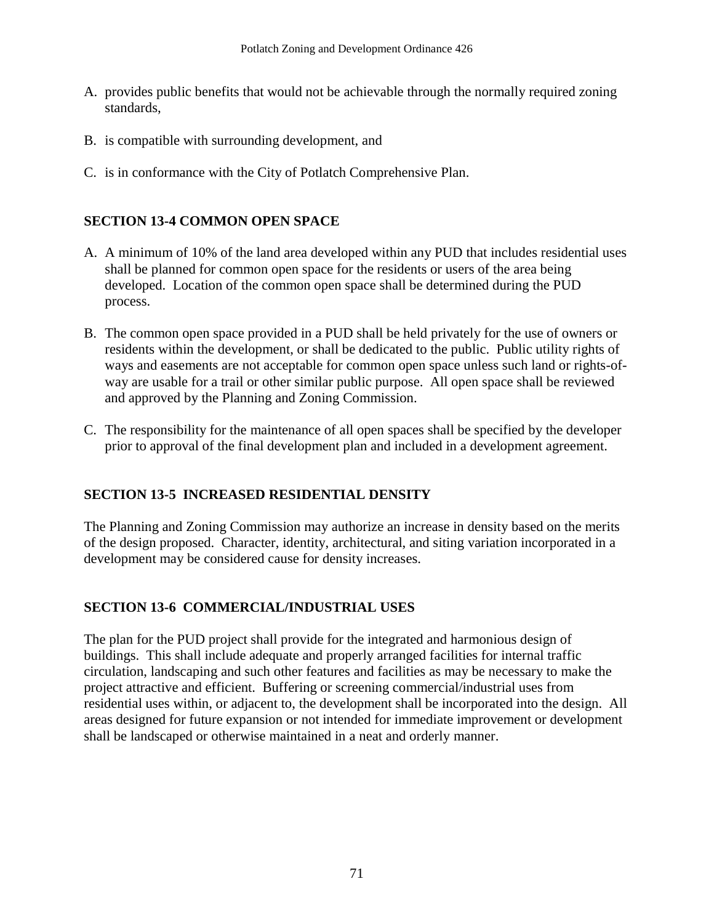- A. provides public benefits that would not be achievable through the normally required zoning standards,
- B. is compatible with surrounding development, and
- C. is in conformance with the City of Potlatch Comprehensive Plan.

#### **SECTION 13-4 COMMON OPEN SPACE**

- A. A minimum of 10% of the land area developed within any PUD that includes residential uses shall be planned for common open space for the residents or users of the area being developed. Location of the common open space shall be determined during the PUD process.
- B. The common open space provided in a PUD shall be held privately for the use of owners or residents within the development, or shall be dedicated to the public. Public utility rights of ways and easements are not acceptable for common open space unless such land or rights-ofway are usable for a trail or other similar public purpose. All open space shall be reviewed and approved by the Planning and Zoning Commission.
- C. The responsibility for the maintenance of all open spaces shall be specified by the developer prior to approval of the final development plan and included in a development agreement.

#### **SECTION 13-5 INCREASED RESIDENTIAL DENSITY**

The Planning and Zoning Commission may authorize an increase in density based on the merits of the design proposed. Character, identity, architectural, and siting variation incorporated in a development may be considered cause for density increases.

#### **SECTION 13-6 COMMERCIAL/INDUSTRIAL USES**

The plan for the PUD project shall provide for the integrated and harmonious design of buildings. This shall include adequate and properly arranged facilities for internal traffic circulation, landscaping and such other features and facilities as may be necessary to make the project attractive and efficient. Buffering or screening commercial/industrial uses from residential uses within, or adjacent to, the development shall be incorporated into the design. All areas designed for future expansion or not intended for immediate improvement or development shall be landscaped or otherwise maintained in a neat and orderly manner.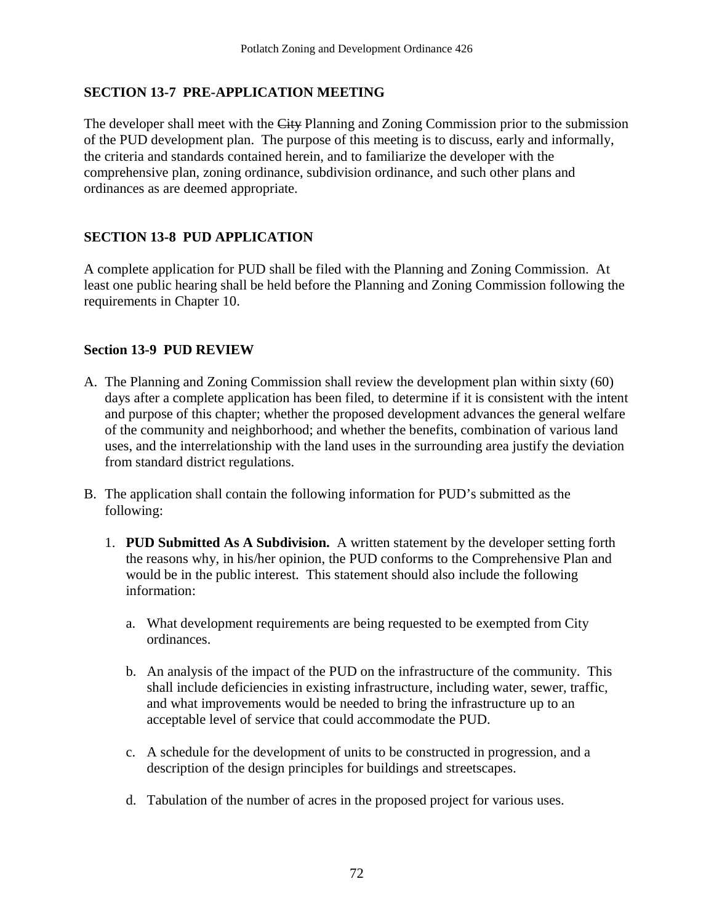## **SECTION 13-7 PRE-APPLICATION MEETING**

The developer shall meet with the City Planning and Zoning Commission prior to the submission of the PUD development plan. The purpose of this meeting is to discuss, early and informally, the criteria and standards contained herein, and to familiarize the developer with the comprehensive plan, zoning ordinance, subdivision ordinance, and such other plans and ordinances as are deemed appropriate.

#### **SECTION 13-8 PUD APPLICATION**

A complete application for PUD shall be filed with the Planning and Zoning Commission. At least one public hearing shall be held before the Planning and Zoning Commission following the requirements in Chapter 10.

#### **Section 13-9 PUD REVIEW**

- A. The Planning and Zoning Commission shall review the development plan within sixty (60) days after a complete application has been filed, to determine if it is consistent with the intent and purpose of this chapter; whether the proposed development advances the general welfare of the community and neighborhood; and whether the benefits, combination of various land uses, and the interrelationship with the land uses in the surrounding area justify the deviation from standard district regulations.
- B. The application shall contain the following information for PUD's submitted as the following:
	- 1. **PUD Submitted As A Subdivision.** A written statement by the developer setting forth the reasons why, in his/her opinion, the PUD conforms to the Comprehensive Plan and would be in the public interest. This statement should also include the following information:
		- a. What development requirements are being requested to be exempted from City ordinances.
		- b. An analysis of the impact of the PUD on the infrastructure of the community. This shall include deficiencies in existing infrastructure, including water, sewer, traffic, and what improvements would be needed to bring the infrastructure up to an acceptable level of service that could accommodate the PUD.
		- c. A schedule for the development of units to be constructed in progression, and a description of the design principles for buildings and streetscapes.
		- d. Tabulation of the number of acres in the proposed project for various uses.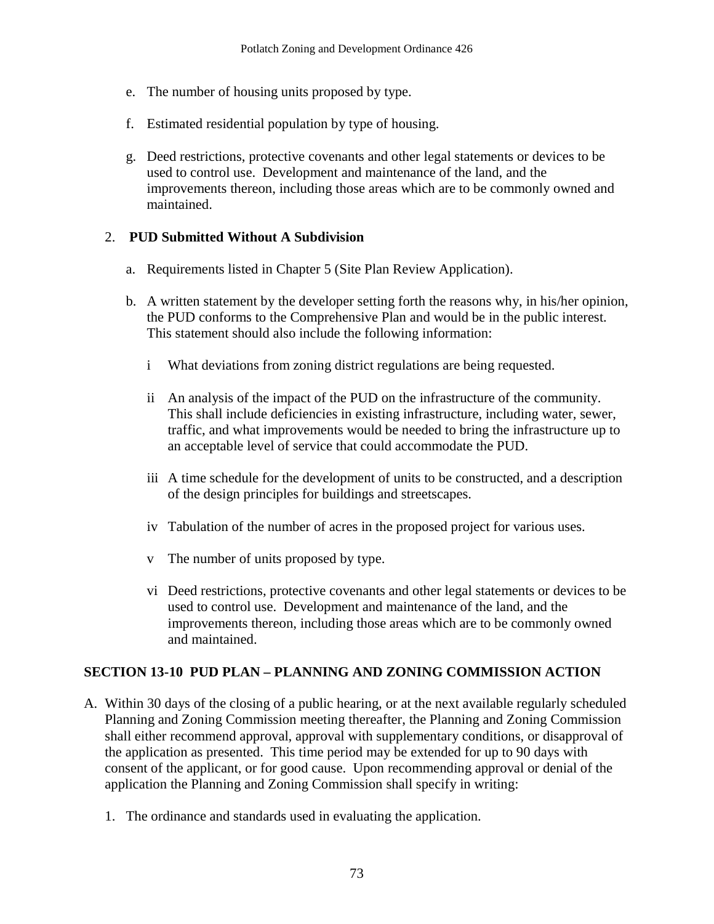- e. The number of housing units proposed by type.
- f. Estimated residential population by type of housing.
- g. Deed restrictions, protective covenants and other legal statements or devices to be used to control use. Development and maintenance of the land, and the improvements thereon, including those areas which are to be commonly owned and maintained.

## 2. **PUD Submitted Without A Subdivision**

- a. Requirements listed in Chapter 5 (Site Plan Review Application).
- b. A written statement by the developer setting forth the reasons why, in his/her opinion, the PUD conforms to the Comprehensive Plan and would be in the public interest. This statement should also include the following information:
	- i What deviations from zoning district regulations are being requested.
	- ii An analysis of the impact of the PUD on the infrastructure of the community. This shall include deficiencies in existing infrastructure, including water, sewer, traffic, and what improvements would be needed to bring the infrastructure up to an acceptable level of service that could accommodate the PUD.
	- iii A time schedule for the development of units to be constructed, and a description of the design principles for buildings and streetscapes.
	- iv Tabulation of the number of acres in the proposed project for various uses.
	- v The number of units proposed by type.
	- vi Deed restrictions, protective covenants and other legal statements or devices to be used to control use. Development and maintenance of the land, and the improvements thereon, including those areas which are to be commonly owned and maintained.

#### **SECTION 13-10 PUD PLAN – PLANNING AND ZONING COMMISSION ACTION**

- A. Within 30 days of the closing of a public hearing, or at the next available regularly scheduled Planning and Zoning Commission meeting thereafter, the Planning and Zoning Commission shall either recommend approval, approval with supplementary conditions, or disapproval of the application as presented. This time period may be extended for up to 90 days with consent of the applicant, or for good cause. Upon recommending approval or denial of the application the Planning and Zoning Commission shall specify in writing:
	- 1. The ordinance and standards used in evaluating the application.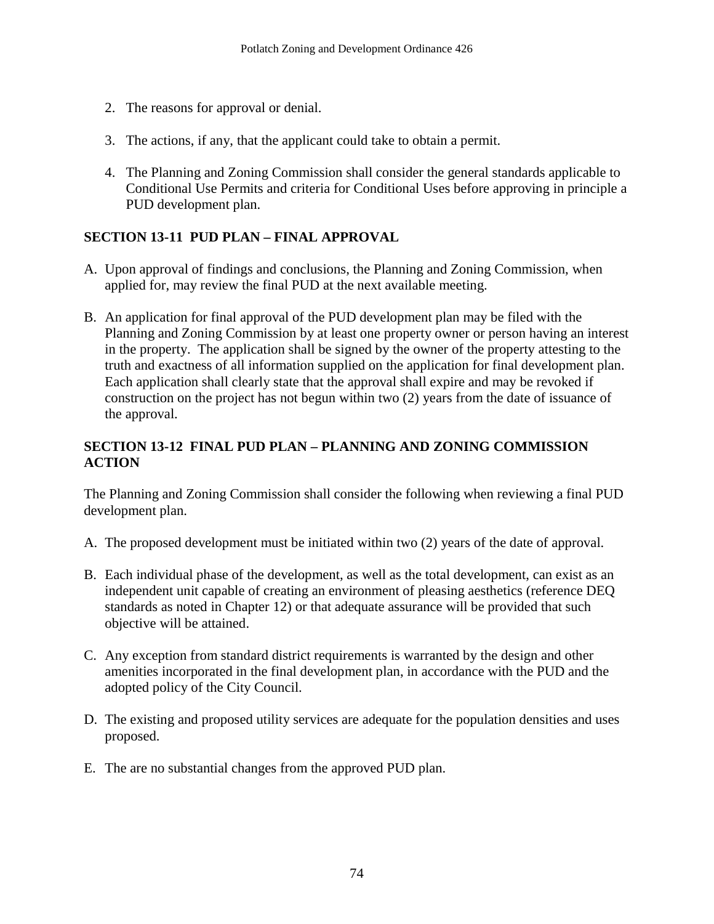- 2. The reasons for approval or denial.
- 3. The actions, if any, that the applicant could take to obtain a permit.
- 4. The Planning and Zoning Commission shall consider the general standards applicable to Conditional Use Permits and criteria for Conditional Uses before approving in principle a PUD development plan.

## **SECTION 13-11 PUD PLAN – FINAL APPROVAL**

- A. Upon approval of findings and conclusions, the Planning and Zoning Commission, when applied for, may review the final PUD at the next available meeting.
- B. An application for final approval of the PUD development plan may be filed with the Planning and Zoning Commission by at least one property owner or person having an interest in the property. The application shall be signed by the owner of the property attesting to the truth and exactness of all information supplied on the application for final development plan. Each application shall clearly state that the approval shall expire and may be revoked if construction on the project has not begun within two (2) years from the date of issuance of the approval.

## **SECTION 13-12 FINAL PUD PLAN – PLANNING AND ZONING COMMISSION ACTION**

The Planning and Zoning Commission shall consider the following when reviewing a final PUD development plan.

- A. The proposed development must be initiated within two (2) years of the date of approval.
- B. Each individual phase of the development, as well as the total development, can exist as an independent unit capable of creating an environment of pleasing aesthetics (reference DEQ standards as noted in Chapter 12) or that adequate assurance will be provided that such objective will be attained.
- C. Any exception from standard district requirements is warranted by the design and other amenities incorporated in the final development plan, in accordance with the PUD and the adopted policy of the City Council.
- D. The existing and proposed utility services are adequate for the population densities and uses proposed.
- E. The are no substantial changes from the approved PUD plan.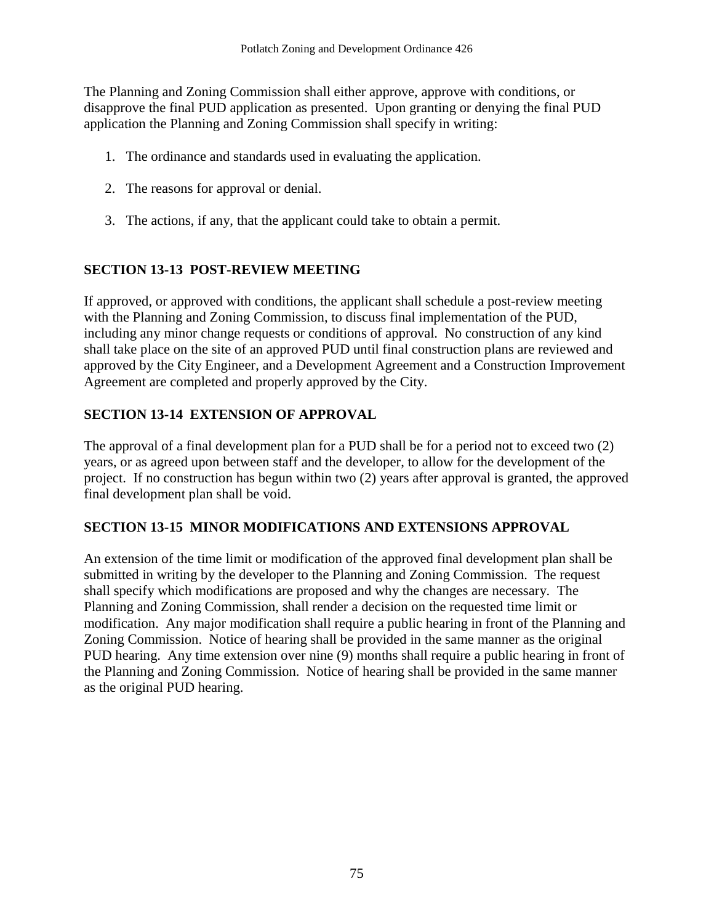The Planning and Zoning Commission shall either approve, approve with conditions, or disapprove the final PUD application as presented. Upon granting or denying the final PUD application the Planning and Zoning Commission shall specify in writing:

- 1. The ordinance and standards used in evaluating the application.
- 2. The reasons for approval or denial.
- 3. The actions, if any, that the applicant could take to obtain a permit.

# **SECTION 13-13 POST-REVIEW MEETING**

If approved, or approved with conditions, the applicant shall schedule a post-review meeting with the Planning and Zoning Commission, to discuss final implementation of the PUD, including any minor change requests or conditions of approval. No construction of any kind shall take place on the site of an approved PUD until final construction plans are reviewed and approved by the City Engineer, and a Development Agreement and a Construction Improvement Agreement are completed and properly approved by the City.

# **SECTION 13-14 EXTENSION OF APPROVAL**

The approval of a final development plan for a PUD shall be for a period not to exceed two (2) years, or as agreed upon between staff and the developer, to allow for the development of the project. If no construction has begun within two (2) years after approval is granted, the approved final development plan shall be void.

# **SECTION 13-15 MINOR MODIFICATIONS AND EXTENSIONS APPROVAL**

An extension of the time limit or modification of the approved final development plan shall be submitted in writing by the developer to the Planning and Zoning Commission. The request shall specify which modifications are proposed and why the changes are necessary. The Planning and Zoning Commission, shall render a decision on the requested time limit or modification. Any major modification shall require a public hearing in front of the Planning and Zoning Commission. Notice of hearing shall be provided in the same manner as the original PUD hearing. Any time extension over nine (9) months shall require a public hearing in front of the Planning and Zoning Commission. Notice of hearing shall be provided in the same manner as the original PUD hearing.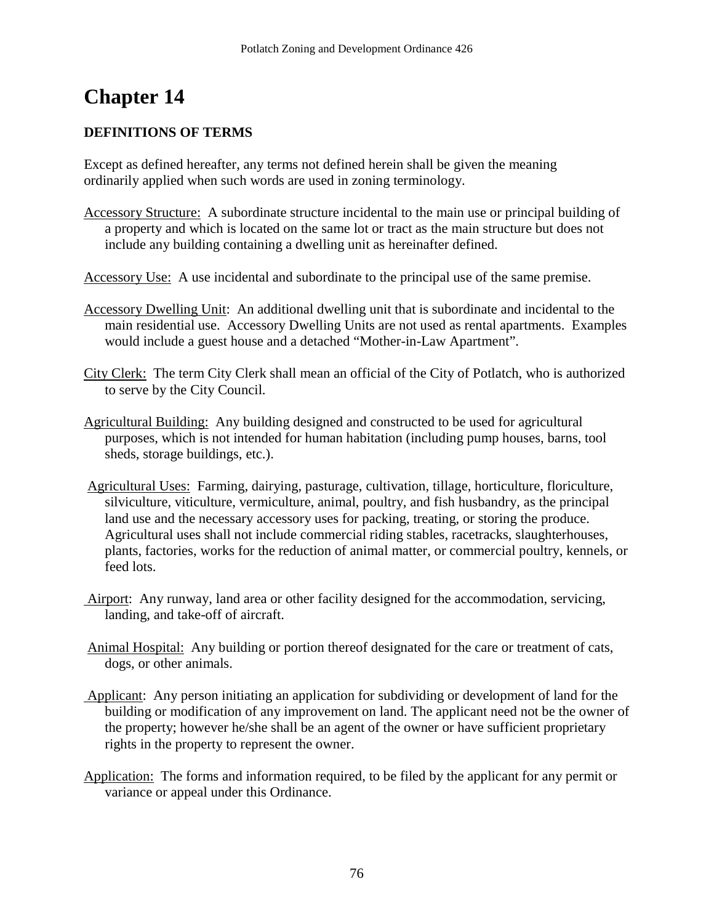# **Chapter 14**

## **DEFINITIONS OF TERMS**

Except as defined hereafter, any terms not defined herein shall be given the meaning ordinarily applied when such words are used in zoning terminology.

- Accessory Structure: A subordinate structure incidental to the main use or principal building of a property and which is located on the same lot or tract as the main structure but does not include any building containing a dwelling unit as hereinafter defined.
- Accessory Use: A use incidental and subordinate to the principal use of the same premise.
- Accessory Dwelling Unit: An additional dwelling unit that is subordinate and incidental to the main residential use. Accessory Dwelling Units are not used as rental apartments. Examples would include a guest house and a detached "Mother-in-Law Apartment".
- City Clerk: The term City Clerk shall mean an official of the City of Potlatch, who is authorized to serve by the City Council.
- Agricultural Building: Any building designed and constructed to be used for agricultural purposes, which is not intended for human habitation (including pump houses, barns, tool sheds, storage buildings, etc.).
- Agricultural Uses: Farming, dairying, pasturage, cultivation, tillage, horticulture, floriculture, silviculture, viticulture, vermiculture, animal, poultry, and fish husbandry, as the principal land use and the necessary accessory uses for packing, treating, or storing the produce. Agricultural uses shall not include commercial riding stables, racetracks, slaughterhouses, plants, factories, works for the reduction of animal matter, or commercial poultry, kennels, or feed lots.
- Airport: Any runway, land area or other facility designed for the accommodation, servicing, landing, and take-off of aircraft.
- Animal Hospital: Any building or portion thereof designated for the care or treatment of cats, dogs, or other animals.
- Applicant: Any person initiating an application for subdividing or development of land for the building or modification of any improvement on land. The applicant need not be the owner of the property; however he/she shall be an agent of the owner or have sufficient proprietary rights in the property to represent the owner.
- Application: The forms and information required, to be filed by the applicant for any permit or variance or appeal under this Ordinance.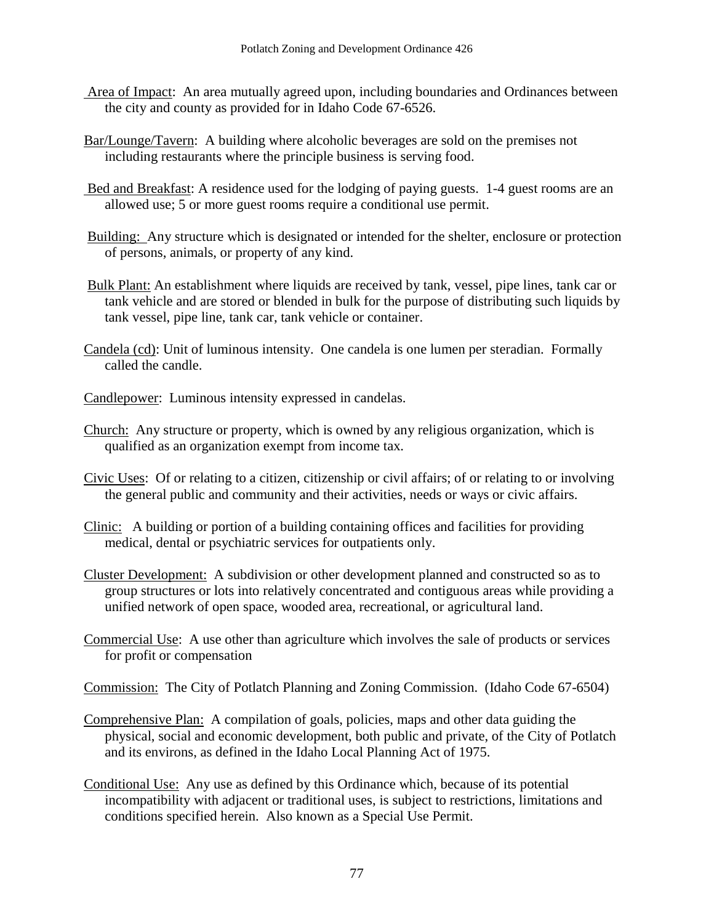- Area of Impact: An area mutually agreed upon, including boundaries and Ordinances between the city and county as provided for in Idaho Code 67-6526.
- Bar/Lounge/Tavern: A building where alcoholic beverages are sold on the premises not including restaurants where the principle business is serving food.
- Bed and Breakfast: A residence used for the lodging of paying guests. 1-4 guest rooms are an allowed use; 5 or more guest rooms require a conditional use permit.
- Building: Any structure which is designated or intended for the shelter, enclosure or protection of persons, animals, or property of any kind.
- Bulk Plant: An establishment where liquids are received by tank, vessel, pipe lines, tank car or tank vehicle and are stored or blended in bulk for the purpose of distributing such liquids by tank vessel, pipe line, tank car, tank vehicle or container.
- Candela (cd): Unit of luminous intensity. One candela is one lumen per steradian. Formally called the candle.
- Candlepower: Luminous intensity expressed in candelas.
- Church: Any structure or property, which is owned by any religious organization, which is qualified as an organization exempt from income tax.
- Civic Uses: Of or relating to a citizen, citizenship or civil affairs; of or relating to or involving the general public and community and their activities, needs or ways or civic affairs.
- Clinic: A building or portion of a building containing offices and facilities for providing medical, dental or psychiatric services for outpatients only.
- Cluster Development: A subdivision or other development planned and constructed so as to group structures or lots into relatively concentrated and contiguous areas while providing a unified network of open space, wooded area, recreational, or agricultural land.
- Commercial Use: A use other than agriculture which involves the sale of products or services for profit or compensation
- Commission: The City of Potlatch Planning and Zoning Commission. (Idaho Code 67-6504)
- Comprehensive Plan: A compilation of goals, policies, maps and other data guiding the physical, social and economic development, both public and private, of the City of Potlatch and its environs, as defined in the Idaho Local Planning Act of 1975.
- Conditional Use: Any use as defined by this Ordinance which, because of its potential incompatibility with adjacent or traditional uses, is subject to restrictions, limitations and conditions specified herein. Also known as a Special Use Permit.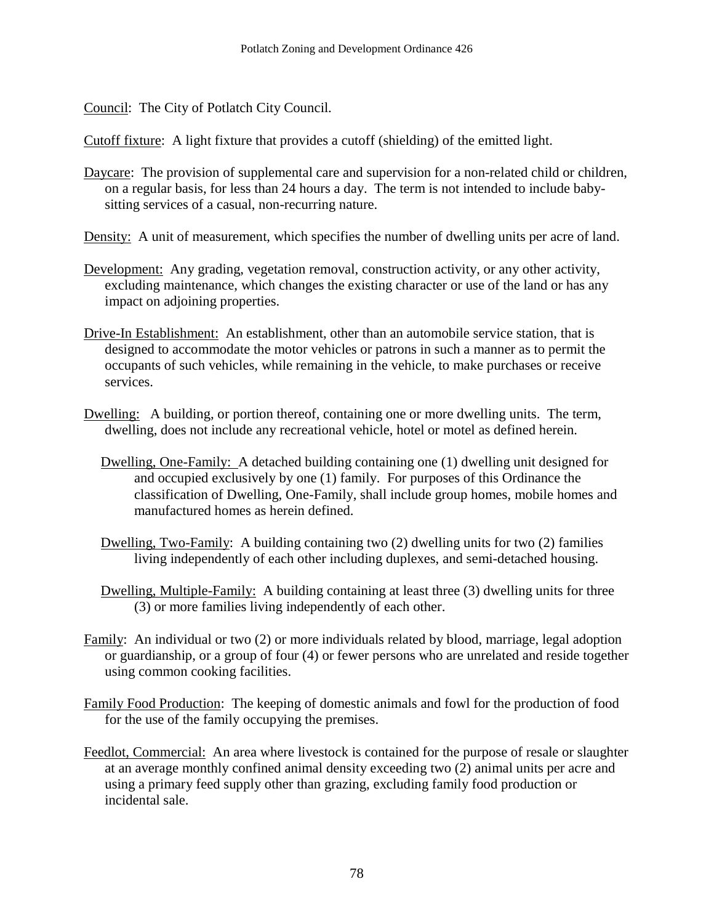Council: The City of Potlatch City Council.

Cutoff fixture: A light fixture that provides a cutoff (shielding) of the emitted light.

- Daycare: The provision of supplemental care and supervision for a non-related child or children, on a regular basis, for less than 24 hours a day. The term is not intended to include babysitting services of a casual, non-recurring nature.
- Density: A unit of measurement, which specifies the number of dwelling units per acre of land.
- Development: Any grading, vegetation removal, construction activity, or any other activity, excluding maintenance, which changes the existing character or use of the land or has any impact on adjoining properties.
- Drive-In Establishment: An establishment, other than an automobile service station, that is designed to accommodate the motor vehicles or patrons in such a manner as to permit the occupants of such vehicles, while remaining in the vehicle, to make purchases or receive services.
- Dwelling: A building, or portion thereof, containing one or more dwelling units. The term, dwelling, does not include any recreational vehicle, hotel or motel as defined herein.
	- Dwelling, One-Family: A detached building containing one (1) dwelling unit designed for and occupied exclusively by one (1) family. For purposes of this Ordinance the classification of Dwelling, One-Family, shall include group homes, mobile homes and manufactured homes as herein defined.
	- Dwelling, Two-Family: A building containing two (2) dwelling units for two (2) families living independently of each other including duplexes, and semi-detached housing.
	- Dwelling, Multiple-Family: A building containing at least three (3) dwelling units for three (3) or more families living independently of each other.
- Family: An individual or two (2) or more individuals related by blood, marriage, legal adoption or guardianship, or a group of four (4) or fewer persons who are unrelated and reside together using common cooking facilities.
- Family Food Production: The keeping of domestic animals and fowl for the production of food for the use of the family occupying the premises.
- Feedlot, Commercial: An area where livestock is contained for the purpose of resale or slaughter at an average monthly confined animal density exceeding two (2) animal units per acre and using a primary feed supply other than grazing, excluding family food production or incidental sale.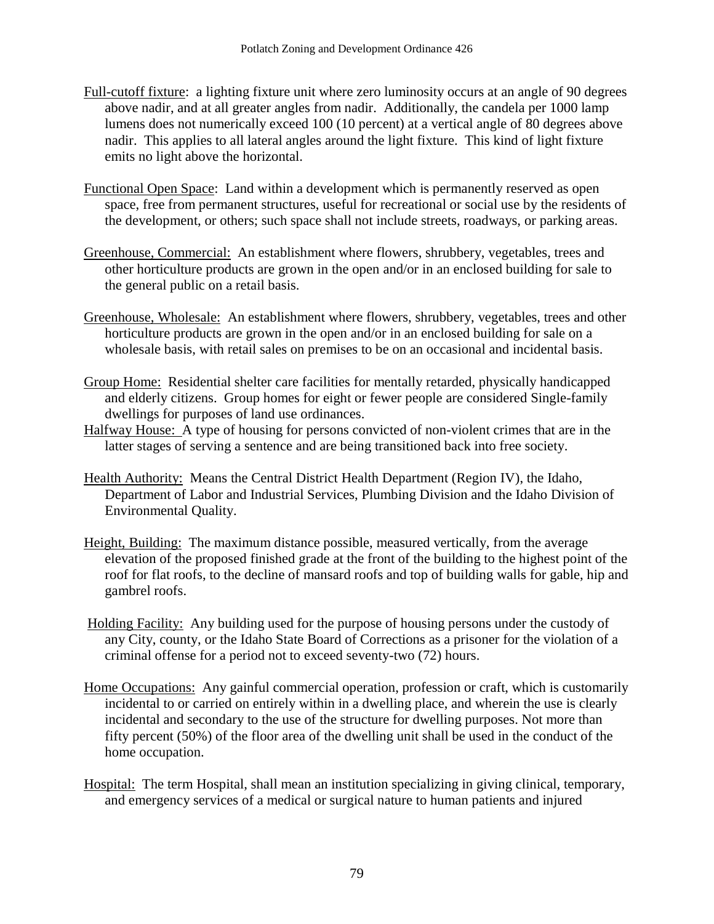- Full-cutoff fixture: a lighting fixture unit where zero luminosity occurs at an angle of 90 degrees above nadir, and at all greater angles from nadir. Additionally, the candela per 1000 lamp lumens does not numerically exceed 100 (10 percent) at a vertical angle of 80 degrees above nadir. This applies to all lateral angles around the light fixture. This kind of light fixture emits no light above the horizontal.
- Functional Open Space: Land within a development which is permanently reserved as open space, free from permanent structures, useful for recreational or social use by the residents of the development, or others; such space shall not include streets, roadways, or parking areas.
- Greenhouse, Commercial: An establishment where flowers, shrubbery, vegetables, trees and other horticulture products are grown in the open and/or in an enclosed building for sale to the general public on a retail basis.
- Greenhouse, Wholesale: An establishment where flowers, shrubbery, vegetables, trees and other horticulture products are grown in the open and/or in an enclosed building for sale on a wholesale basis, with retail sales on premises to be on an occasional and incidental basis.
- Group Home: Residential shelter care facilities for mentally retarded, physically handicapped and elderly citizens. Group homes for eight or fewer people are considered Single-family dwellings for purposes of land use ordinances.
- Halfway House: A type of housing for persons convicted of non-violent crimes that are in the latter stages of serving a sentence and are being transitioned back into free society.
- Health Authority: Means the Central District Health Department (Region IV), the Idaho, Department of Labor and Industrial Services, Plumbing Division and the Idaho Division of Environmental Quality.
- Height, Building: The maximum distance possible, measured vertically, from the average elevation of the proposed finished grade at the front of the building to the highest point of the roof for flat roofs, to the decline of mansard roofs and top of building walls for gable, hip and gambrel roofs.
- Holding Facility: Any building used for the purpose of housing persons under the custody of any City, county, or the Idaho State Board of Corrections as a prisoner for the violation of a criminal offense for a period not to exceed seventy-two (72) hours.
- Home Occupations: Any gainful commercial operation, profession or craft, which is customarily incidental to or carried on entirely within in a dwelling place, and wherein the use is clearly incidental and secondary to the use of the structure for dwelling purposes. Not more than fifty percent (50%) of the floor area of the dwelling unit shall be used in the conduct of the home occupation.
- Hospital: The term Hospital, shall mean an institution specializing in giving clinical, temporary, and emergency services of a medical or surgical nature to human patients and injured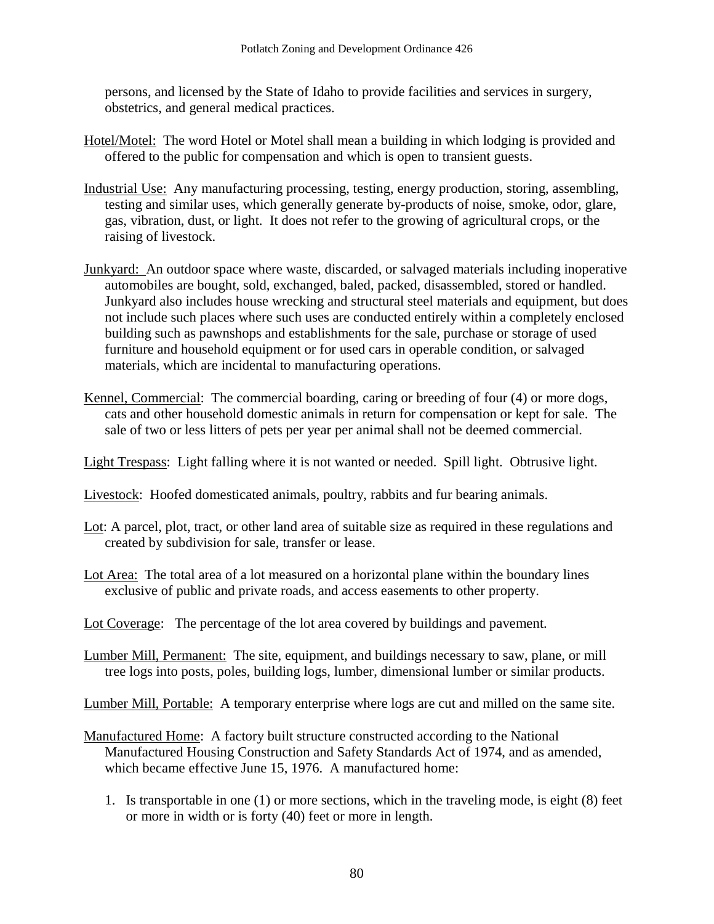persons, and licensed by the State of Idaho to provide facilities and services in surgery, obstetrics, and general medical practices.

- Hotel/Motel: The word Hotel or Motel shall mean a building in which lodging is provided and offered to the public for compensation and which is open to transient guests.
- Industrial Use: Any manufacturing processing, testing, energy production, storing, assembling, testing and similar uses, which generally generate by-products of noise, smoke, odor, glare, gas, vibration, dust, or light. It does not refer to the growing of agricultural crops, or the raising of livestock.
- Junkyard: An outdoor space where waste, discarded, or salvaged materials including inoperative automobiles are bought, sold, exchanged, baled, packed, disassembled, stored or handled. Junkyard also includes house wrecking and structural steel materials and equipment, but does not include such places where such uses are conducted entirely within a completely enclosed building such as pawnshops and establishments for the sale, purchase or storage of used furniture and household equipment or for used cars in operable condition, or salvaged materials, which are incidental to manufacturing operations.
- Kennel, Commercial: The commercial boarding, caring or breeding of four (4) or more dogs, cats and other household domestic animals in return for compensation or kept for sale. The sale of two or less litters of pets per year per animal shall not be deemed commercial.

Light Trespass: Light falling where it is not wanted or needed. Spill light. Obtrusive light.

- Livestock: Hoofed domesticated animals, poultry, rabbits and fur bearing animals.
- Lot: A parcel, plot, tract, or other land area of suitable size as required in these regulations and created by subdivision for sale, transfer or lease.
- Lot Area: The total area of a lot measured on a horizontal plane within the boundary lines exclusive of public and private roads, and access easements to other property.
- Lot Coverage: The percentage of the lot area covered by buildings and pavement.
- Lumber Mill, Permanent: The site, equipment, and buildings necessary to saw, plane, or mill tree logs into posts, poles, building logs, lumber, dimensional lumber or similar products.
- Lumber Mill, Portable: A temporary enterprise where logs are cut and milled on the same site.
- Manufactured Home: A factory built structure constructed according to the National Manufactured Housing Construction and Safety Standards Act of 1974, and as amended, which became effective June 15, 1976. A manufactured home:
	- 1. Is transportable in one (1) or more sections, which in the traveling mode, is eight (8) feet or more in width or is forty (40) feet or more in length.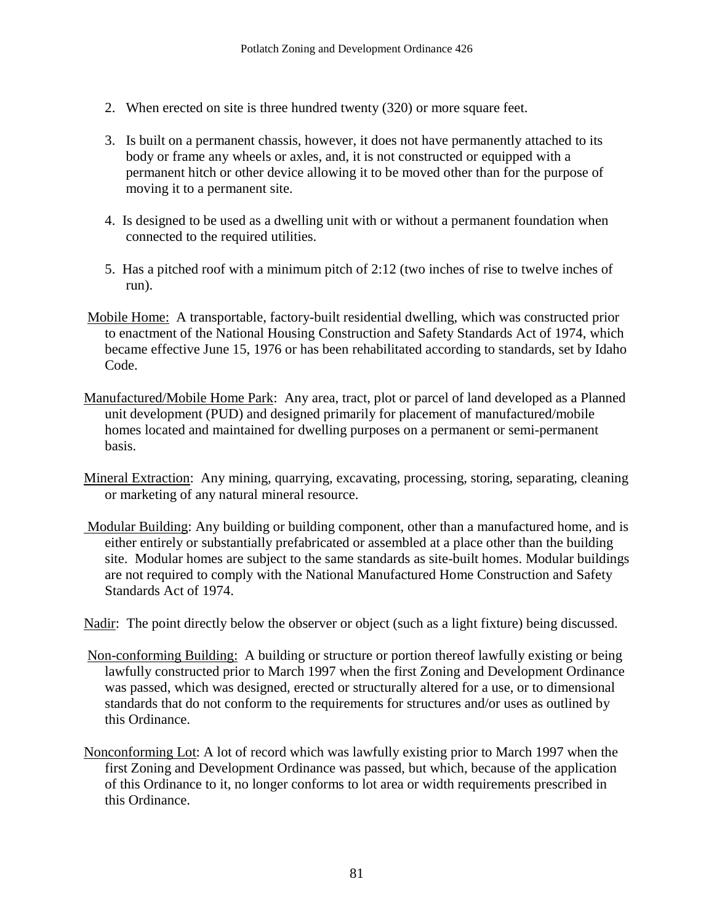- 2. When erected on site is three hundred twenty (320) or more square feet.
- 3. Is built on a permanent chassis, however, it does not have permanently attached to its body or frame any wheels or axles, and, it is not constructed or equipped with a permanent hitch or other device allowing it to be moved other than for the purpose of moving it to a permanent site.
- 4. Is designed to be used as a dwelling unit with or without a permanent foundation when connected to the required utilities.
- 5. Has a pitched roof with a minimum pitch of 2:12 (two inches of rise to twelve inches of run).
- Mobile Home: A transportable, factory-built residential dwelling, which was constructed prior to enactment of the National Housing Construction and Safety Standards Act of 1974, which became effective June 15, 1976 or has been rehabilitated according to standards, set by Idaho Code.
- Manufactured/Mobile Home Park: Any area, tract, plot or parcel of land developed as a Planned unit development (PUD) and designed primarily for placement of manufactured/mobile homes located and maintained for dwelling purposes on a permanent or semi-permanent basis.
- Mineral Extraction: Any mining, quarrying, excavating, processing, storing, separating, cleaning or marketing of any natural mineral resource.
- Modular Building: Any building or building component, other than a manufactured home, and is either entirely or substantially prefabricated or assembled at a place other than the building site. Modular homes are subject to the same standards as site-built homes. Modular buildings are not required to comply with the National Manufactured Home Construction and Safety Standards Act of 1974.
- Nadir: The point directly below the observer or object (such as a light fixture) being discussed.
- Non-conforming Building: A building or structure or portion thereof lawfully existing or being lawfully constructed prior to March 1997 when the first Zoning and Development Ordinance was passed, which was designed, erected or structurally altered for a use, or to dimensional standards that do not conform to the requirements for structures and/or uses as outlined by this Ordinance.
- Nonconforming Lot: A lot of record which was lawfully existing prior to March 1997 when the first Zoning and Development Ordinance was passed, but which, because of the application of this Ordinance to it, no longer conforms to lot area or width requirements prescribed in this Ordinance.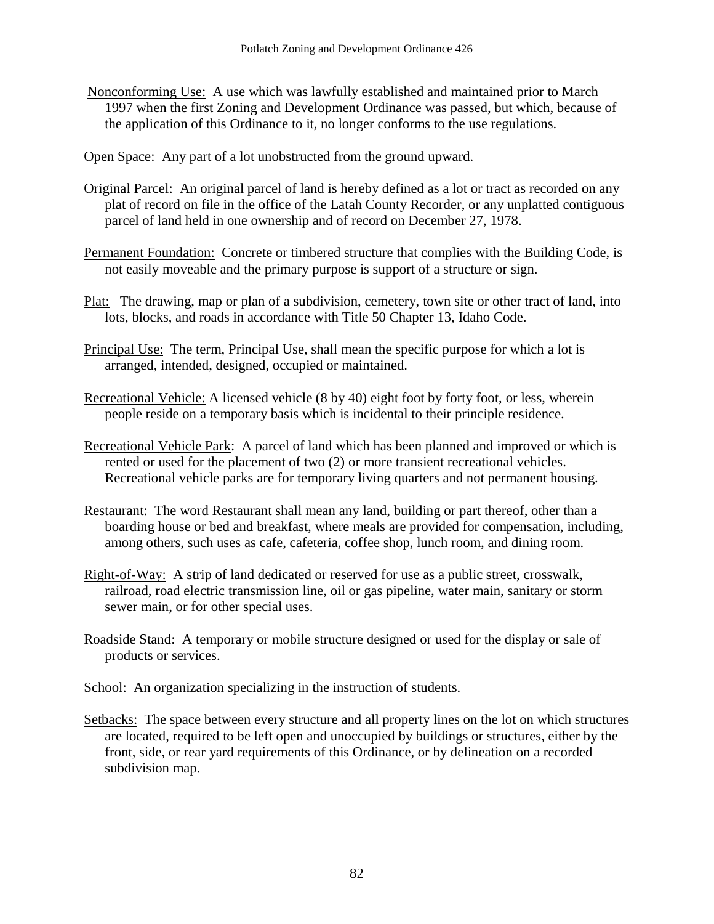Nonconforming Use: A use which was lawfully established and maintained prior to March 1997 when the first Zoning and Development Ordinance was passed, but which, because of the application of this Ordinance to it, no longer conforms to the use regulations.

Open Space: Any part of a lot unobstructed from the ground upward.

- Original Parcel: An original parcel of land is hereby defined as a lot or tract as recorded on any plat of record on file in the office of the Latah County Recorder, or any unplatted contiguous parcel of land held in one ownership and of record on December 27, 1978.
- Permanent Foundation: Concrete or timbered structure that complies with the Building Code, is not easily moveable and the primary purpose is support of a structure or sign.
- Plat: The drawing, map or plan of a subdivision, cemetery, town site or other tract of land, into lots, blocks, and roads in accordance with Title 50 Chapter 13, Idaho Code.
- Principal Use: The term, Principal Use, shall mean the specific purpose for which a lot is arranged, intended, designed, occupied or maintained.
- Recreational Vehicle: A licensed vehicle (8 by 40) eight foot by forty foot, or less, wherein people reside on a temporary basis which is incidental to their principle residence.
- Recreational Vehicle Park: A parcel of land which has been planned and improved or which is rented or used for the placement of two (2) or more transient recreational vehicles. Recreational vehicle parks are for temporary living quarters and not permanent housing.
- Restaurant: The word Restaurant shall mean any land, building or part thereof, other than a boarding house or bed and breakfast, where meals are provided for compensation, including, among others, such uses as cafe, cafeteria, coffee shop, lunch room, and dining room.
- Right-of-Way: A strip of land dedicated or reserved for use as a public street, crosswalk, railroad, road electric transmission line, oil or gas pipeline, water main, sanitary or storm sewer main, or for other special uses.
- Roadside Stand: A temporary or mobile structure designed or used for the display or sale of products or services.
- School: An organization specializing in the instruction of students.
- Setbacks: The space between every structure and all property lines on the lot on which structures are located, required to be left open and unoccupied by buildings or structures, either by the front, side, or rear yard requirements of this Ordinance, or by delineation on a recorded subdivision map.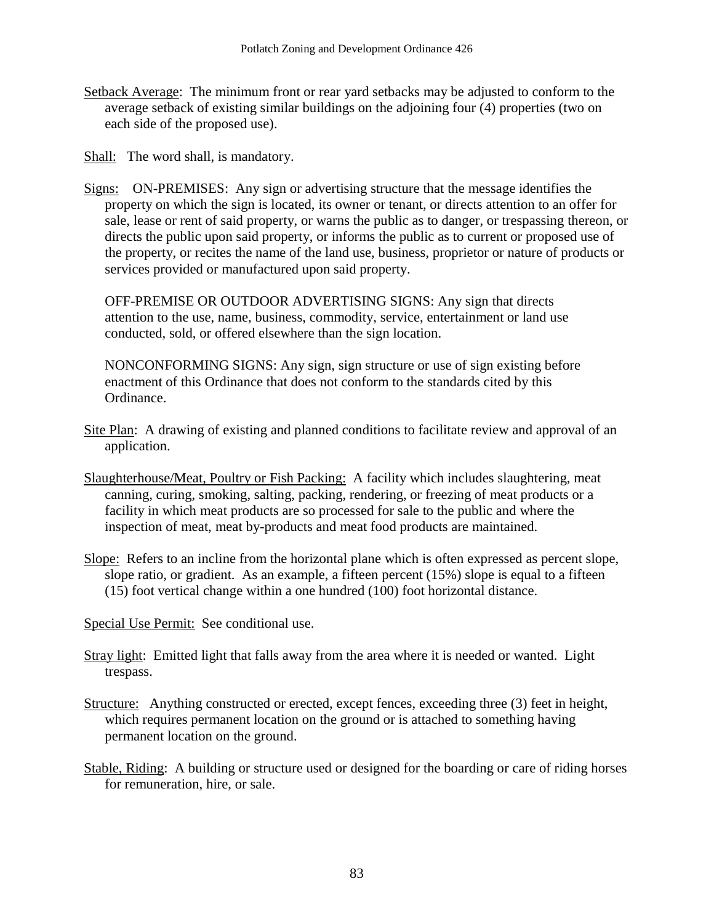Setback Average: The minimum front or rear yard setbacks may be adjusted to conform to the average setback of existing similar buildings on the adjoining four (4) properties (two on each side of the proposed use).

Shall: The word shall, is mandatory.

Signs: ON-PREMISES: Any sign or advertising structure that the message identifies the property on which the sign is located, its owner or tenant, or directs attention to an offer for sale, lease or rent of said property, or warns the public as to danger, or trespassing thereon, or directs the public upon said property, or informs the public as to current or proposed use of the property, or recites the name of the land use, business, proprietor or nature of products or services provided or manufactured upon said property.

OFF-PREMISE OR OUTDOOR ADVERTISING SIGNS: Any sign that directs attention to the use, name, business, commodity, service, entertainment or land use conducted, sold, or offered elsewhere than the sign location.

NONCONFORMING SIGNS: Any sign, sign structure or use of sign existing before enactment of this Ordinance that does not conform to the standards cited by this Ordinance.

- Site Plan: A drawing of existing and planned conditions to facilitate review and approval of an application.
- Slaughterhouse/Meat, Poultry or Fish Packing: A facility which includes slaughtering, meat canning, curing, smoking, salting, packing, rendering, or freezing of meat products or a facility in which meat products are so processed for sale to the public and where the inspection of meat, meat by-products and meat food products are maintained.
- Slope: Refers to an incline from the horizontal plane which is often expressed as percent slope, slope ratio, or gradient. As an example, a fifteen percent (15%) slope is equal to a fifteen (15) foot vertical change within a one hundred (100) foot horizontal distance.

Special Use Permit: See conditional use.

- Stray light: Emitted light that falls away from the area where it is needed or wanted. Light trespass.
- Structure: Anything constructed or erected, except fences, exceeding three (3) feet in height, which requires permanent location on the ground or is attached to something having permanent location on the ground.
- Stable, Riding: A building or structure used or designed for the boarding or care of riding horses for remuneration, hire, or sale.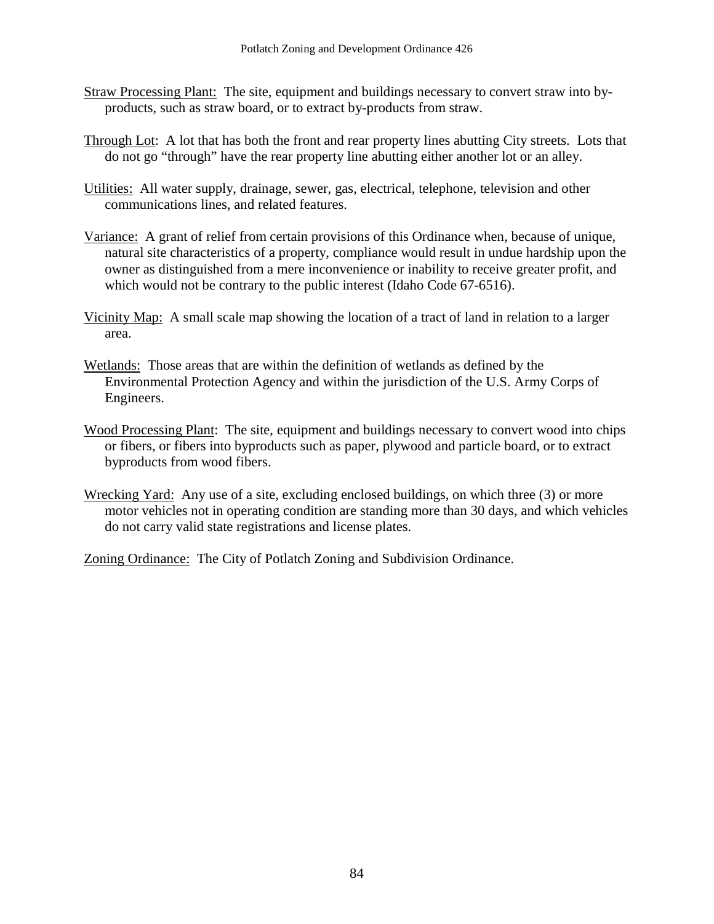- Straw Processing Plant: The site, equipment and buildings necessary to convert straw into byproducts, such as straw board, or to extract by-products from straw.
- Through Lot: A lot that has both the front and rear property lines abutting City streets. Lots that do not go "through" have the rear property line abutting either another lot or an alley.
- Utilities: All water supply, drainage, sewer, gas, electrical, telephone, television and other communications lines, and related features.
- Variance: A grant of relief from certain provisions of this Ordinance when, because of unique, natural site characteristics of a property, compliance would result in undue hardship upon the owner as distinguished from a mere inconvenience or inability to receive greater profit, and which would not be contrary to the public interest (Idaho Code 67-6516).
- Vicinity Map: A small scale map showing the location of a tract of land in relation to a larger area.
- Wetlands: Those areas that are within the definition of wetlands as defined by the Environmental Protection Agency and within the jurisdiction of the U.S. Army Corps of Engineers.
- Wood Processing Plant: The site, equipment and buildings necessary to convert wood into chips or fibers, or fibers into byproducts such as paper, plywood and particle board, or to extract byproducts from wood fibers.
- Wrecking Yard: Any use of a site, excluding enclosed buildings, on which three (3) or more motor vehicles not in operating condition are standing more than 30 days, and which vehicles do not carry valid state registrations and license plates.

Zoning Ordinance: The City of Potlatch Zoning and Subdivision Ordinance.